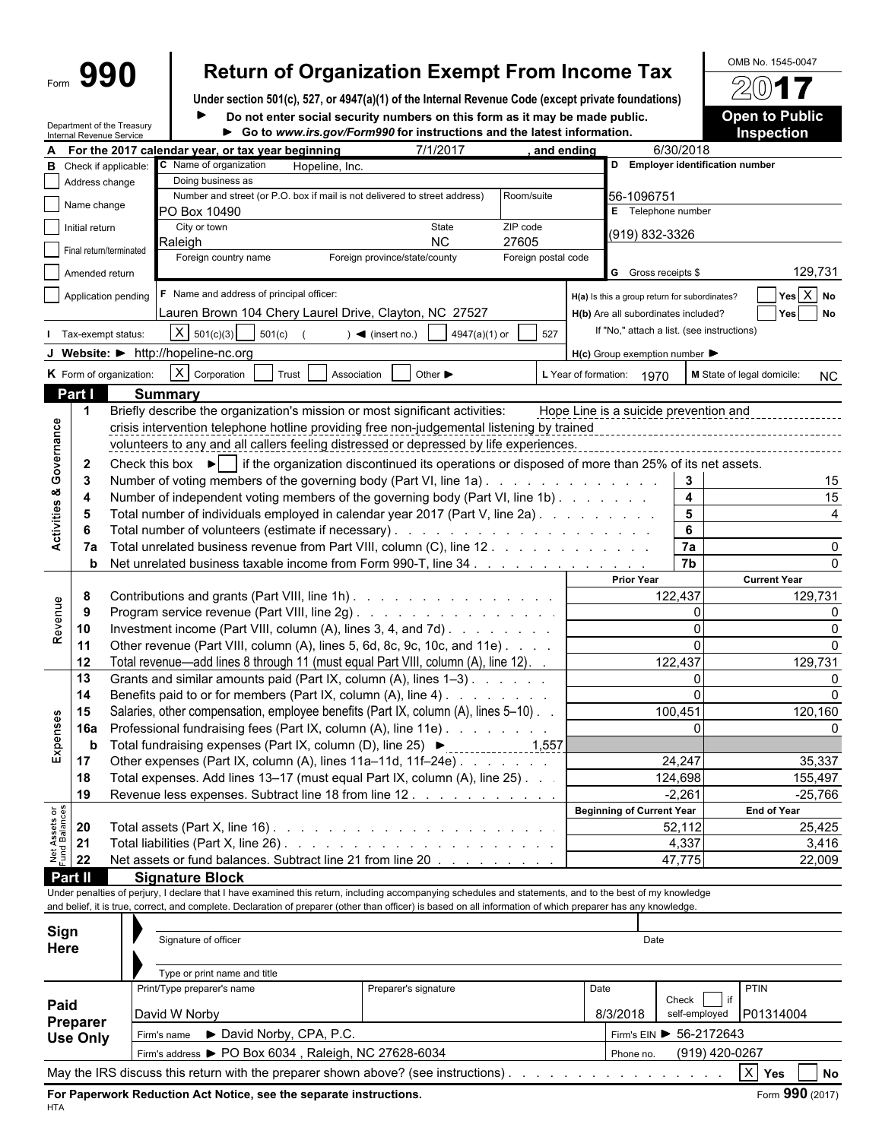# Form **990 Return of Organization Exempt From Income Tax**  $\frac{60\text{dB No. }1545-0047}{2017}$

**Under section 501(c), 527, or 4947(a)(1) of the Internal Revenue Code (except private foundations)** Do not enter social security numbers on this form as it may be made public. **Open to Public** 

|                                        |                   | Department of the Treasury<br>Internal Revenue Service                                                                                                        |                                                             |                      | Do not enter social security numbers on this form as it may be made public.<br>Go to www.irs.gov/Form990 for instructions and the latest information.                                                        |                     |      |                                                     |                         |                            | <b>Open to Public</b><br><b>Inspection</b> |                       |  |  |
|----------------------------------------|-------------------|---------------------------------------------------------------------------------------------------------------------------------------------------------------|-------------------------------------------------------------|----------------------|--------------------------------------------------------------------------------------------------------------------------------------------------------------------------------------------------------------|---------------------|------|-----------------------------------------------------|-------------------------|----------------------------|--------------------------------------------|-----------------------|--|--|
|                                        |                   |                                                                                                                                                               | A For the 2017 calendar year, or tax year beginning         |                      | 7/1/2017                                                                                                                                                                                                     | , and ending        |      |                                                     | 6/30/2018               |                            |                                            |                       |  |  |
|                                        |                   | C Name of organization<br><b>B</b> Check if applicable:<br>Hopeline, Inc.                                                                                     |                                                             |                      |                                                                                                                                                                                                              |                     |      | D Employer identification number                    |                         |                            |                                            |                       |  |  |
|                                        | Address change    |                                                                                                                                                               | Doing business as                                           |                      |                                                                                                                                                                                                              |                     |      |                                                     |                         |                            |                                            |                       |  |  |
|                                        | Name change       |                                                                                                                                                               |                                                             |                      | Number and street (or P.O. box if mail is not delivered to street address)                                                                                                                                   | Room/suite          |      | 56-1096751                                          |                         |                            |                                            |                       |  |  |
|                                        |                   |                                                                                                                                                               | <b>PO Box 10490</b>                                         |                      |                                                                                                                                                                                                              |                     |      | E Telephone number                                  |                         |                            |                                            |                       |  |  |
|                                        | Initial return    |                                                                                                                                                               | City or town<br>Raleigh                                     |                      | State<br><b>NC</b>                                                                                                                                                                                           | ZIP code<br>27605   |      | (919) 832-3326                                      |                         |                            |                                            |                       |  |  |
|                                        |                   | Final return/terminated                                                                                                                                       | Foreign country name                                        |                      | Foreign province/state/county                                                                                                                                                                                | Foreign postal code |      |                                                     |                         |                            |                                            |                       |  |  |
|                                        | Amended return    |                                                                                                                                                               |                                                             |                      |                                                                                                                                                                                                              |                     |      | <b>G</b> Gross receipts \$                          |                         |                            |                                            | 129,731               |  |  |
|                                        |                   | Application pending                                                                                                                                           | F Name and address of principal officer:                    |                      |                                                                                                                                                                                                              |                     |      | H(a) Is this a group return for subordinates?       |                         |                            |                                            | $Yes \overline{X} No$ |  |  |
|                                        |                   |                                                                                                                                                               |                                                             |                      | Lauren Brown 104 Chery Laurel Drive, Clayton, NC 27527                                                                                                                                                       |                     |      | H(b) Are all subordinates included?                 |                         |                            |                                            | Yes No                |  |  |
|                                        |                   | Tax-exempt status:                                                                                                                                            | $X \mid 501(c)(3)$<br>501(c)                                |                      | $) \blacktriangleleft$ (insert no.)<br>4947(a)(1) or                                                                                                                                                         | 527                 |      | If "No," attach a list. (see instructions)          |                         |                            |                                            |                       |  |  |
|                                        |                   |                                                                                                                                                               | J Website: > http://hopeline-nc.org                         |                      |                                                                                                                                                                                                              |                     |      |                                                     |                         |                            |                                            |                       |  |  |
|                                        |                   |                                                                                                                                                               |                                                             |                      |                                                                                                                                                                                                              |                     |      | $H(c)$ Group exemption number $\blacktriangleright$ |                         |                            |                                            |                       |  |  |
|                                        |                   | K Form of organization:                                                                                                                                       | $\overline{X}$ Corporation                                  | Trust<br>Association | Other $\blacktriangleright$                                                                                                                                                                                  |                     |      | L Year of formation: 1970                           |                         | M State of legal domicile: |                                            | NC                    |  |  |
|                                        | Part I            |                                                                                                                                                               | <b>Summary</b>                                              |                      |                                                                                                                                                                                                              |                     |      |                                                     |                         |                            |                                            |                       |  |  |
|                                        | 1                 |                                                                                                                                                               |                                                             |                      | Briefly describe the organization's mission or most significant activities:                                                                                                                                  |                     |      | Hope Line is a suicide prevention and               |                         |                            |                                            |                       |  |  |
|                                        |                   |                                                                                                                                                               |                                                             |                      | crisis intervention telephone hotline providing free non-judgemental listening by trained<br>volunteers to any and all callers feeling distressed or depressed by life experiences.                          |                     |      |                                                     |                         |                            |                                            |                       |  |  |
|                                        |                   |                                                                                                                                                               |                                                             |                      |                                                                                                                                                                                                              |                     |      |                                                     |                         |                            |                                            |                       |  |  |
| Governance                             | $\mathbf{2}$<br>3 |                                                                                                                                                               |                                                             |                      | Check this box $\blacktriangleright$   if the organization discontinued its operations or disposed of more than 25% of its net assets.<br>Number of voting members of the governing body (Part VI, line 1a). |                     |      |                                                     |                         |                            |                                            |                       |  |  |
| œ                                      |                   |                                                                                                                                                               |                                                             |                      |                                                                                                                                                                                                              |                     |      |                                                     | 3 <sup>1</sup><br>4     |                            |                                            | 15<br>15              |  |  |
|                                        |                   | Number of independent voting members of the governing body (Part VI, line 1b)<br>Total number of individuals employed in calendar year 2017 (Part V, line 2a) |                                                             |                      |                                                                                                                                                                                                              |                     |      |                                                     | 5                       |                            |                                            |                       |  |  |
| Activities                             |                   |                                                                                                                                                               |                                                             |                      |                                                                                                                                                                                                              |                     |      |                                                     | 6                       |                            |                                            |                       |  |  |
|                                        | 7a                |                                                                                                                                                               |                                                             |                      | Total unrelated business revenue from Part VIII, column (C), line 12                                                                                                                                         |                     |      |                                                     | 7a                      |                            |                                            |                       |  |  |
|                                        | b                 |                                                                                                                                                               |                                                             |                      | Net unrelated business taxable income from Form 990-T, line 34. [1] Algebra Langelling and Set under the Set u                                                                                               |                     |      |                                                     | 7b                      |                            |                                            |                       |  |  |
|                                        |                   |                                                                                                                                                               |                                                             |                      |                                                                                                                                                                                                              |                     |      | <b>Prior Year</b>                                   |                         |                            | <b>Current Year</b>                        |                       |  |  |
|                                        | 8                 |                                                                                                                                                               |                                                             |                      | Contributions and grants (Part VIII, line 1h)                                                                                                                                                                |                     |      |                                                     | 122,437                 |                            |                                            | 129,731               |  |  |
|                                        | 9                 | Program service revenue (Part VIII, line 2g)                                                                                                                  |                                                             |                      |                                                                                                                                                                                                              |                     |      |                                                     | 0                       |                            |                                            | <sup>0</sup>          |  |  |
| Revenue                                | 10                | Investment income (Part VIII, column (A), lines 3, 4, and 7d)<br>Other revenue (Part VIII, column (A), lines 5, 6d, 8c, 9c, 10c, and 11e)                     |                                                             |                      |                                                                                                                                                                                                              |                     |      |                                                     | $\Omega$                |                            |                                            |                       |  |  |
|                                        | 11                |                                                                                                                                                               |                                                             |                      |                                                                                                                                                                                                              |                     |      |                                                     | $\Omega$                |                            |                                            |                       |  |  |
|                                        | 12                |                                                                                                                                                               |                                                             |                      | Total revenue—add lines 8 through 11 (must equal Part VIII, column (A), line 12). .<br>Grants and similar amounts paid (Part IX, column (A), lines 1-3)                                                      |                     |      |                                                     | 122,437<br>$\mathbf{0}$ |                            |                                            | 129,731               |  |  |
|                                        | 13<br>14          |                                                                                                                                                               |                                                             |                      | Benefits paid to or for members (Part IX, column (A), line 4)                                                                                                                                                |                     |      |                                                     | $\Omega$                |                            |                                            |                       |  |  |
|                                        | 15                |                                                                                                                                                               |                                                             |                      | Salaries, other compensation, employee benefits (Part IX, column (A), lines 5-10).                                                                                                                           |                     |      |                                                     | 100,451                 |                            |                                            | 120,160               |  |  |
| Expenses                               | <b>16a</b>        |                                                                                                                                                               |                                                             |                      | Professional fundraising fees (Part IX, column (A), line 11e)                                                                                                                                                |                     |      |                                                     |                         |                            |                                            |                       |  |  |
|                                        | b                 |                                                                                                                                                               | Total fundraising expenses (Part IX, column (D), line 25) ▶ |                      |                                                                                                                                                                                                              | 1,557               |      |                                                     |                         |                            |                                            |                       |  |  |
|                                        | 17 <sub>1</sub>   |                                                                                                                                                               |                                                             |                      | Other expenses (Part IX, column (A), lines 11a-11d, 11f-24e)                                                                                                                                                 |                     |      |                                                     | 24,247                  |                            |                                            | 35,337                |  |  |
|                                        | 18                |                                                                                                                                                               |                                                             |                      | Total expenses. Add lines 13-17 (must equal Part IX, column (A), line 25).                                                                                                                                   |                     |      |                                                     | 124,698                 |                            |                                            | 155,497               |  |  |
|                                        | 19                |                                                                                                                                                               |                                                             |                      | Revenue less expenses. Subtract line 18 from line 12.                                                                                                                                                        |                     |      |                                                     | $-2,261$                |                            |                                            | $-25,766$             |  |  |
|                                        |                   |                                                                                                                                                               |                                                             |                      |                                                                                                                                                                                                              |                     |      | <b>Beginning of Current Year</b>                    |                         |                            | <b>End of Year</b>                         |                       |  |  |
|                                        | 20                |                                                                                                                                                               |                                                             |                      |                                                                                                                                                                                                              |                     |      |                                                     | 52,112                  |                            |                                            | 25,425                |  |  |
| <b>Net Assets or<br/>Fund Balances</b> | 21                |                                                                                                                                                               |                                                             |                      |                                                                                                                                                                                                              |                     |      |                                                     | 4,337                   |                            |                                            | 3,416                 |  |  |
|                                        | 22                |                                                                                                                                                               |                                                             |                      | Net assets or fund balances. Subtract line 21 from line 20                                                                                                                                                   |                     |      |                                                     | 47,775                  |                            |                                            | 22,009                |  |  |
|                                        | Part II           |                                                                                                                                                               | <b>Signature Block</b>                                      |                      | Under penalties of perjury, I declare that I have examined this return, including accompanying schedules and statements, and to the best of my knowledge                                                     |                     |      |                                                     |                         |                            |                                            |                       |  |  |
|                                        |                   |                                                                                                                                                               |                                                             |                      | and belief, it is true, correct, and complete. Declaration of preparer (other than officer) is based on all information of which preparer has any knowledge.                                                 |                     |      |                                                     |                         |                            |                                            |                       |  |  |
|                                        |                   |                                                                                                                                                               |                                                             |                      |                                                                                                                                                                                                              |                     |      |                                                     |                         |                            |                                            |                       |  |  |
| Sign                                   |                   |                                                                                                                                                               | Signature of officer                                        |                      |                                                                                                                                                                                                              |                     |      | Date                                                |                         |                            |                                            |                       |  |  |
| Here                                   |                   |                                                                                                                                                               |                                                             |                      |                                                                                                                                                                                                              |                     |      |                                                     |                         |                            |                                            |                       |  |  |
|                                        |                   |                                                                                                                                                               | Type or print name and title                                |                      |                                                                                                                                                                                                              |                     |      |                                                     |                         |                            |                                            |                       |  |  |
|                                        |                   |                                                                                                                                                               | Print/Type preparer's name                                  |                      | Preparer's signature                                                                                                                                                                                         |                     | Date |                                                     |                         | if                         | PTIN                                       |                       |  |  |
| Paid                                   |                   | David W Norby                                                                                                                                                 |                                                             |                      |                                                                                                                                                                                                              |                     |      | 8/3/2018                                            | Check                   | self-employed   P01314004  |                                            |                       |  |  |
|                                        | <b>Preparer</b>   |                                                                                                                                                               | Firm's name > David Norby, CPA, P.C.                        |                      |                                                                                                                                                                                                              |                     |      |                                                     |                         | Firm's EIN > 56-2172643    |                                            |                       |  |  |
|                                        | <b>Use Only</b>   |                                                                                                                                                               | Firm's address > PO Box 6034, Raleigh, NC 27628-6034        |                      |                                                                                                                                                                                                              |                     |      | Phone no.                                           |                         | (919) 420-0267             |                                            |                       |  |  |
|                                        |                   |                                                                                                                                                               |                                                             |                      |                                                                                                                                                                                                              |                     |      |                                                     |                         |                            |                                            |                       |  |  |

May the IRS discuss this return with the preparer shown above? (see instructions) . . . . . . . . . . . . . . . . . . . . . . . . . . . . . . . . . . . . . . . . . X **Yes No**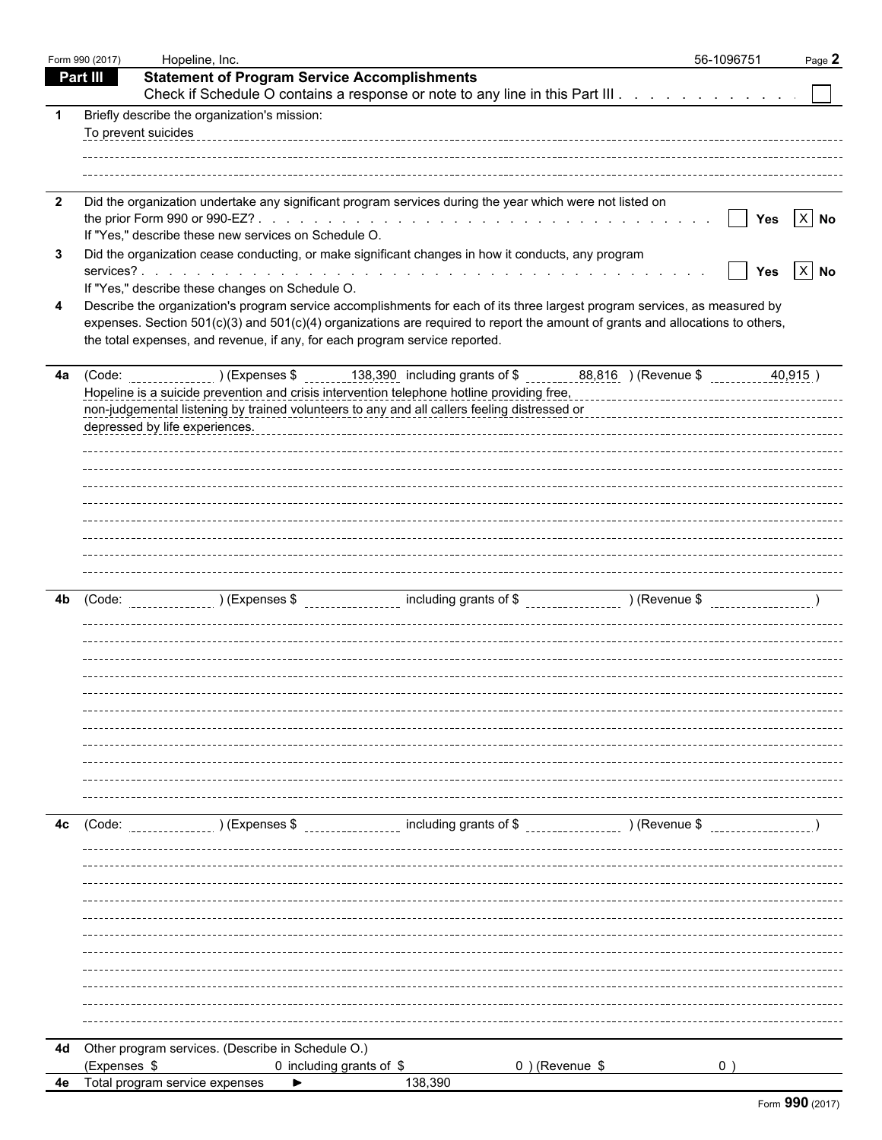|                         | Form 990 (2017) | Hopeline, Inc.                                                                                                                                                                                                                                                                                            | 56-1096751      | Page 2     |
|-------------------------|-----------------|-----------------------------------------------------------------------------------------------------------------------------------------------------------------------------------------------------------------------------------------------------------------------------------------------------------|-----------------|------------|
|                         | <b>Part III</b> | <b>Statement of Program Service Accomplishments</b>                                                                                                                                                                                                                                                       |                 |            |
|                         |                 | Check if Schedule O contains a response or note to any line in this Part III                                                                                                                                                                                                                              |                 |            |
| -1                      |                 | Briefly describe the organization's mission:                                                                                                                                                                                                                                                              |                 |            |
|                         |                 | To prevent suicides                                                                                                                                                                                                                                                                                       |                 |            |
|                         |                 |                                                                                                                                                                                                                                                                                                           |                 |            |
|                         |                 |                                                                                                                                                                                                                                                                                                           |                 |            |
| $\overline{\mathbf{2}}$ |                 | Did the organization undertake any significant program services during the year which were not listed on                                                                                                                                                                                                  |                 |            |
|                         |                 |                                                                                                                                                                                                                                                                                                           | $\vert \ \vert$ | Yes $X$ No |
|                         |                 | If "Yes," describe these new services on Schedule O.                                                                                                                                                                                                                                                      |                 |            |
| 3                       |                 | Did the organization cease conducting, or make significant changes in how it conducts, any program                                                                                                                                                                                                        | $\mathbf{I}$    | Yes $X$ No |
|                         |                 | If "Yes," describe these changes on Schedule O.                                                                                                                                                                                                                                                           |                 |            |
| 4                       |                 | Describe the organization's program service accomplishments for each of its three largest program services, as measured by                                                                                                                                                                                |                 |            |
|                         |                 | expenses. Section 501(c)(3) and 501(c)(4) organizations are required to report the amount of grants and allocations to others,                                                                                                                                                                            |                 |            |
|                         |                 | the total expenses, and revenue, if any, for each program service reported.                                                                                                                                                                                                                               |                 |            |
|                         |                 |                                                                                                                                                                                                                                                                                                           |                 |            |
|                         |                 | 4a (Code: _________________) (Expenses \$ _______138,390 including grants of \$ _________88,816 ) (Revenue \$<br>Hopeline is a suicide prevention and crisis intervention telephone hotline providing free,<br>Hopeline is a suicide prevention and crisis intervention telephone hotline providing free, |                 | 40,915)    |
|                         |                 | non-judgemental listening by trained volunteers to any and all callers feeling distressed or<br>non-judgemental listening by trained volunteers to any and all callers feeling distressed or                                                                                                              |                 |            |
|                         |                 | depressed by life experiences.                                                                                                                                                                                                                                                                            |                 |            |
|                         |                 |                                                                                                                                                                                                                                                                                                           |                 |            |
|                         |                 |                                                                                                                                                                                                                                                                                                           |                 |            |
|                         |                 |                                                                                                                                                                                                                                                                                                           |                 |            |
|                         |                 |                                                                                                                                                                                                                                                                                                           |                 |            |
|                         |                 |                                                                                                                                                                                                                                                                                                           |                 |            |
|                         |                 |                                                                                                                                                                                                                                                                                                           |                 |            |
|                         |                 |                                                                                                                                                                                                                                                                                                           |                 |            |
|                         |                 |                                                                                                                                                                                                                                                                                                           |                 |            |
| 4b                      | (Code:          |                                                                                                                                                                                                                                                                                                           |                 |            |
|                         |                 |                                                                                                                                                                                                                                                                                                           |                 |            |
|                         |                 |                                                                                                                                                                                                                                                                                                           |                 |            |
|                         |                 |                                                                                                                                                                                                                                                                                                           |                 |            |
|                         |                 |                                                                                                                                                                                                                                                                                                           |                 |            |
|                         |                 |                                                                                                                                                                                                                                                                                                           |                 |            |
|                         |                 |                                                                                                                                                                                                                                                                                                           |                 |            |
|                         |                 |                                                                                                                                                                                                                                                                                                           |                 |            |
|                         |                 |                                                                                                                                                                                                                                                                                                           |                 |            |
|                         |                 |                                                                                                                                                                                                                                                                                                           |                 |            |
|                         |                 |                                                                                                                                                                                                                                                                                                           |                 |            |
| 4c                      | (Code:          | ________________ including grants of \$ __________________ ) (Revenue \$<br>) (Expenses \$                                                                                                                                                                                                                |                 |            |
|                         |                 |                                                                                                                                                                                                                                                                                                           |                 |            |
|                         |                 |                                                                                                                                                                                                                                                                                                           |                 |            |
|                         |                 |                                                                                                                                                                                                                                                                                                           |                 |            |
|                         |                 |                                                                                                                                                                                                                                                                                                           |                 |            |
|                         |                 |                                                                                                                                                                                                                                                                                                           |                 |            |
|                         |                 |                                                                                                                                                                                                                                                                                                           |                 |            |
|                         |                 |                                                                                                                                                                                                                                                                                                           |                 |            |
|                         |                 |                                                                                                                                                                                                                                                                                                           |                 |            |
|                         |                 |                                                                                                                                                                                                                                                                                                           |                 |            |
|                         |                 |                                                                                                                                                                                                                                                                                                           |                 |            |
|                         |                 |                                                                                                                                                                                                                                                                                                           |                 |            |
|                         |                 | 4d Other program services. (Describe in Schedule O.)                                                                                                                                                                                                                                                      |                 |            |
|                         | (Expenses \$    | 0) (Revenue \$<br>0 including grants of \$                                                                                                                                                                                                                                                                |                 |            |
| 4e                      |                 | 138,390<br>Total program service expenses                                                                                                                                                                                                                                                                 |                 |            |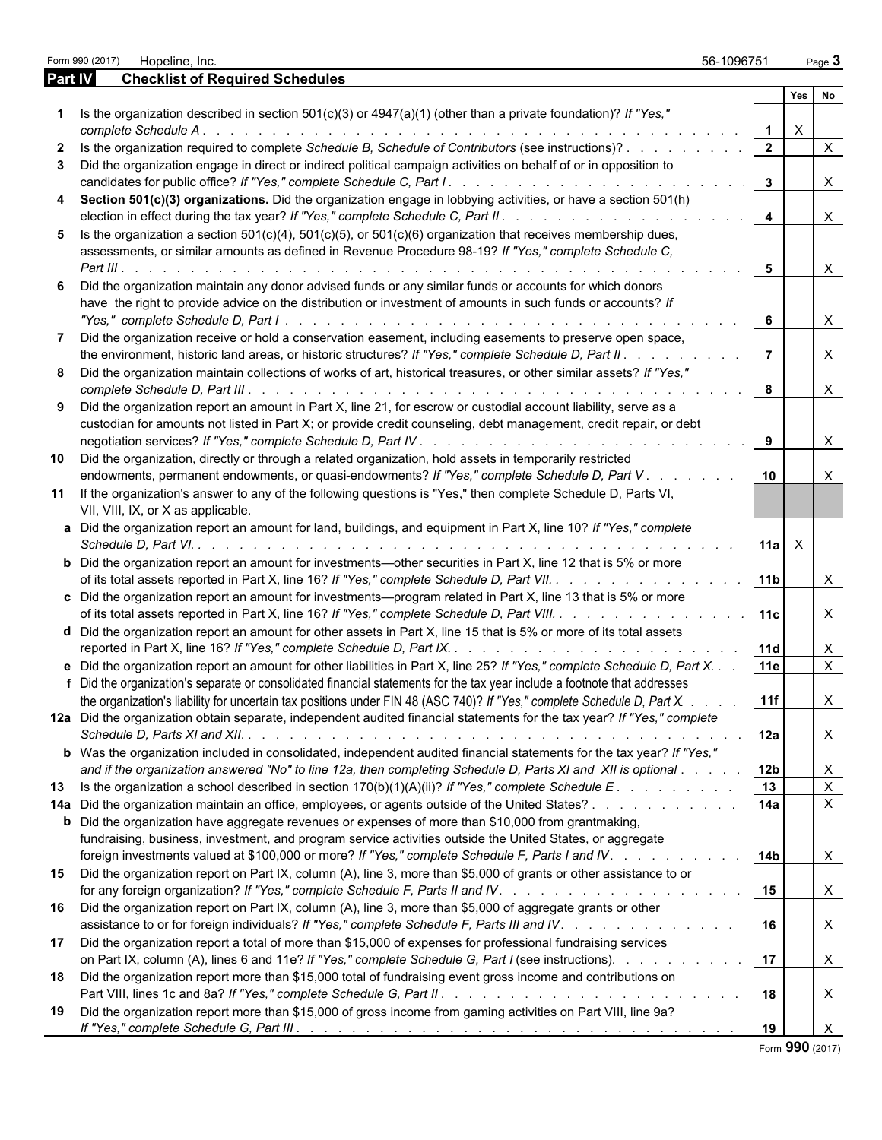|              |                | Form 990 (2017) Hopeline, Inc.                                                                                                                                                                                                                                                                                            | 56-1096751           |                |              | Page 3                       |
|--------------|----------------|---------------------------------------------------------------------------------------------------------------------------------------------------------------------------------------------------------------------------------------------------------------------------------------------------------------------------|----------------------|----------------|--------------|------------------------------|
|              | <b>Part IV</b> | <b>Checklist of Required Schedules</b>                                                                                                                                                                                                                                                                                    |                      |                |              |                              |
|              |                |                                                                                                                                                                                                                                                                                                                           |                      |                | Yes No       |                              |
|              |                | Is the organization described in section $501(c)(3)$ or $4947(a)(1)$ (other than a private foundation)? If "Yes,"                                                                                                                                                                                                         |                      |                | $\mathsf{X}$ |                              |
| $\mathbf{2}$ |                | Is the organization required to complete Schedule B, Schedule of Contributors (see instructions)?                                                                                                                                                                                                                         |                      |                |              | $\mathsf{X}$                 |
| 3            |                | Did the organization engage in direct or indirect political campaign activities on behalf of or in opposition to                                                                                                                                                                                                          | $\mathbf{3}$         |                |              | $\mathsf{X}$                 |
| 4            |                | Section 501(c)(3) organizations. Did the organization engage in lobbying activities, or have a section 501(h)                                                                                                                                                                                                             | $\overline{4}$       |                |              | $\mathsf{X}$                 |
| 5            |                | Is the organization a section $501(c)(4)$ , $501(c)(5)$ , or $501(c)(6)$ organization that receives membership dues,<br>assessments, or similar amounts as defined in Revenue Procedure 98-19? If "Yes," complete Schedule C,                                                                                             |                      |                |              |                              |
| 6            |                | Did the organization maintain any donor advised funds or any similar funds or accounts for which donors<br>have the right to provide advice on the distribution or investment of amounts in such funds or accounts? If                                                                                                    | $5\overline{5}$<br>6 |                |              | $\mathsf{X}$<br>$\mathsf{X}$ |
|              |                | Did the organization receive or hold a conservation easement, including easements to preserve open space,                                                                                                                                                                                                                 |                      |                |              |                              |
| 8            |                | the environment, historic land areas, or historic structures? If "Yes," complete Schedule D, Part II.<br>Did the organization maintain collections of works of art, historical treasures, or other similar assets? If "Yes,"                                                                                              | $\vert$ 7            |                |              | $\mathsf{X}$                 |
| 9            |                | Did the organization report an amount in Part X, line 21, for escrow or custodial account liability, serve as a                                                                                                                                                                                                           | 8                    |                |              | $\mathsf{X}$                 |
|              |                | custodian for amounts not listed in Part X; or provide credit counseling, debt management, credit repair, or debt                                                                                                                                                                                                         |                      |                |              | $\times$                     |
| 10           |                | Did the organization, directly or through a related organization, hold assets in temporarily restricted<br>endowments, permanent endowments, or quasi-endowments? If "Yes," complete Schedule D, Part V.                                                                                                                  | 10                   |                |              | X                            |
| 11           |                | If the organization's answer to any of the following questions is "Yes," then complete Schedule D, Parts VI,<br>VII, VIII, IX, or X as applicable.                                                                                                                                                                        |                      |                |              |                              |
|              |                | a Did the organization report an amount for land, buildings, and equipment in Part X, line 10? If "Yes," complete                                                                                                                                                                                                         |                      | $11a$ $\times$ |              |                              |
|              |                | <b>b</b> Did the organization report an amount for investments—other securities in Part X, line 12 that is 5% or more<br>of its total assets reported in Part X, line 16? If "Yes," complete Schedule D, Part VII.                                                                                                        | 11b                  |                |              | $\times$                     |
|              |                | c Did the organization report an amount for investments—program related in Part X, line 13 that is 5% or more<br>of its total assets reported in Part X, line 16? If "Yes," complete Schedule D, Part VIII.                                                                                                               | 11c                  |                |              | $\times$                     |
|              |                | <b>d</b> Did the organization report an amount for other assets in Part X, line 15 that is 5% or more of its total assets                                                                                                                                                                                                 | 11d                  |                |              | X                            |
|              |                | e Did the organization report an amount for other liabilities in Part X, line 25? If "Yes," complete Schedule D, Part X.                                                                                                                                                                                                  | 11e                  |                |              | $\mathsf{X}$                 |
|              |                | f Did the organization's separate or consolidated financial statements for the tax year include a footnote that addresses<br>the organization's liability for uncertain tax positions under FIN 48 (ASC 740)? If "Yes," complete Schedule D, Part X.                                                                      | 11f                  |                |              | ᄉ                            |
|              |                | 12a Did the organization obtain separate, independent audited financial statements for the tax year? If "Yes," complete                                                                                                                                                                                                   | 12a                  |                |              | X                            |
|              |                | b Was the organization included in consolidated, independent audited financial statements for the tax year? If "Yes,"<br>and if the organization answered "No" to line 12a, then completing Schedule D, Parts XI and XII is optional                                                                                      | 12b                  |                |              | X                            |
|              |                |                                                                                                                                                                                                                                                                                                                           | 13                   |                |              | $\mathsf{X}$                 |
|              |                | 14a Did the organization maintain an office, employees, or agents outside of the United States?<br><b>b</b> Did the organization have aggregate revenues or expenses of more than \$10,000 from grantmaking,<br>fundraising, business, investment, and program service activities outside the United States, or aggregate | 14a                  |                |              | $\mathsf{X}$                 |
| 15           |                | foreign investments valued at \$100,000 or more? If "Yes," complete Schedule F, Parts I and IV.<br>Did the organization report on Part IX, column (A), line 3, more than \$5,000 of grants or other assistance to or                                                                                                      | 14b <br>15           |                |              | X<br>X.                      |
| 16           |                | Did the organization report on Part IX, column (A), line 3, more than \$5,000 of aggregate grants or other<br>assistance to or for foreign individuals? If "Yes," complete Schedule F, Parts III and IV.                                                                                                                  | 16                   |                |              | $\times$                     |
| 17           |                | Did the organization report a total of more than \$15,000 of expenses for professional fundraising services<br>on Part IX, column (A), lines 6 and 11e? If "Yes," complete Schedule G, Part I (see instructions).                                                                                                         | 17                   |                |              | X                            |
| 18           |                | Did the organization report more than \$15,000 total of fundraising event gross income and contributions on                                                                                                                                                                                                               | 18                   |                |              | X                            |
| 19           |                | Did the organization report more than \$15,000 of gross income from gaming activities on Part VIII, line 9a?                                                                                                                                                                                                              | 19                   |                |              | X                            |

Form **990** (2017)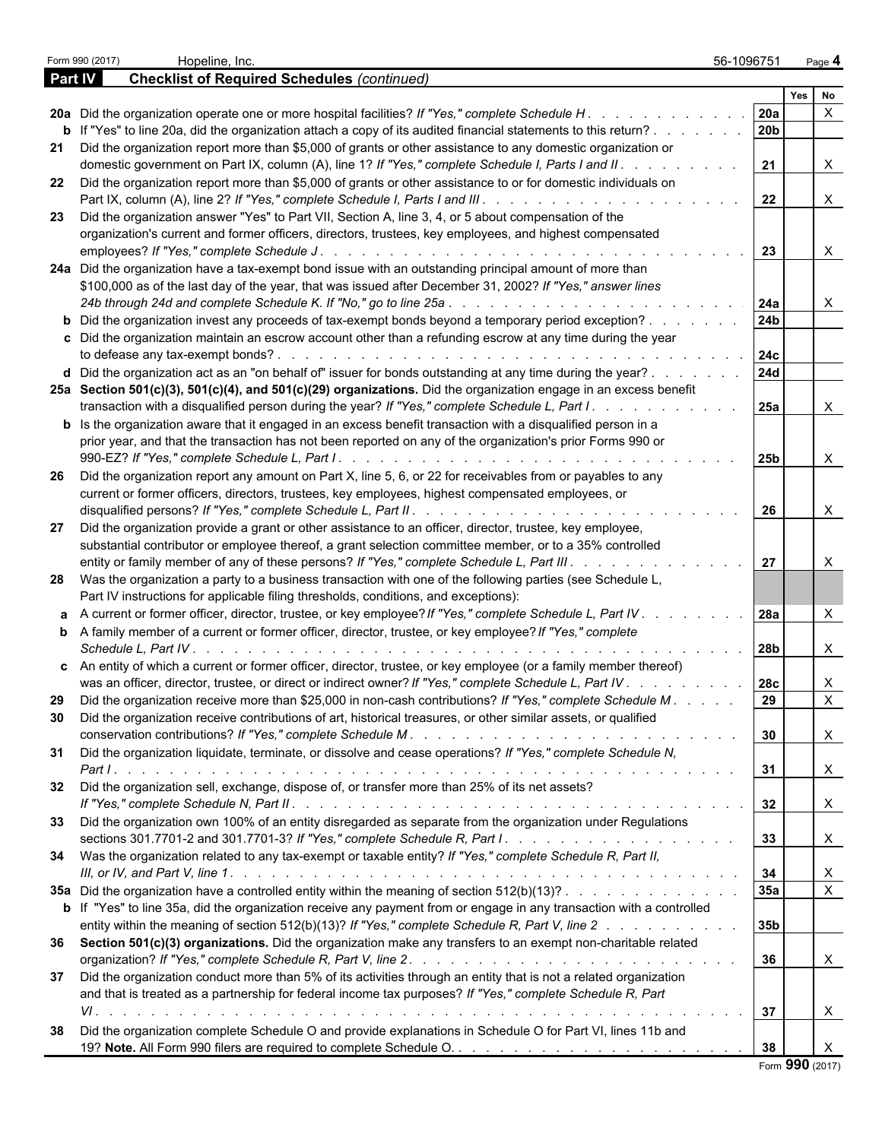|     | Form 990 (2017)<br>Hopeline, Inc.                                                                                                                                                                                                 | 56-1096751        | Page 4                    |   |
|-----|-----------------------------------------------------------------------------------------------------------------------------------------------------------------------------------------------------------------------------------|-------------------|---------------------------|---|
|     | <b>Checklist of Required Schedules (continued)</b><br><b>Part IV</b>                                                                                                                                                              |                   |                           |   |
|     |                                                                                                                                                                                                                                   |                   | <b>Yes</b><br>No          |   |
|     | 20a Did the organization operate one or more hospital facilities? If "Yes," complete Schedule H.<br><b>b</b> If "Yes" to line 20a, did the organization attach a copy of its audited financial statements to this return?         | <b>20a</b><br>20b |                           |   |
| 21  | Did the organization report more than \$5,000 of grants or other assistance to any domestic organization or                                                                                                                       |                   |                           |   |
|     | domestic government on Part IX, column (A), line 1? If "Yes," complete Schedule I, Parts I and II. .                                                                                                                              | 21                |                           | X |
| 22  | Did the organization report more than \$5,000 of grants or other assistance to or for domestic individuals on                                                                                                                     | 22                | X                         |   |
| 23  | Did the organization answer "Yes" to Part VII, Section A, line 3, 4, or 5 about compensation of the                                                                                                                               |                   |                           |   |
|     | organization's current and former officers, directors, trustees, key employees, and highest compensated                                                                                                                           |                   |                           |   |
|     |                                                                                                                                                                                                                                   | 23                | X                         |   |
|     | 24a Did the organization have a tax-exempt bond issue with an outstanding principal amount of more than                                                                                                                           |                   |                           |   |
|     | \$100,000 as of the last day of the year, that was issued after December 31, 2002? If "Yes," answer lines                                                                                                                         | 24a               | X                         |   |
|     | <b>b</b> Did the organization invest any proceeds of tax-exempt bonds beyond a temporary period exception?                                                                                                                        | 24 <sub>b</sub>   |                           |   |
|     | c Did the organization maintain an escrow account other than a refunding escrow at any time during the year                                                                                                                       |                   |                           |   |
|     |                                                                                                                                                                                                                                   | 24c               |                           |   |
|     | d Did the organization act as an "on behalf of" issuer for bonds outstanding at any time during the year?<br>25a Section 501(c)(3), 501(c)(4), and 501(c)(29) organizations. Did the organization engage in an excess benefit     | <b>24d</b>        |                           |   |
|     | transaction with a disqualified person during the year? If "Yes," complete Schedule L, Part I.                                                                                                                                    | 25a               |                           | X |
|     | <b>b</b> Is the organization aware that it engaged in an excess benefit transaction with a disqualified person in a<br>prior year, and that the transaction has not been reported on any of the organization's prior Forms 990 or |                   |                           |   |
|     |                                                                                                                                                                                                                                   | 25b               |                           | X |
| -26 | Did the organization report any amount on Part X, line 5, 6, or 22 for receivables from or payables to any                                                                                                                        |                   |                           |   |
|     | current or former officers, directors, trustees, key employees, highest compensated employees, or                                                                                                                                 | 26                |                           | Χ |
| 27  | Did the organization provide a grant or other assistance to an officer, director, trustee, key employee,                                                                                                                          |                   |                           |   |
|     | substantial contributor or employee thereof, a grant selection committee member, or to a 35% controlled<br>entity or family member of any of these persons? If "Yes," complete Schedule L, Part III.                              | 27                |                           | X |
|     | 28 Was the organization a party to a business transaction with one of the following parties (see Schedule L,                                                                                                                      |                   |                           |   |
|     | Part IV instructions for applicable filing thresholds, conditions, and exceptions):                                                                                                                                               |                   |                           |   |
|     | a A current or former officer, director, trustee, or key employee? If "Yes," complete Schedule L, Part IV.                                                                                                                        | 28a               |                           |   |
|     | <b>b</b> A family member of a current or former officer, director, trustee, or key employee? If "Yes," complete                                                                                                                   |                   |                           |   |
|     | Schedule L. Part IV.                                                                                                                                                                                                              | 28b               | X                         |   |
|     | c An entity of which a current or former officer, director, trustee, or key employee (or a family member thereof)<br>was an officer, director, trustee, or direct or indirect owner? If "Yes," complete Schedule L, Part IV       | <b>28c</b>        |                           | Χ |
| 29  | Did the organization receive more than \$25,000 in non-cash contributions? If "Yes," complete Schedule M.                                                                                                                         | 29                | X                         |   |
| 30  | Did the organization receive contributions of art, historical treasures, or other similar assets, or qualified                                                                                                                    | 30                | X                         |   |
| 31  | Did the organization liquidate, terminate, or dissolve and cease operations? If "Yes," complete Schedule N,                                                                                                                       |                   |                           |   |
|     |                                                                                                                                                                                                                                   | 31                | $\boldsymbol{\mathsf{X}}$ |   |
| 32  | Did the organization sell, exchange, dispose of, or transfer more than 25% of its net assets?                                                                                                                                     | 32                | $\mathsf{X}$              |   |
|     | 33 Did the organization own 100% of an entity disregarded as separate from the organization under Regulations                                                                                                                     |                   |                           |   |
|     |                                                                                                                                                                                                                                   | 33                | $\boldsymbol{\mathsf{X}}$ |   |
|     | 34 Was the organization related to any tax-exempt or taxable entity? If "Yes," complete Schedule R, Part II,                                                                                                                      |                   |                           |   |
|     |                                                                                                                                                                                                                                   | 34                | X                         |   |
|     | 35a Did the organization have a controlled entity within the meaning of section 512(b)(13)?                                                                                                                                       | 35a               | $\mathsf{X}$              |   |
|     | b If "Yes" to line 35a, did the organization receive any payment from or engage in any transaction with a controlled<br>entity within the meaning of section 512(b)(13)? If "Yes," complete Schedule R, Part V, line 2            | 35b               |                           |   |
|     | 36 Section 501(c)(3) organizations. Did the organization make any transfers to an exempt non-charitable related                                                                                                                   |                   |                           |   |
|     |                                                                                                                                                                                                                                   | 36                | $\boldsymbol{\mathsf{X}}$ |   |
| 37  | Did the organization conduct more than 5% of its activities through an entity that is not a related organization                                                                                                                  |                   |                           |   |
|     | and that is treated as a partnership for federal income tax purposes? If "Yes," complete Schedule R, Part                                                                                                                         |                   |                           |   |
|     |                                                                                                                                                                                                                                   | 37                | X                         |   |
| 38  | Did the organization complete Schedule O and provide explanations in Schedule O for Part VI, lines 11b and                                                                                                                        |                   |                           |   |
|     |                                                                                                                                                                                                                                   | 38                | X<br>Form 990 (2017)      |   |

|  |  | Form 990 (2017) |
|--|--|-----------------|
|--|--|-----------------|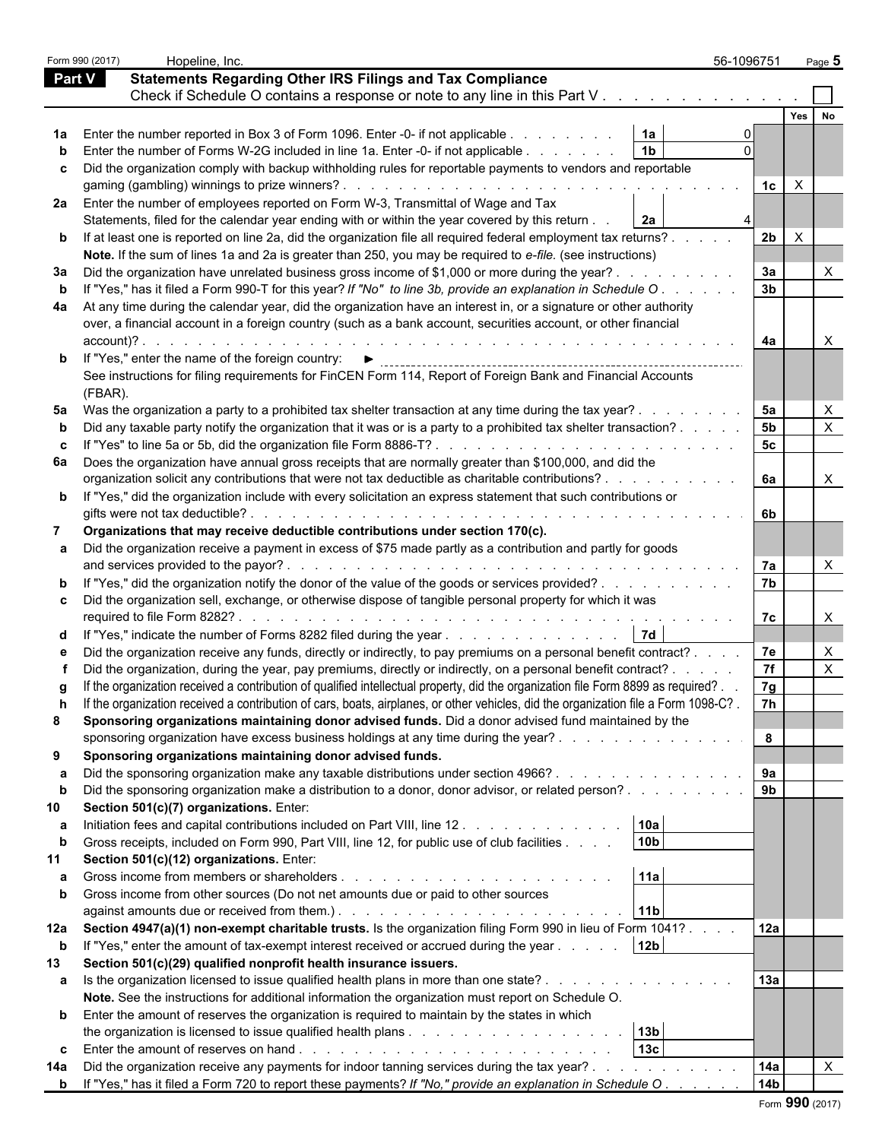| <b>Statements Regarding Other IRS Filings and Tax Compliance</b><br>Part V<br>Check if Schedule O contains a response or note to any line in this Part V.<br>Yes<br>Enter the number reported in Box 3 of Form 1096. Enter -0- if not applicable<br>1a<br>1 <sub>b</sub><br>Enter the number of Forms W-2G included in line 1a. Enter -0- if not applicable.<br>Did the organization comply with backup withholding rules for reportable payments to vendors and reportable<br>$\times$<br>1c<br>Enter the number of employees reported on Form W-3, Transmittal of Wage and Tax<br>2a<br>Statements, filed for the calendar year ending with or within the year covered by this return.<br>2 <sub>b</sub><br>$\times$<br>If at least one is reported on line 2a, did the organization file all required federal employment tax returns?.<br>Note. If the sum of lines 1a and 2a is greater than 250, you may be required to e-file. (see instructions)<br>3a<br>Did the organization have unrelated business gross income of \$1,000 or more during the year?.<br>3 <sub>b</sub><br>If "Yes," has it filed a Form 990-T for this year? If "No" to line 3b, provide an explanation in Schedule O.<br>At any time during the calendar year, did the organization have an interest in, or a signature or other authority<br>over, a financial account in a foreign country (such as a bank account, securities account, or other financial<br>account)?.<br>4a<br>$\times$<br>If "Yes," enter the name of the foreign country: ▶<br>See instructions for filing requirements for FinCEN Form 114, Report of Foreign Bank and Financial Accounts<br>(FBAR)<br>5a<br>Was the organization a party to a prohibited tax shelter transaction at any time during the tax year?.<br>X<br>5 <sub>b</sub><br>X<br>Did any taxable party notify the organization that it was or is a party to a prohibited tax shelter transaction?.<br>5 <sub>c</sub><br>If "Yes" to line 5a or 5b, did the organization file Form 8886-T?<br>and the state of the state of the state of the<br>Does the organization have annual gross receipts that are normally greater than \$100,000, and did the<br>6a<br>organization solicit any contributions that were not tax deductible as charitable contributions?.<br>$\times$<br>b If "Yes," did the organization include with every solicitation an express statement that such contributions or<br>gifts were not tax deductible?<br>6b<br>de la caractería de la caractería de la caractería de la caractería de la caractería<br>Organizations that may receive deductible contributions under section 170(c).<br>Did the organization receive a payment in excess of \$75 made partly as a contribution and partly for goods<br>and services provided to the payor?.<br>7a<br>the contract of the contract of the contract of the contract of the contract of the contract of the contract of the contract of the contract of the contract of the contract of the contract of the contract of the contract o<br>7b<br>If "Yes," did the organization notify the donor of the value of the goods or services provided?<br>Did the organization sell, exchange, or otherwise dispose of tangible personal property for which it was<br>required to file Form 8282?<br>7c<br>$\times$<br>de la caractería de la caractería de la caractería de la caractería<br>7d<br>If "Yes," indicate the number of Forms 8282 filed during the year<br>7e<br>Did the organization receive any funds, directly or indirectly, to pay premiums on a personal benefit contract?.<br>X<br>7f<br>$\times$<br>Did the organization, during the year, pay premiums, directly or indirectly, on a personal benefit contract? .<br>If the organization received a contribution of qualified intellectual property, did the organization file Form 8899 as required?<br>7g<br>If the organization received a contribution of cars, boats, airplanes, or other vehicles, did the organization file a Form 1098-C?.<br>7h<br>Sponsoring organizations maintaining donor advised funds. Did a donor advised fund maintained by the<br>sponsoring organization have excess business holdings at any time during the year?<br>8<br>Sponsoring organizations maintaining donor advised funds.<br>9a<br>Did the sponsoring organization make any taxable distributions under section 4966?<br>9 <sub>b</sub><br>Did the sponsoring organization make a distribution to a donor, donor advisor, or related person?<br>Section 501(c)(7) organizations. Enter:<br>10a<br>Initiation fees and capital contributions included on Part VIII, line 12. .<br>10 <sub>b</sub><br>Gross receipts, included on Form 990, Part VIII, line 12, for public use of club facilities.<br>Section 501(c)(12) organizations. Enter:<br>11a<br>Gross income from other sources (Do not net amounts due or paid to other sources<br>11 <sub>b</sub><br>against amounts due or received from them.). The substitution of the state of the state of the state of the state of the state of the state of the state of the state of the state of the state of the state of the state of t<br>Section 4947(a)(1) non-exempt charitable trusts. Is the organization filing Form 990 in lieu of Form 1041?.<br>12a<br>12 <sub>b</sub><br>If "Yes," enter the amount of tax-exempt interest received or accrued during the year<br>Section 501(c)(29) qualified nonprofit health insurance issuers.<br>13a<br>Is the organization licensed to issue qualified health plans in more than one state?.<br>Note. See the instructions for additional information the organization must report on Schedule O.<br><b>b</b> Enter the amount of reserves the organization is required to maintain by the states in which<br>13 <sub>b</sub><br>13 <sub>c</sub><br>Did the organization receive any payments for indoor tanning services during the tax year?.<br>14a<br>X<br>the contract of the contract of<br>14 <sub>b</sub><br><b>b</b> If "Yes," has it filed a Form 720 to report these payments? If "No," provide an explanation in Schedule O. |     | Form 990 (2017) | Hopeline, Inc. | 56-1096751 | Page 5 |
|---------------------------------------------------------------------------------------------------------------------------------------------------------------------------------------------------------------------------------------------------------------------------------------------------------------------------------------------------------------------------------------------------------------------------------------------------------------------------------------------------------------------------------------------------------------------------------------------------------------------------------------------------------------------------------------------------------------------------------------------------------------------------------------------------------------------------------------------------------------------------------------------------------------------------------------------------------------------------------------------------------------------------------------------------------------------------------------------------------------------------------------------------------------------------------------------------------------------------------------------------------------------------------------------------------------------------------------------------------------------------------------------------------------------------------------------------------------------------------------------------------------------------------------------------------------------------------------------------------------------------------------------------------------------------------------------------------------------------------------------------------------------------------------------------------------------------------------------------------------------------------------------------------------------------------------------------------------------------------------------------------------------------------------------------------------------------------------------------------------------------------------------------------------------------------------------------------------------------------------------------------------------------------------------------------------------------------------------------------------------------------------------------------------------------------------------------------------------------------------------------------------------------------------------------------------------------------------------------------------------------------------------------------------------------------------------------------------------------------------------------------------------------------------------------------------------------------------------------------------------------------------------------------------------------------------------------------------------------------------------------------------------------------------------------------------------------------------------------------------------------------------------------------------------------------------------------------------------------------------------------------------------------------------------------------------------------------------------------------------------------------------------------------------------------------------------------------------------------------------------------------------------------------------------------------------------------------------------------------------------------------------------------------------------------------------------------------------------------------------------------------------------------------------------------------------------------------------------------------------------------------------------------------------------------------------------------------------------------------------------------------------------------------------------------------------------------------------------------------------------------------------------------------------------------------------------------------------------------------------------------------------------------------------------------------------------------------------------------------------------------------------------------------------------------------------------------------------------------------------------------------------------------------------------------------------------------------------------------------------------------------------------------------------------------------------------------------------------------------------------------------------------------------------------------------------------------------------------------------------------------------------------------------------------------------------------------------------------------------------------------------------------------------------------------------------------------------------------------------------------------------------------------------------------------------------------------------------------------------------------------------------------------------------------------------------------------------------------------------------------------------------------------------------------------------------------------------------------------------------------------------------------------------------------------------------------------------------------------------------------------------------------------------------------------------------------------------------------------------------------------------------------------------------------------------------------------------------------------------------------------------------------------------------------------------------------------------------------------------------------------------------------------------------------------------------------------------------------------------------|-----|-----------------|----------------|------------|--------|
|                                                                                                                                                                                                                                                                                                                                                                                                                                                                                                                                                                                                                                                                                                                                                                                                                                                                                                                                                                                                                                                                                                                                                                                                                                                                                                                                                                                                                                                                                                                                                                                                                                                                                                                                                                                                                                                                                                                                                                                                                                                                                                                                                                                                                                                                                                                                                                                                                                                                                                                                                                                                                                                                                                                                                                                                                                                                                                                                                                                                                                                                                                                                                                                                                                                                                                                                                                                                                                                                                                                                                                                                                                                                                                                                                                                                                                                                                                                                                                                                                                                                                                                                                                                                                                                                                                                                                                                                                                                                                                                                                                                                                                                                                                                                                                                                                                                                                                                                                                                                                                                                                                                                                                                                                                                                                                                                                                                                                                                                                                                                                                                                                                                                                                                                                                                                                                                                                                                                                                                                                                                                                                               |     |                 |                |            |        |
|                                                                                                                                                                                                                                                                                                                                                                                                                                                                                                                                                                                                                                                                                                                                                                                                                                                                                                                                                                                                                                                                                                                                                                                                                                                                                                                                                                                                                                                                                                                                                                                                                                                                                                                                                                                                                                                                                                                                                                                                                                                                                                                                                                                                                                                                                                                                                                                                                                                                                                                                                                                                                                                                                                                                                                                                                                                                                                                                                                                                                                                                                                                                                                                                                                                                                                                                                                                                                                                                                                                                                                                                                                                                                                                                                                                                                                                                                                                                                                                                                                                                                                                                                                                                                                                                                                                                                                                                                                                                                                                                                                                                                                                                                                                                                                                                                                                                                                                                                                                                                                                                                                                                                                                                                                                                                                                                                                                                                                                                                                                                                                                                                                                                                                                                                                                                                                                                                                                                                                                                                                                                                                               |     |                 |                |            |        |
|                                                                                                                                                                                                                                                                                                                                                                                                                                                                                                                                                                                                                                                                                                                                                                                                                                                                                                                                                                                                                                                                                                                                                                                                                                                                                                                                                                                                                                                                                                                                                                                                                                                                                                                                                                                                                                                                                                                                                                                                                                                                                                                                                                                                                                                                                                                                                                                                                                                                                                                                                                                                                                                                                                                                                                                                                                                                                                                                                                                                                                                                                                                                                                                                                                                                                                                                                                                                                                                                                                                                                                                                                                                                                                                                                                                                                                                                                                                                                                                                                                                                                                                                                                                                                                                                                                                                                                                                                                                                                                                                                                                                                                                                                                                                                                                                                                                                                                                                                                                                                                                                                                                                                                                                                                                                                                                                                                                                                                                                                                                                                                                                                                                                                                                                                                                                                                                                                                                                                                                                                                                                                                               |     |                 |                |            |        |
|                                                                                                                                                                                                                                                                                                                                                                                                                                                                                                                                                                                                                                                                                                                                                                                                                                                                                                                                                                                                                                                                                                                                                                                                                                                                                                                                                                                                                                                                                                                                                                                                                                                                                                                                                                                                                                                                                                                                                                                                                                                                                                                                                                                                                                                                                                                                                                                                                                                                                                                                                                                                                                                                                                                                                                                                                                                                                                                                                                                                                                                                                                                                                                                                                                                                                                                                                                                                                                                                                                                                                                                                                                                                                                                                                                                                                                                                                                                                                                                                                                                                                                                                                                                                                                                                                                                                                                                                                                                                                                                                                                                                                                                                                                                                                                                                                                                                                                                                                                                                                                                                                                                                                                                                                                                                                                                                                                                                                                                                                                                                                                                                                                                                                                                                                                                                                                                                                                                                                                                                                                                                                                               |     |                 |                |            |        |
|                                                                                                                                                                                                                                                                                                                                                                                                                                                                                                                                                                                                                                                                                                                                                                                                                                                                                                                                                                                                                                                                                                                                                                                                                                                                                                                                                                                                                                                                                                                                                                                                                                                                                                                                                                                                                                                                                                                                                                                                                                                                                                                                                                                                                                                                                                                                                                                                                                                                                                                                                                                                                                                                                                                                                                                                                                                                                                                                                                                                                                                                                                                                                                                                                                                                                                                                                                                                                                                                                                                                                                                                                                                                                                                                                                                                                                                                                                                                                                                                                                                                                                                                                                                                                                                                                                                                                                                                                                                                                                                                                                                                                                                                                                                                                                                                                                                                                                                                                                                                                                                                                                                                                                                                                                                                                                                                                                                                                                                                                                                                                                                                                                                                                                                                                                                                                                                                                                                                                                                                                                                                                                               |     |                 |                |            |        |
|                                                                                                                                                                                                                                                                                                                                                                                                                                                                                                                                                                                                                                                                                                                                                                                                                                                                                                                                                                                                                                                                                                                                                                                                                                                                                                                                                                                                                                                                                                                                                                                                                                                                                                                                                                                                                                                                                                                                                                                                                                                                                                                                                                                                                                                                                                                                                                                                                                                                                                                                                                                                                                                                                                                                                                                                                                                                                                                                                                                                                                                                                                                                                                                                                                                                                                                                                                                                                                                                                                                                                                                                                                                                                                                                                                                                                                                                                                                                                                                                                                                                                                                                                                                                                                                                                                                                                                                                                                                                                                                                                                                                                                                                                                                                                                                                                                                                                                                                                                                                                                                                                                                                                                                                                                                                                                                                                                                                                                                                                                                                                                                                                                                                                                                                                                                                                                                                                                                                                                                                                                                                                                               |     |                 |                |            |        |
|                                                                                                                                                                                                                                                                                                                                                                                                                                                                                                                                                                                                                                                                                                                                                                                                                                                                                                                                                                                                                                                                                                                                                                                                                                                                                                                                                                                                                                                                                                                                                                                                                                                                                                                                                                                                                                                                                                                                                                                                                                                                                                                                                                                                                                                                                                                                                                                                                                                                                                                                                                                                                                                                                                                                                                                                                                                                                                                                                                                                                                                                                                                                                                                                                                                                                                                                                                                                                                                                                                                                                                                                                                                                                                                                                                                                                                                                                                                                                                                                                                                                                                                                                                                                                                                                                                                                                                                                                                                                                                                                                                                                                                                                                                                                                                                                                                                                                                                                                                                                                                                                                                                                                                                                                                                                                                                                                                                                                                                                                                                                                                                                                                                                                                                                                                                                                                                                                                                                                                                                                                                                                                               |     |                 |                |            |        |
|                                                                                                                                                                                                                                                                                                                                                                                                                                                                                                                                                                                                                                                                                                                                                                                                                                                                                                                                                                                                                                                                                                                                                                                                                                                                                                                                                                                                                                                                                                                                                                                                                                                                                                                                                                                                                                                                                                                                                                                                                                                                                                                                                                                                                                                                                                                                                                                                                                                                                                                                                                                                                                                                                                                                                                                                                                                                                                                                                                                                                                                                                                                                                                                                                                                                                                                                                                                                                                                                                                                                                                                                                                                                                                                                                                                                                                                                                                                                                                                                                                                                                                                                                                                                                                                                                                                                                                                                                                                                                                                                                                                                                                                                                                                                                                                                                                                                                                                                                                                                                                                                                                                                                                                                                                                                                                                                                                                                                                                                                                                                                                                                                                                                                                                                                                                                                                                                                                                                                                                                                                                                                                               |     |                 |                |            |        |
|                                                                                                                                                                                                                                                                                                                                                                                                                                                                                                                                                                                                                                                                                                                                                                                                                                                                                                                                                                                                                                                                                                                                                                                                                                                                                                                                                                                                                                                                                                                                                                                                                                                                                                                                                                                                                                                                                                                                                                                                                                                                                                                                                                                                                                                                                                                                                                                                                                                                                                                                                                                                                                                                                                                                                                                                                                                                                                                                                                                                                                                                                                                                                                                                                                                                                                                                                                                                                                                                                                                                                                                                                                                                                                                                                                                                                                                                                                                                                                                                                                                                                                                                                                                                                                                                                                                                                                                                                                                                                                                                                                                                                                                                                                                                                                                                                                                                                                                                                                                                                                                                                                                                                                                                                                                                                                                                                                                                                                                                                                                                                                                                                                                                                                                                                                                                                                                                                                                                                                                                                                                                                                               | 2a  |                 |                |            |        |
|                                                                                                                                                                                                                                                                                                                                                                                                                                                                                                                                                                                                                                                                                                                                                                                                                                                                                                                                                                                                                                                                                                                                                                                                                                                                                                                                                                                                                                                                                                                                                                                                                                                                                                                                                                                                                                                                                                                                                                                                                                                                                                                                                                                                                                                                                                                                                                                                                                                                                                                                                                                                                                                                                                                                                                                                                                                                                                                                                                                                                                                                                                                                                                                                                                                                                                                                                                                                                                                                                                                                                                                                                                                                                                                                                                                                                                                                                                                                                                                                                                                                                                                                                                                                                                                                                                                                                                                                                                                                                                                                                                                                                                                                                                                                                                                                                                                                                                                                                                                                                                                                                                                                                                                                                                                                                                                                                                                                                                                                                                                                                                                                                                                                                                                                                                                                                                                                                                                                                                                                                                                                                                               |     |                 |                |            |        |
|                                                                                                                                                                                                                                                                                                                                                                                                                                                                                                                                                                                                                                                                                                                                                                                                                                                                                                                                                                                                                                                                                                                                                                                                                                                                                                                                                                                                                                                                                                                                                                                                                                                                                                                                                                                                                                                                                                                                                                                                                                                                                                                                                                                                                                                                                                                                                                                                                                                                                                                                                                                                                                                                                                                                                                                                                                                                                                                                                                                                                                                                                                                                                                                                                                                                                                                                                                                                                                                                                                                                                                                                                                                                                                                                                                                                                                                                                                                                                                                                                                                                                                                                                                                                                                                                                                                                                                                                                                                                                                                                                                                                                                                                                                                                                                                                                                                                                                                                                                                                                                                                                                                                                                                                                                                                                                                                                                                                                                                                                                                                                                                                                                                                                                                                                                                                                                                                                                                                                                                                                                                                                                               | b   |                 |                |            |        |
|                                                                                                                                                                                                                                                                                                                                                                                                                                                                                                                                                                                                                                                                                                                                                                                                                                                                                                                                                                                                                                                                                                                                                                                                                                                                                                                                                                                                                                                                                                                                                                                                                                                                                                                                                                                                                                                                                                                                                                                                                                                                                                                                                                                                                                                                                                                                                                                                                                                                                                                                                                                                                                                                                                                                                                                                                                                                                                                                                                                                                                                                                                                                                                                                                                                                                                                                                                                                                                                                                                                                                                                                                                                                                                                                                                                                                                                                                                                                                                                                                                                                                                                                                                                                                                                                                                                                                                                                                                                                                                                                                                                                                                                                                                                                                                                                                                                                                                                                                                                                                                                                                                                                                                                                                                                                                                                                                                                                                                                                                                                                                                                                                                                                                                                                                                                                                                                                                                                                                                                                                                                                                                               |     |                 |                |            |        |
|                                                                                                                                                                                                                                                                                                                                                                                                                                                                                                                                                                                                                                                                                                                                                                                                                                                                                                                                                                                                                                                                                                                                                                                                                                                                                                                                                                                                                                                                                                                                                                                                                                                                                                                                                                                                                                                                                                                                                                                                                                                                                                                                                                                                                                                                                                                                                                                                                                                                                                                                                                                                                                                                                                                                                                                                                                                                                                                                                                                                                                                                                                                                                                                                                                                                                                                                                                                                                                                                                                                                                                                                                                                                                                                                                                                                                                                                                                                                                                                                                                                                                                                                                                                                                                                                                                                                                                                                                                                                                                                                                                                                                                                                                                                                                                                                                                                                                                                                                                                                                                                                                                                                                                                                                                                                                                                                                                                                                                                                                                                                                                                                                                                                                                                                                                                                                                                                                                                                                                                                                                                                                                               | За  |                 |                |            |        |
|                                                                                                                                                                                                                                                                                                                                                                                                                                                                                                                                                                                                                                                                                                                                                                                                                                                                                                                                                                                                                                                                                                                                                                                                                                                                                                                                                                                                                                                                                                                                                                                                                                                                                                                                                                                                                                                                                                                                                                                                                                                                                                                                                                                                                                                                                                                                                                                                                                                                                                                                                                                                                                                                                                                                                                                                                                                                                                                                                                                                                                                                                                                                                                                                                                                                                                                                                                                                                                                                                                                                                                                                                                                                                                                                                                                                                                                                                                                                                                                                                                                                                                                                                                                                                                                                                                                                                                                                                                                                                                                                                                                                                                                                                                                                                                                                                                                                                                                                                                                                                                                                                                                                                                                                                                                                                                                                                                                                                                                                                                                                                                                                                                                                                                                                                                                                                                                                                                                                                                                                                                                                                                               |     |                 |                |            |        |
|                                                                                                                                                                                                                                                                                                                                                                                                                                                                                                                                                                                                                                                                                                                                                                                                                                                                                                                                                                                                                                                                                                                                                                                                                                                                                                                                                                                                                                                                                                                                                                                                                                                                                                                                                                                                                                                                                                                                                                                                                                                                                                                                                                                                                                                                                                                                                                                                                                                                                                                                                                                                                                                                                                                                                                                                                                                                                                                                                                                                                                                                                                                                                                                                                                                                                                                                                                                                                                                                                                                                                                                                                                                                                                                                                                                                                                                                                                                                                                                                                                                                                                                                                                                                                                                                                                                                                                                                                                                                                                                                                                                                                                                                                                                                                                                                                                                                                                                                                                                                                                                                                                                                                                                                                                                                                                                                                                                                                                                                                                                                                                                                                                                                                                                                                                                                                                                                                                                                                                                                                                                                                                               | 4a  |                 |                |            |        |
|                                                                                                                                                                                                                                                                                                                                                                                                                                                                                                                                                                                                                                                                                                                                                                                                                                                                                                                                                                                                                                                                                                                                                                                                                                                                                                                                                                                                                                                                                                                                                                                                                                                                                                                                                                                                                                                                                                                                                                                                                                                                                                                                                                                                                                                                                                                                                                                                                                                                                                                                                                                                                                                                                                                                                                                                                                                                                                                                                                                                                                                                                                                                                                                                                                                                                                                                                                                                                                                                                                                                                                                                                                                                                                                                                                                                                                                                                                                                                                                                                                                                                                                                                                                                                                                                                                                                                                                                                                                                                                                                                                                                                                                                                                                                                                                                                                                                                                                                                                                                                                                                                                                                                                                                                                                                                                                                                                                                                                                                                                                                                                                                                                                                                                                                                                                                                                                                                                                                                                                                                                                                                                               |     |                 |                |            |        |
|                                                                                                                                                                                                                                                                                                                                                                                                                                                                                                                                                                                                                                                                                                                                                                                                                                                                                                                                                                                                                                                                                                                                                                                                                                                                                                                                                                                                                                                                                                                                                                                                                                                                                                                                                                                                                                                                                                                                                                                                                                                                                                                                                                                                                                                                                                                                                                                                                                                                                                                                                                                                                                                                                                                                                                                                                                                                                                                                                                                                                                                                                                                                                                                                                                                                                                                                                                                                                                                                                                                                                                                                                                                                                                                                                                                                                                                                                                                                                                                                                                                                                                                                                                                                                                                                                                                                                                                                                                                                                                                                                                                                                                                                                                                                                                                                                                                                                                                                                                                                                                                                                                                                                                                                                                                                                                                                                                                                                                                                                                                                                                                                                                                                                                                                                                                                                                                                                                                                                                                                                                                                                                               |     |                 |                |            |        |
|                                                                                                                                                                                                                                                                                                                                                                                                                                                                                                                                                                                                                                                                                                                                                                                                                                                                                                                                                                                                                                                                                                                                                                                                                                                                                                                                                                                                                                                                                                                                                                                                                                                                                                                                                                                                                                                                                                                                                                                                                                                                                                                                                                                                                                                                                                                                                                                                                                                                                                                                                                                                                                                                                                                                                                                                                                                                                                                                                                                                                                                                                                                                                                                                                                                                                                                                                                                                                                                                                                                                                                                                                                                                                                                                                                                                                                                                                                                                                                                                                                                                                                                                                                                                                                                                                                                                                                                                                                                                                                                                                                                                                                                                                                                                                                                                                                                                                                                                                                                                                                                                                                                                                                                                                                                                                                                                                                                                                                                                                                                                                                                                                                                                                                                                                                                                                                                                                                                                                                                                                                                                                                               | b   |                 |                |            |        |
|                                                                                                                                                                                                                                                                                                                                                                                                                                                                                                                                                                                                                                                                                                                                                                                                                                                                                                                                                                                                                                                                                                                                                                                                                                                                                                                                                                                                                                                                                                                                                                                                                                                                                                                                                                                                                                                                                                                                                                                                                                                                                                                                                                                                                                                                                                                                                                                                                                                                                                                                                                                                                                                                                                                                                                                                                                                                                                                                                                                                                                                                                                                                                                                                                                                                                                                                                                                                                                                                                                                                                                                                                                                                                                                                                                                                                                                                                                                                                                                                                                                                                                                                                                                                                                                                                                                                                                                                                                                                                                                                                                                                                                                                                                                                                                                                                                                                                                                                                                                                                                                                                                                                                                                                                                                                                                                                                                                                                                                                                                                                                                                                                                                                                                                                                                                                                                                                                                                                                                                                                                                                                                               |     |                 |                |            |        |
|                                                                                                                                                                                                                                                                                                                                                                                                                                                                                                                                                                                                                                                                                                                                                                                                                                                                                                                                                                                                                                                                                                                                                                                                                                                                                                                                                                                                                                                                                                                                                                                                                                                                                                                                                                                                                                                                                                                                                                                                                                                                                                                                                                                                                                                                                                                                                                                                                                                                                                                                                                                                                                                                                                                                                                                                                                                                                                                                                                                                                                                                                                                                                                                                                                                                                                                                                                                                                                                                                                                                                                                                                                                                                                                                                                                                                                                                                                                                                                                                                                                                                                                                                                                                                                                                                                                                                                                                                                                                                                                                                                                                                                                                                                                                                                                                                                                                                                                                                                                                                                                                                                                                                                                                                                                                                                                                                                                                                                                                                                                                                                                                                                                                                                                                                                                                                                                                                                                                                                                                                                                                                                               |     |                 |                |            |        |
|                                                                                                                                                                                                                                                                                                                                                                                                                                                                                                                                                                                                                                                                                                                                                                                                                                                                                                                                                                                                                                                                                                                                                                                                                                                                                                                                                                                                                                                                                                                                                                                                                                                                                                                                                                                                                                                                                                                                                                                                                                                                                                                                                                                                                                                                                                                                                                                                                                                                                                                                                                                                                                                                                                                                                                                                                                                                                                                                                                                                                                                                                                                                                                                                                                                                                                                                                                                                                                                                                                                                                                                                                                                                                                                                                                                                                                                                                                                                                                                                                                                                                                                                                                                                                                                                                                                                                                                                                                                                                                                                                                                                                                                                                                                                                                                                                                                                                                                                                                                                                                                                                                                                                                                                                                                                                                                                                                                                                                                                                                                                                                                                                                                                                                                                                                                                                                                                                                                                                                                                                                                                                                               | 5a  |                 |                |            |        |
|                                                                                                                                                                                                                                                                                                                                                                                                                                                                                                                                                                                                                                                                                                                                                                                                                                                                                                                                                                                                                                                                                                                                                                                                                                                                                                                                                                                                                                                                                                                                                                                                                                                                                                                                                                                                                                                                                                                                                                                                                                                                                                                                                                                                                                                                                                                                                                                                                                                                                                                                                                                                                                                                                                                                                                                                                                                                                                                                                                                                                                                                                                                                                                                                                                                                                                                                                                                                                                                                                                                                                                                                                                                                                                                                                                                                                                                                                                                                                                                                                                                                                                                                                                                                                                                                                                                                                                                                                                                                                                                                                                                                                                                                                                                                                                                                                                                                                                                                                                                                                                                                                                                                                                                                                                                                                                                                                                                                                                                                                                                                                                                                                                                                                                                                                                                                                                                                                                                                                                                                                                                                                                               |     |                 |                |            |        |
|                                                                                                                                                                                                                                                                                                                                                                                                                                                                                                                                                                                                                                                                                                                                                                                                                                                                                                                                                                                                                                                                                                                                                                                                                                                                                                                                                                                                                                                                                                                                                                                                                                                                                                                                                                                                                                                                                                                                                                                                                                                                                                                                                                                                                                                                                                                                                                                                                                                                                                                                                                                                                                                                                                                                                                                                                                                                                                                                                                                                                                                                                                                                                                                                                                                                                                                                                                                                                                                                                                                                                                                                                                                                                                                                                                                                                                                                                                                                                                                                                                                                                                                                                                                                                                                                                                                                                                                                                                                                                                                                                                                                                                                                                                                                                                                                                                                                                                                                                                                                                                                                                                                                                                                                                                                                                                                                                                                                                                                                                                                                                                                                                                                                                                                                                                                                                                                                                                                                                                                                                                                                                                               |     |                 |                |            |        |
|                                                                                                                                                                                                                                                                                                                                                                                                                                                                                                                                                                                                                                                                                                                                                                                                                                                                                                                                                                                                                                                                                                                                                                                                                                                                                                                                                                                                                                                                                                                                                                                                                                                                                                                                                                                                                                                                                                                                                                                                                                                                                                                                                                                                                                                                                                                                                                                                                                                                                                                                                                                                                                                                                                                                                                                                                                                                                                                                                                                                                                                                                                                                                                                                                                                                                                                                                                                                                                                                                                                                                                                                                                                                                                                                                                                                                                                                                                                                                                                                                                                                                                                                                                                                                                                                                                                                                                                                                                                                                                                                                                                                                                                                                                                                                                                                                                                                                                                                                                                                                                                                                                                                                                                                                                                                                                                                                                                                                                                                                                                                                                                                                                                                                                                                                                                                                                                                                                                                                                                                                                                                                                               | 6а  |                 |                |            |        |
|                                                                                                                                                                                                                                                                                                                                                                                                                                                                                                                                                                                                                                                                                                                                                                                                                                                                                                                                                                                                                                                                                                                                                                                                                                                                                                                                                                                                                                                                                                                                                                                                                                                                                                                                                                                                                                                                                                                                                                                                                                                                                                                                                                                                                                                                                                                                                                                                                                                                                                                                                                                                                                                                                                                                                                                                                                                                                                                                                                                                                                                                                                                                                                                                                                                                                                                                                                                                                                                                                                                                                                                                                                                                                                                                                                                                                                                                                                                                                                                                                                                                                                                                                                                                                                                                                                                                                                                                                                                                                                                                                                                                                                                                                                                                                                                                                                                                                                                                                                                                                                                                                                                                                                                                                                                                                                                                                                                                                                                                                                                                                                                                                                                                                                                                                                                                                                                                                                                                                                                                                                                                                                               |     |                 |                |            |        |
|                                                                                                                                                                                                                                                                                                                                                                                                                                                                                                                                                                                                                                                                                                                                                                                                                                                                                                                                                                                                                                                                                                                                                                                                                                                                                                                                                                                                                                                                                                                                                                                                                                                                                                                                                                                                                                                                                                                                                                                                                                                                                                                                                                                                                                                                                                                                                                                                                                                                                                                                                                                                                                                                                                                                                                                                                                                                                                                                                                                                                                                                                                                                                                                                                                                                                                                                                                                                                                                                                                                                                                                                                                                                                                                                                                                                                                                                                                                                                                                                                                                                                                                                                                                                                                                                                                                                                                                                                                                                                                                                                                                                                                                                                                                                                                                                                                                                                                                                                                                                                                                                                                                                                                                                                                                                                                                                                                                                                                                                                                                                                                                                                                                                                                                                                                                                                                                                                                                                                                                                                                                                                                               |     |                 |                |            |        |
|                                                                                                                                                                                                                                                                                                                                                                                                                                                                                                                                                                                                                                                                                                                                                                                                                                                                                                                                                                                                                                                                                                                                                                                                                                                                                                                                                                                                                                                                                                                                                                                                                                                                                                                                                                                                                                                                                                                                                                                                                                                                                                                                                                                                                                                                                                                                                                                                                                                                                                                                                                                                                                                                                                                                                                                                                                                                                                                                                                                                                                                                                                                                                                                                                                                                                                                                                                                                                                                                                                                                                                                                                                                                                                                                                                                                                                                                                                                                                                                                                                                                                                                                                                                                                                                                                                                                                                                                                                                                                                                                                                                                                                                                                                                                                                                                                                                                                                                                                                                                                                                                                                                                                                                                                                                                                                                                                                                                                                                                                                                                                                                                                                                                                                                                                                                                                                                                                                                                                                                                                                                                                                               |     |                 |                |            |        |
|                                                                                                                                                                                                                                                                                                                                                                                                                                                                                                                                                                                                                                                                                                                                                                                                                                                                                                                                                                                                                                                                                                                                                                                                                                                                                                                                                                                                                                                                                                                                                                                                                                                                                                                                                                                                                                                                                                                                                                                                                                                                                                                                                                                                                                                                                                                                                                                                                                                                                                                                                                                                                                                                                                                                                                                                                                                                                                                                                                                                                                                                                                                                                                                                                                                                                                                                                                                                                                                                                                                                                                                                                                                                                                                                                                                                                                                                                                                                                                                                                                                                                                                                                                                                                                                                                                                                                                                                                                                                                                                                                                                                                                                                                                                                                                                                                                                                                                                                                                                                                                                                                                                                                                                                                                                                                                                                                                                                                                                                                                                                                                                                                                                                                                                                                                                                                                                                                                                                                                                                                                                                                                               |     |                 |                |            |        |
|                                                                                                                                                                                                                                                                                                                                                                                                                                                                                                                                                                                                                                                                                                                                                                                                                                                                                                                                                                                                                                                                                                                                                                                                                                                                                                                                                                                                                                                                                                                                                                                                                                                                                                                                                                                                                                                                                                                                                                                                                                                                                                                                                                                                                                                                                                                                                                                                                                                                                                                                                                                                                                                                                                                                                                                                                                                                                                                                                                                                                                                                                                                                                                                                                                                                                                                                                                                                                                                                                                                                                                                                                                                                                                                                                                                                                                                                                                                                                                                                                                                                                                                                                                                                                                                                                                                                                                                                                                                                                                                                                                                                                                                                                                                                                                                                                                                                                                                                                                                                                                                                                                                                                                                                                                                                                                                                                                                                                                                                                                                                                                                                                                                                                                                                                                                                                                                                                                                                                                                                                                                                                                               |     |                 |                |            |        |
|                                                                                                                                                                                                                                                                                                                                                                                                                                                                                                                                                                                                                                                                                                                                                                                                                                                                                                                                                                                                                                                                                                                                                                                                                                                                                                                                                                                                                                                                                                                                                                                                                                                                                                                                                                                                                                                                                                                                                                                                                                                                                                                                                                                                                                                                                                                                                                                                                                                                                                                                                                                                                                                                                                                                                                                                                                                                                                                                                                                                                                                                                                                                                                                                                                                                                                                                                                                                                                                                                                                                                                                                                                                                                                                                                                                                                                                                                                                                                                                                                                                                                                                                                                                                                                                                                                                                                                                                                                                                                                                                                                                                                                                                                                                                                                                                                                                                                                                                                                                                                                                                                                                                                                                                                                                                                                                                                                                                                                                                                                                                                                                                                                                                                                                                                                                                                                                                                                                                                                                                                                                                                                               |     |                 |                |            |        |
|                                                                                                                                                                                                                                                                                                                                                                                                                                                                                                                                                                                                                                                                                                                                                                                                                                                                                                                                                                                                                                                                                                                                                                                                                                                                                                                                                                                                                                                                                                                                                                                                                                                                                                                                                                                                                                                                                                                                                                                                                                                                                                                                                                                                                                                                                                                                                                                                                                                                                                                                                                                                                                                                                                                                                                                                                                                                                                                                                                                                                                                                                                                                                                                                                                                                                                                                                                                                                                                                                                                                                                                                                                                                                                                                                                                                                                                                                                                                                                                                                                                                                                                                                                                                                                                                                                                                                                                                                                                                                                                                                                                                                                                                                                                                                                                                                                                                                                                                                                                                                                                                                                                                                                                                                                                                                                                                                                                                                                                                                                                                                                                                                                                                                                                                                                                                                                                                                                                                                                                                                                                                                                               |     |                 |                |            |        |
|                                                                                                                                                                                                                                                                                                                                                                                                                                                                                                                                                                                                                                                                                                                                                                                                                                                                                                                                                                                                                                                                                                                                                                                                                                                                                                                                                                                                                                                                                                                                                                                                                                                                                                                                                                                                                                                                                                                                                                                                                                                                                                                                                                                                                                                                                                                                                                                                                                                                                                                                                                                                                                                                                                                                                                                                                                                                                                                                                                                                                                                                                                                                                                                                                                                                                                                                                                                                                                                                                                                                                                                                                                                                                                                                                                                                                                                                                                                                                                                                                                                                                                                                                                                                                                                                                                                                                                                                                                                                                                                                                                                                                                                                                                                                                                                                                                                                                                                                                                                                                                                                                                                                                                                                                                                                                                                                                                                                                                                                                                                                                                                                                                                                                                                                                                                                                                                                                                                                                                                                                                                                                                               |     |                 |                |            |        |
|                                                                                                                                                                                                                                                                                                                                                                                                                                                                                                                                                                                                                                                                                                                                                                                                                                                                                                                                                                                                                                                                                                                                                                                                                                                                                                                                                                                                                                                                                                                                                                                                                                                                                                                                                                                                                                                                                                                                                                                                                                                                                                                                                                                                                                                                                                                                                                                                                                                                                                                                                                                                                                                                                                                                                                                                                                                                                                                                                                                                                                                                                                                                                                                                                                                                                                                                                                                                                                                                                                                                                                                                                                                                                                                                                                                                                                                                                                                                                                                                                                                                                                                                                                                                                                                                                                                                                                                                                                                                                                                                                                                                                                                                                                                                                                                                                                                                                                                                                                                                                                                                                                                                                                                                                                                                                                                                                                                                                                                                                                                                                                                                                                                                                                                                                                                                                                                                                                                                                                                                                                                                                                               |     |                 |                |            |        |
|                                                                                                                                                                                                                                                                                                                                                                                                                                                                                                                                                                                                                                                                                                                                                                                                                                                                                                                                                                                                                                                                                                                                                                                                                                                                                                                                                                                                                                                                                                                                                                                                                                                                                                                                                                                                                                                                                                                                                                                                                                                                                                                                                                                                                                                                                                                                                                                                                                                                                                                                                                                                                                                                                                                                                                                                                                                                                                                                                                                                                                                                                                                                                                                                                                                                                                                                                                                                                                                                                                                                                                                                                                                                                                                                                                                                                                                                                                                                                                                                                                                                                                                                                                                                                                                                                                                                                                                                                                                                                                                                                                                                                                                                                                                                                                                                                                                                                                                                                                                                                                                                                                                                                                                                                                                                                                                                                                                                                                                                                                                                                                                                                                                                                                                                                                                                                                                                                                                                                                                                                                                                                                               |     |                 |                |            |        |
|                                                                                                                                                                                                                                                                                                                                                                                                                                                                                                                                                                                                                                                                                                                                                                                                                                                                                                                                                                                                                                                                                                                                                                                                                                                                                                                                                                                                                                                                                                                                                                                                                                                                                                                                                                                                                                                                                                                                                                                                                                                                                                                                                                                                                                                                                                                                                                                                                                                                                                                                                                                                                                                                                                                                                                                                                                                                                                                                                                                                                                                                                                                                                                                                                                                                                                                                                                                                                                                                                                                                                                                                                                                                                                                                                                                                                                                                                                                                                                                                                                                                                                                                                                                                                                                                                                                                                                                                                                                                                                                                                                                                                                                                                                                                                                                                                                                                                                                                                                                                                                                                                                                                                                                                                                                                                                                                                                                                                                                                                                                                                                                                                                                                                                                                                                                                                                                                                                                                                                                                                                                                                                               |     |                 |                |            |        |
|                                                                                                                                                                                                                                                                                                                                                                                                                                                                                                                                                                                                                                                                                                                                                                                                                                                                                                                                                                                                                                                                                                                                                                                                                                                                                                                                                                                                                                                                                                                                                                                                                                                                                                                                                                                                                                                                                                                                                                                                                                                                                                                                                                                                                                                                                                                                                                                                                                                                                                                                                                                                                                                                                                                                                                                                                                                                                                                                                                                                                                                                                                                                                                                                                                                                                                                                                                                                                                                                                                                                                                                                                                                                                                                                                                                                                                                                                                                                                                                                                                                                                                                                                                                                                                                                                                                                                                                                                                                                                                                                                                                                                                                                                                                                                                                                                                                                                                                                                                                                                                                                                                                                                                                                                                                                                                                                                                                                                                                                                                                                                                                                                                                                                                                                                                                                                                                                                                                                                                                                                                                                                                               |     |                 |                |            |        |
|                                                                                                                                                                                                                                                                                                                                                                                                                                                                                                                                                                                                                                                                                                                                                                                                                                                                                                                                                                                                                                                                                                                                                                                                                                                                                                                                                                                                                                                                                                                                                                                                                                                                                                                                                                                                                                                                                                                                                                                                                                                                                                                                                                                                                                                                                                                                                                                                                                                                                                                                                                                                                                                                                                                                                                                                                                                                                                                                                                                                                                                                                                                                                                                                                                                                                                                                                                                                                                                                                                                                                                                                                                                                                                                                                                                                                                                                                                                                                                                                                                                                                                                                                                                                                                                                                                                                                                                                                                                                                                                                                                                                                                                                                                                                                                                                                                                                                                                                                                                                                                                                                                                                                                                                                                                                                                                                                                                                                                                                                                                                                                                                                                                                                                                                                                                                                                                                                                                                                                                                                                                                                                               |     |                 |                |            |        |
|                                                                                                                                                                                                                                                                                                                                                                                                                                                                                                                                                                                                                                                                                                                                                                                                                                                                                                                                                                                                                                                                                                                                                                                                                                                                                                                                                                                                                                                                                                                                                                                                                                                                                                                                                                                                                                                                                                                                                                                                                                                                                                                                                                                                                                                                                                                                                                                                                                                                                                                                                                                                                                                                                                                                                                                                                                                                                                                                                                                                                                                                                                                                                                                                                                                                                                                                                                                                                                                                                                                                                                                                                                                                                                                                                                                                                                                                                                                                                                                                                                                                                                                                                                                                                                                                                                                                                                                                                                                                                                                                                                                                                                                                                                                                                                                                                                                                                                                                                                                                                                                                                                                                                                                                                                                                                                                                                                                                                                                                                                                                                                                                                                                                                                                                                                                                                                                                                                                                                                                                                                                                                                               |     |                 |                |            |        |
|                                                                                                                                                                                                                                                                                                                                                                                                                                                                                                                                                                                                                                                                                                                                                                                                                                                                                                                                                                                                                                                                                                                                                                                                                                                                                                                                                                                                                                                                                                                                                                                                                                                                                                                                                                                                                                                                                                                                                                                                                                                                                                                                                                                                                                                                                                                                                                                                                                                                                                                                                                                                                                                                                                                                                                                                                                                                                                                                                                                                                                                                                                                                                                                                                                                                                                                                                                                                                                                                                                                                                                                                                                                                                                                                                                                                                                                                                                                                                                                                                                                                                                                                                                                                                                                                                                                                                                                                                                                                                                                                                                                                                                                                                                                                                                                                                                                                                                                                                                                                                                                                                                                                                                                                                                                                                                                                                                                                                                                                                                                                                                                                                                                                                                                                                                                                                                                                                                                                                                                                                                                                                                               |     |                 |                |            |        |
|                                                                                                                                                                                                                                                                                                                                                                                                                                                                                                                                                                                                                                                                                                                                                                                                                                                                                                                                                                                                                                                                                                                                                                                                                                                                                                                                                                                                                                                                                                                                                                                                                                                                                                                                                                                                                                                                                                                                                                                                                                                                                                                                                                                                                                                                                                                                                                                                                                                                                                                                                                                                                                                                                                                                                                                                                                                                                                                                                                                                                                                                                                                                                                                                                                                                                                                                                                                                                                                                                                                                                                                                                                                                                                                                                                                                                                                                                                                                                                                                                                                                                                                                                                                                                                                                                                                                                                                                                                                                                                                                                                                                                                                                                                                                                                                                                                                                                                                                                                                                                                                                                                                                                                                                                                                                                                                                                                                                                                                                                                                                                                                                                                                                                                                                                                                                                                                                                                                                                                                                                                                                                                               | 8   |                 |                |            |        |
|                                                                                                                                                                                                                                                                                                                                                                                                                                                                                                                                                                                                                                                                                                                                                                                                                                                                                                                                                                                                                                                                                                                                                                                                                                                                                                                                                                                                                                                                                                                                                                                                                                                                                                                                                                                                                                                                                                                                                                                                                                                                                                                                                                                                                                                                                                                                                                                                                                                                                                                                                                                                                                                                                                                                                                                                                                                                                                                                                                                                                                                                                                                                                                                                                                                                                                                                                                                                                                                                                                                                                                                                                                                                                                                                                                                                                                                                                                                                                                                                                                                                                                                                                                                                                                                                                                                                                                                                                                                                                                                                                                                                                                                                                                                                                                                                                                                                                                                                                                                                                                                                                                                                                                                                                                                                                                                                                                                                                                                                                                                                                                                                                                                                                                                                                                                                                                                                                                                                                                                                                                                                                                               |     |                 |                |            |        |
|                                                                                                                                                                                                                                                                                                                                                                                                                                                                                                                                                                                                                                                                                                                                                                                                                                                                                                                                                                                                                                                                                                                                                                                                                                                                                                                                                                                                                                                                                                                                                                                                                                                                                                                                                                                                                                                                                                                                                                                                                                                                                                                                                                                                                                                                                                                                                                                                                                                                                                                                                                                                                                                                                                                                                                                                                                                                                                                                                                                                                                                                                                                                                                                                                                                                                                                                                                                                                                                                                                                                                                                                                                                                                                                                                                                                                                                                                                                                                                                                                                                                                                                                                                                                                                                                                                                                                                                                                                                                                                                                                                                                                                                                                                                                                                                                                                                                                                                                                                                                                                                                                                                                                                                                                                                                                                                                                                                                                                                                                                                                                                                                                                                                                                                                                                                                                                                                                                                                                                                                                                                                                                               | 9   |                 |                |            |        |
|                                                                                                                                                                                                                                                                                                                                                                                                                                                                                                                                                                                                                                                                                                                                                                                                                                                                                                                                                                                                                                                                                                                                                                                                                                                                                                                                                                                                                                                                                                                                                                                                                                                                                                                                                                                                                                                                                                                                                                                                                                                                                                                                                                                                                                                                                                                                                                                                                                                                                                                                                                                                                                                                                                                                                                                                                                                                                                                                                                                                                                                                                                                                                                                                                                                                                                                                                                                                                                                                                                                                                                                                                                                                                                                                                                                                                                                                                                                                                                                                                                                                                                                                                                                                                                                                                                                                                                                                                                                                                                                                                                                                                                                                                                                                                                                                                                                                                                                                                                                                                                                                                                                                                                                                                                                                                                                                                                                                                                                                                                                                                                                                                                                                                                                                                                                                                                                                                                                                                                                                                                                                                                               |     |                 |                |            |        |
|                                                                                                                                                                                                                                                                                                                                                                                                                                                                                                                                                                                                                                                                                                                                                                                                                                                                                                                                                                                                                                                                                                                                                                                                                                                                                                                                                                                                                                                                                                                                                                                                                                                                                                                                                                                                                                                                                                                                                                                                                                                                                                                                                                                                                                                                                                                                                                                                                                                                                                                                                                                                                                                                                                                                                                                                                                                                                                                                                                                                                                                                                                                                                                                                                                                                                                                                                                                                                                                                                                                                                                                                                                                                                                                                                                                                                                                                                                                                                                                                                                                                                                                                                                                                                                                                                                                                                                                                                                                                                                                                                                                                                                                                                                                                                                                                                                                                                                                                                                                                                                                                                                                                                                                                                                                                                                                                                                                                                                                                                                                                                                                                                                                                                                                                                                                                                                                                                                                                                                                                                                                                                                               |     |                 |                |            |        |
|                                                                                                                                                                                                                                                                                                                                                                                                                                                                                                                                                                                                                                                                                                                                                                                                                                                                                                                                                                                                                                                                                                                                                                                                                                                                                                                                                                                                                                                                                                                                                                                                                                                                                                                                                                                                                                                                                                                                                                                                                                                                                                                                                                                                                                                                                                                                                                                                                                                                                                                                                                                                                                                                                                                                                                                                                                                                                                                                                                                                                                                                                                                                                                                                                                                                                                                                                                                                                                                                                                                                                                                                                                                                                                                                                                                                                                                                                                                                                                                                                                                                                                                                                                                                                                                                                                                                                                                                                                                                                                                                                                                                                                                                                                                                                                                                                                                                                                                                                                                                                                                                                                                                                                                                                                                                                                                                                                                                                                                                                                                                                                                                                                                                                                                                                                                                                                                                                                                                                                                                                                                                                                               |     |                 |                |            |        |
|                                                                                                                                                                                                                                                                                                                                                                                                                                                                                                                                                                                                                                                                                                                                                                                                                                                                                                                                                                                                                                                                                                                                                                                                                                                                                                                                                                                                                                                                                                                                                                                                                                                                                                                                                                                                                                                                                                                                                                                                                                                                                                                                                                                                                                                                                                                                                                                                                                                                                                                                                                                                                                                                                                                                                                                                                                                                                                                                                                                                                                                                                                                                                                                                                                                                                                                                                                                                                                                                                                                                                                                                                                                                                                                                                                                                                                                                                                                                                                                                                                                                                                                                                                                                                                                                                                                                                                                                                                                                                                                                                                                                                                                                                                                                                                                                                                                                                                                                                                                                                                                                                                                                                                                                                                                                                                                                                                                                                                                                                                                                                                                                                                                                                                                                                                                                                                                                                                                                                                                                                                                                                                               |     |                 |                |            |        |
|                                                                                                                                                                                                                                                                                                                                                                                                                                                                                                                                                                                                                                                                                                                                                                                                                                                                                                                                                                                                                                                                                                                                                                                                                                                                                                                                                                                                                                                                                                                                                                                                                                                                                                                                                                                                                                                                                                                                                                                                                                                                                                                                                                                                                                                                                                                                                                                                                                                                                                                                                                                                                                                                                                                                                                                                                                                                                                                                                                                                                                                                                                                                                                                                                                                                                                                                                                                                                                                                                                                                                                                                                                                                                                                                                                                                                                                                                                                                                                                                                                                                                                                                                                                                                                                                                                                                                                                                                                                                                                                                                                                                                                                                                                                                                                                                                                                                                                                                                                                                                                                                                                                                                                                                                                                                                                                                                                                                                                                                                                                                                                                                                                                                                                                                                                                                                                                                                                                                                                                                                                                                                                               |     |                 |                |            |        |
|                                                                                                                                                                                                                                                                                                                                                                                                                                                                                                                                                                                                                                                                                                                                                                                                                                                                                                                                                                                                                                                                                                                                                                                                                                                                                                                                                                                                                                                                                                                                                                                                                                                                                                                                                                                                                                                                                                                                                                                                                                                                                                                                                                                                                                                                                                                                                                                                                                                                                                                                                                                                                                                                                                                                                                                                                                                                                                                                                                                                                                                                                                                                                                                                                                                                                                                                                                                                                                                                                                                                                                                                                                                                                                                                                                                                                                                                                                                                                                                                                                                                                                                                                                                                                                                                                                                                                                                                                                                                                                                                                                                                                                                                                                                                                                                                                                                                                                                                                                                                                                                                                                                                                                                                                                                                                                                                                                                                                                                                                                                                                                                                                                                                                                                                                                                                                                                                                                                                                                                                                                                                                                               | 11  |                 |                |            |        |
|                                                                                                                                                                                                                                                                                                                                                                                                                                                                                                                                                                                                                                                                                                                                                                                                                                                                                                                                                                                                                                                                                                                                                                                                                                                                                                                                                                                                                                                                                                                                                                                                                                                                                                                                                                                                                                                                                                                                                                                                                                                                                                                                                                                                                                                                                                                                                                                                                                                                                                                                                                                                                                                                                                                                                                                                                                                                                                                                                                                                                                                                                                                                                                                                                                                                                                                                                                                                                                                                                                                                                                                                                                                                                                                                                                                                                                                                                                                                                                                                                                                                                                                                                                                                                                                                                                                                                                                                                                                                                                                                                                                                                                                                                                                                                                                                                                                                                                                                                                                                                                                                                                                                                                                                                                                                                                                                                                                                                                                                                                                                                                                                                                                                                                                                                                                                                                                                                                                                                                                                                                                                                                               |     |                 |                |            |        |
|                                                                                                                                                                                                                                                                                                                                                                                                                                                                                                                                                                                                                                                                                                                                                                                                                                                                                                                                                                                                                                                                                                                                                                                                                                                                                                                                                                                                                                                                                                                                                                                                                                                                                                                                                                                                                                                                                                                                                                                                                                                                                                                                                                                                                                                                                                                                                                                                                                                                                                                                                                                                                                                                                                                                                                                                                                                                                                                                                                                                                                                                                                                                                                                                                                                                                                                                                                                                                                                                                                                                                                                                                                                                                                                                                                                                                                                                                                                                                                                                                                                                                                                                                                                                                                                                                                                                                                                                                                                                                                                                                                                                                                                                                                                                                                                                                                                                                                                                                                                                                                                                                                                                                                                                                                                                                                                                                                                                                                                                                                                                                                                                                                                                                                                                                                                                                                                                                                                                                                                                                                                                                                               |     |                 |                |            |        |
|                                                                                                                                                                                                                                                                                                                                                                                                                                                                                                                                                                                                                                                                                                                                                                                                                                                                                                                                                                                                                                                                                                                                                                                                                                                                                                                                                                                                                                                                                                                                                                                                                                                                                                                                                                                                                                                                                                                                                                                                                                                                                                                                                                                                                                                                                                                                                                                                                                                                                                                                                                                                                                                                                                                                                                                                                                                                                                                                                                                                                                                                                                                                                                                                                                                                                                                                                                                                                                                                                                                                                                                                                                                                                                                                                                                                                                                                                                                                                                                                                                                                                                                                                                                                                                                                                                                                                                                                                                                                                                                                                                                                                                                                                                                                                                                                                                                                                                                                                                                                                                                                                                                                                                                                                                                                                                                                                                                                                                                                                                                                                                                                                                                                                                                                                                                                                                                                                                                                                                                                                                                                                                               |     |                 |                |            |        |
|                                                                                                                                                                                                                                                                                                                                                                                                                                                                                                                                                                                                                                                                                                                                                                                                                                                                                                                                                                                                                                                                                                                                                                                                                                                                                                                                                                                                                                                                                                                                                                                                                                                                                                                                                                                                                                                                                                                                                                                                                                                                                                                                                                                                                                                                                                                                                                                                                                                                                                                                                                                                                                                                                                                                                                                                                                                                                                                                                                                                                                                                                                                                                                                                                                                                                                                                                                                                                                                                                                                                                                                                                                                                                                                                                                                                                                                                                                                                                                                                                                                                                                                                                                                                                                                                                                                                                                                                                                                                                                                                                                                                                                                                                                                                                                                                                                                                                                                                                                                                                                                                                                                                                                                                                                                                                                                                                                                                                                                                                                                                                                                                                                                                                                                                                                                                                                                                                                                                                                                                                                                                                                               |     |                 |                |            |        |
|                                                                                                                                                                                                                                                                                                                                                                                                                                                                                                                                                                                                                                                                                                                                                                                                                                                                                                                                                                                                                                                                                                                                                                                                                                                                                                                                                                                                                                                                                                                                                                                                                                                                                                                                                                                                                                                                                                                                                                                                                                                                                                                                                                                                                                                                                                                                                                                                                                                                                                                                                                                                                                                                                                                                                                                                                                                                                                                                                                                                                                                                                                                                                                                                                                                                                                                                                                                                                                                                                                                                                                                                                                                                                                                                                                                                                                                                                                                                                                                                                                                                                                                                                                                                                                                                                                                                                                                                                                                                                                                                                                                                                                                                                                                                                                                                                                                                                                                                                                                                                                                                                                                                                                                                                                                                                                                                                                                                                                                                                                                                                                                                                                                                                                                                                                                                                                                                                                                                                                                                                                                                                                               | 12a |                 |                |            |        |
|                                                                                                                                                                                                                                                                                                                                                                                                                                                                                                                                                                                                                                                                                                                                                                                                                                                                                                                                                                                                                                                                                                                                                                                                                                                                                                                                                                                                                                                                                                                                                                                                                                                                                                                                                                                                                                                                                                                                                                                                                                                                                                                                                                                                                                                                                                                                                                                                                                                                                                                                                                                                                                                                                                                                                                                                                                                                                                                                                                                                                                                                                                                                                                                                                                                                                                                                                                                                                                                                                                                                                                                                                                                                                                                                                                                                                                                                                                                                                                                                                                                                                                                                                                                                                                                                                                                                                                                                                                                                                                                                                                                                                                                                                                                                                                                                                                                                                                                                                                                                                                                                                                                                                                                                                                                                                                                                                                                                                                                                                                                                                                                                                                                                                                                                                                                                                                                                                                                                                                                                                                                                                                               | b   |                 |                |            |        |
|                                                                                                                                                                                                                                                                                                                                                                                                                                                                                                                                                                                                                                                                                                                                                                                                                                                                                                                                                                                                                                                                                                                                                                                                                                                                                                                                                                                                                                                                                                                                                                                                                                                                                                                                                                                                                                                                                                                                                                                                                                                                                                                                                                                                                                                                                                                                                                                                                                                                                                                                                                                                                                                                                                                                                                                                                                                                                                                                                                                                                                                                                                                                                                                                                                                                                                                                                                                                                                                                                                                                                                                                                                                                                                                                                                                                                                                                                                                                                                                                                                                                                                                                                                                                                                                                                                                                                                                                                                                                                                                                                                                                                                                                                                                                                                                                                                                                                                                                                                                                                                                                                                                                                                                                                                                                                                                                                                                                                                                                                                                                                                                                                                                                                                                                                                                                                                                                                                                                                                                                                                                                                                               | 13  |                 |                |            |        |
|                                                                                                                                                                                                                                                                                                                                                                                                                                                                                                                                                                                                                                                                                                                                                                                                                                                                                                                                                                                                                                                                                                                                                                                                                                                                                                                                                                                                                                                                                                                                                                                                                                                                                                                                                                                                                                                                                                                                                                                                                                                                                                                                                                                                                                                                                                                                                                                                                                                                                                                                                                                                                                                                                                                                                                                                                                                                                                                                                                                                                                                                                                                                                                                                                                                                                                                                                                                                                                                                                                                                                                                                                                                                                                                                                                                                                                                                                                                                                                                                                                                                                                                                                                                                                                                                                                                                                                                                                                                                                                                                                                                                                                                                                                                                                                                                                                                                                                                                                                                                                                                                                                                                                                                                                                                                                                                                                                                                                                                                                                                                                                                                                                                                                                                                                                                                                                                                                                                                                                                                                                                                                                               | а   |                 |                |            |        |
|                                                                                                                                                                                                                                                                                                                                                                                                                                                                                                                                                                                                                                                                                                                                                                                                                                                                                                                                                                                                                                                                                                                                                                                                                                                                                                                                                                                                                                                                                                                                                                                                                                                                                                                                                                                                                                                                                                                                                                                                                                                                                                                                                                                                                                                                                                                                                                                                                                                                                                                                                                                                                                                                                                                                                                                                                                                                                                                                                                                                                                                                                                                                                                                                                                                                                                                                                                                                                                                                                                                                                                                                                                                                                                                                                                                                                                                                                                                                                                                                                                                                                                                                                                                                                                                                                                                                                                                                                                                                                                                                                                                                                                                                                                                                                                                                                                                                                                                                                                                                                                                                                                                                                                                                                                                                                                                                                                                                                                                                                                                                                                                                                                                                                                                                                                                                                                                                                                                                                                                                                                                                                                               |     |                 |                |            |        |
|                                                                                                                                                                                                                                                                                                                                                                                                                                                                                                                                                                                                                                                                                                                                                                                                                                                                                                                                                                                                                                                                                                                                                                                                                                                                                                                                                                                                                                                                                                                                                                                                                                                                                                                                                                                                                                                                                                                                                                                                                                                                                                                                                                                                                                                                                                                                                                                                                                                                                                                                                                                                                                                                                                                                                                                                                                                                                                                                                                                                                                                                                                                                                                                                                                                                                                                                                                                                                                                                                                                                                                                                                                                                                                                                                                                                                                                                                                                                                                                                                                                                                                                                                                                                                                                                                                                                                                                                                                                                                                                                                                                                                                                                                                                                                                                                                                                                                                                                                                                                                                                                                                                                                                                                                                                                                                                                                                                                                                                                                                                                                                                                                                                                                                                                                                                                                                                                                                                                                                                                                                                                                                               |     |                 |                |            |        |
|                                                                                                                                                                                                                                                                                                                                                                                                                                                                                                                                                                                                                                                                                                                                                                                                                                                                                                                                                                                                                                                                                                                                                                                                                                                                                                                                                                                                                                                                                                                                                                                                                                                                                                                                                                                                                                                                                                                                                                                                                                                                                                                                                                                                                                                                                                                                                                                                                                                                                                                                                                                                                                                                                                                                                                                                                                                                                                                                                                                                                                                                                                                                                                                                                                                                                                                                                                                                                                                                                                                                                                                                                                                                                                                                                                                                                                                                                                                                                                                                                                                                                                                                                                                                                                                                                                                                                                                                                                                                                                                                                                                                                                                                                                                                                                                                                                                                                                                                                                                                                                                                                                                                                                                                                                                                                                                                                                                                                                                                                                                                                                                                                                                                                                                                                                                                                                                                                                                                                                                                                                                                                                               |     |                 |                |            |        |
|                                                                                                                                                                                                                                                                                                                                                                                                                                                                                                                                                                                                                                                                                                                                                                                                                                                                                                                                                                                                                                                                                                                                                                                                                                                                                                                                                                                                                                                                                                                                                                                                                                                                                                                                                                                                                                                                                                                                                                                                                                                                                                                                                                                                                                                                                                                                                                                                                                                                                                                                                                                                                                                                                                                                                                                                                                                                                                                                                                                                                                                                                                                                                                                                                                                                                                                                                                                                                                                                                                                                                                                                                                                                                                                                                                                                                                                                                                                                                                                                                                                                                                                                                                                                                                                                                                                                                                                                                                                                                                                                                                                                                                                                                                                                                                                                                                                                                                                                                                                                                                                                                                                                                                                                                                                                                                                                                                                                                                                                                                                                                                                                                                                                                                                                                                                                                                                                                                                                                                                                                                                                                                               | c   |                 |                |            |        |
|                                                                                                                                                                                                                                                                                                                                                                                                                                                                                                                                                                                                                                                                                                                                                                                                                                                                                                                                                                                                                                                                                                                                                                                                                                                                                                                                                                                                                                                                                                                                                                                                                                                                                                                                                                                                                                                                                                                                                                                                                                                                                                                                                                                                                                                                                                                                                                                                                                                                                                                                                                                                                                                                                                                                                                                                                                                                                                                                                                                                                                                                                                                                                                                                                                                                                                                                                                                                                                                                                                                                                                                                                                                                                                                                                                                                                                                                                                                                                                                                                                                                                                                                                                                                                                                                                                                                                                                                                                                                                                                                                                                                                                                                                                                                                                                                                                                                                                                                                                                                                                                                                                                                                                                                                                                                                                                                                                                                                                                                                                                                                                                                                                                                                                                                                                                                                                                                                                                                                                                                                                                                                                               | 14a |                 |                |            |        |
|                                                                                                                                                                                                                                                                                                                                                                                                                                                                                                                                                                                                                                                                                                                                                                                                                                                                                                                                                                                                                                                                                                                                                                                                                                                                                                                                                                                                                                                                                                                                                                                                                                                                                                                                                                                                                                                                                                                                                                                                                                                                                                                                                                                                                                                                                                                                                                                                                                                                                                                                                                                                                                                                                                                                                                                                                                                                                                                                                                                                                                                                                                                                                                                                                                                                                                                                                                                                                                                                                                                                                                                                                                                                                                                                                                                                                                                                                                                                                                                                                                                                                                                                                                                                                                                                                                                                                                                                                                                                                                                                                                                                                                                                                                                                                                                                                                                                                                                                                                                                                                                                                                                                                                                                                                                                                                                                                                                                                                                                                                                                                                                                                                                                                                                                                                                                                                                                                                                                                                                                                                                                                                               |     |                 |                |            |        |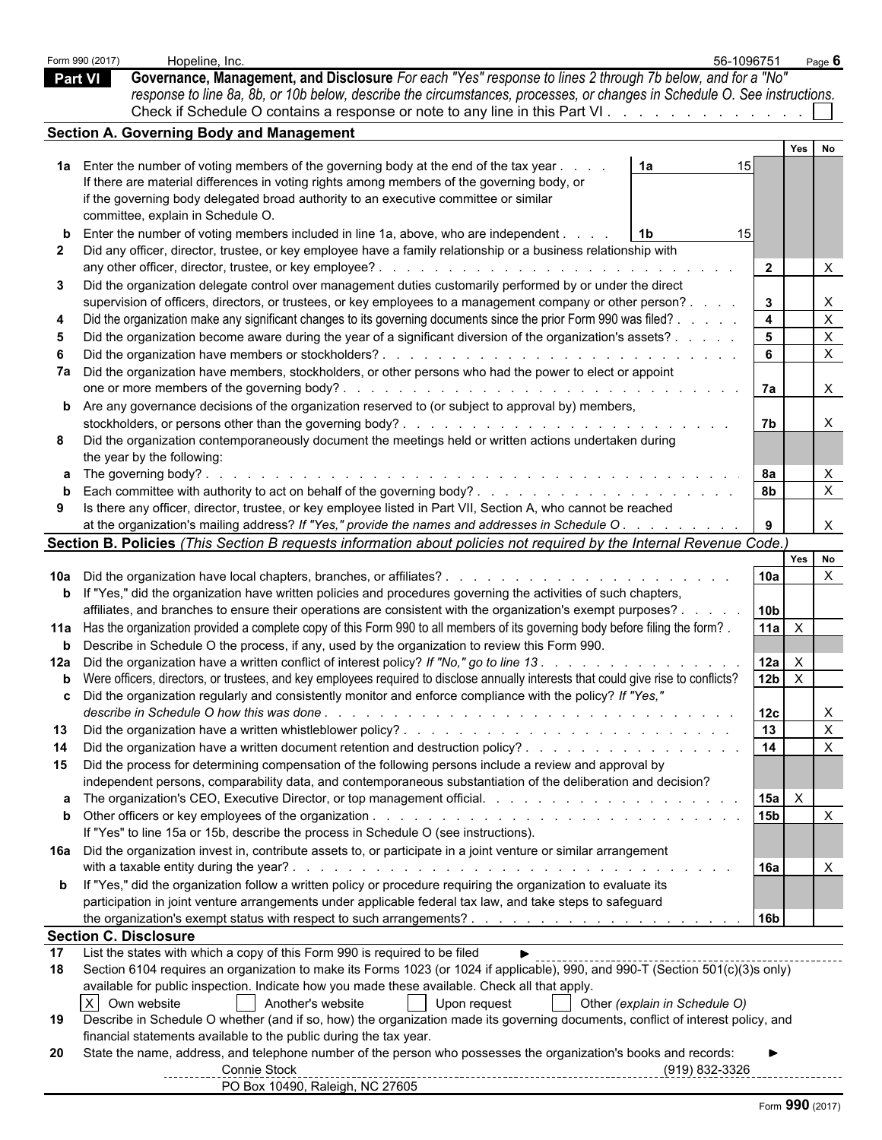|                | Form 990 (2017)<br>Hopeline, Inc.                                                                                                                                                                                                                                                                                                                                                                                                                                                                                           |                                                                                                                                                                                                                                                                                                                         | 56-1096751             | Page <b>6</b>                |  |
|----------------|-----------------------------------------------------------------------------------------------------------------------------------------------------------------------------------------------------------------------------------------------------------------------------------------------------------------------------------------------------------------------------------------------------------------------------------------------------------------------------------------------------------------------------|-------------------------------------------------------------------------------------------------------------------------------------------------------------------------------------------------------------------------------------------------------------------------------------------------------------------------|------------------------|------------------------------|--|
| <b>Part VI</b> |                                                                                                                                                                                                                                                                                                                                                                                                                                                                                                                             | Governance, Management, and Disclosure For each "Yes" response to lines 2 through 7b below, and for a "No"<br>response to line 8a, 8b, or 10b below, describe the circumstances, processes, or changes in Schedule O. See instructions.<br>Check if Schedule O contains a response or note to any line in this Part VI. |                        |                              |  |
|                | Section A. Governing Body and Management                                                                                                                                                                                                                                                                                                                                                                                                                                                                                    |                                                                                                                                                                                                                                                                                                                         |                        |                              |  |
|                |                                                                                                                                                                                                                                                                                                                                                                                                                                                                                                                             |                                                                                                                                                                                                                                                                                                                         |                        | Yes No                       |  |
|                | 1a Enter the number of voting members of the governing body at the end of the tax year.<br>If there are material differences in voting rights among members of the governing body, or<br>if the governing body delegated broad authority to an executive committee or similar<br>committee, explain in Schedule O.<br>Enter the number of voting members included in line 1a, above, who are independent.<br>Did any officer, director, trustee, or key employee have a family relationship or a business relationship with | 1a<br>1b                                                                                                                                                                                                                                                                                                                | 15<br>15               |                              |  |
|                |                                                                                                                                                                                                                                                                                                                                                                                                                                                                                                                             |                                                                                                                                                                                                                                                                                                                         | $\overline{2}$         |                              |  |
| 3              | Did the organization delegate control over management duties customarily performed by or under the direct<br>supervision of officers, directors, or trustees, or key employees to a management company or other person?                                                                                                                                                                                                                                                                                                     |                                                                                                                                                                                                                                                                                                                         | $\mathbf{3}$           | $\times$                     |  |
|                | Did the organization make any significant changes to its governing documents since the prior Form 990 was filed? .                                                                                                                                                                                                                                                                                                                                                                                                          |                                                                                                                                                                                                                                                                                                                         | $\overline{4}$         | X                            |  |
|                | Did the organization become aware during the year of a significant diversion of the organization's assets? .<br>Did the organization have members or stockholders?.                                                                                                                                                                                                                                                                                                                                                         | <u>. Katalunan kalendar katalunan kalendar katalunan ka</u>                                                                                                                                                                                                                                                             | 5<br>6                 | X                            |  |
|                | 7a Did the organization have members, stockholders, or other persons who had the power to elect or appoint                                                                                                                                                                                                                                                                                                                                                                                                                  |                                                                                                                                                                                                                                                                                                                         | 7a                     | $\mathsf{X}$                 |  |
|                | <b>b</b> Are any governance decisions of the organization reserved to (or subject to approval by) members,                                                                                                                                                                                                                                                                                                                                                                                                                  |                                                                                                                                                                                                                                                                                                                         |                        |                              |  |
| 8              | Did the organization contemporaneously document the meetings held or written actions undertaken during<br>the year by the following:                                                                                                                                                                                                                                                                                                                                                                                        |                                                                                                                                                                                                                                                                                                                         | 7 <sub>b</sub>         |                              |  |
|                | <b>a</b> The governing body?.                                                                                                                                                                                                                                                                                                                                                                                                                                                                                               |                                                                                                                                                                                                                                                                                                                         | 8а                     |                              |  |
| 9              | Is there any officer, director, trustee, or key employee listed in Part VII, Section A, who cannot be reached<br>at the organization's mailing address? If "Yes," provide the names and addresses in Schedule O.                                                                                                                                                                                                                                                                                                            |                                                                                                                                                                                                                                                                                                                         | 8b                     | $\times$<br>$\times$         |  |
|                | Section B. Policies (This Section B requests information about policies not required by the Internal Revenue Code.)                                                                                                                                                                                                                                                                                                                                                                                                         |                                                                                                                                                                                                                                                                                                                         |                        |                              |  |
|                |                                                                                                                                                                                                                                                                                                                                                                                                                                                                                                                             |                                                                                                                                                                                                                                                                                                                         |                        | Yes  <br>No                  |  |
|                | <b>b</b> If "Yes," did the organization have written policies and procedures governing the activities of such chapters,                                                                                                                                                                                                                                                                                                                                                                                                     |                                                                                                                                                                                                                                                                                                                         | 10a                    | $\times$                     |  |
|                | affiliates, and branches to ensure their operations are consistent with the organization's exempt purposes?                                                                                                                                                                                                                                                                                                                                                                                                                 |                                                                                                                                                                                                                                                                                                                         | 10 <sub>b</sub>        |                              |  |
|                | 11a Has the organization provided a complete copy of this Form 990 to all members of its governing body before filing the form?.<br><b>b</b> Describe in Schedule O the process, if any, used by the organization to review this Form 990.                                                                                                                                                                                                                                                                                  |                                                                                                                                                                                                                                                                                                                         | $11a$ $\times$         |                              |  |
|                | 12a Did the organization have a written conflict of interest policy? If "No," go to line 13.                                                                                                                                                                                                                                                                                                                                                                                                                                |                                                                                                                                                                                                                                                                                                                         | $12a$ $\times$         |                              |  |
|                | b Were officers, directors, or trustees, and key employees required to disclose annually interests that could give rise to conflicts?<br>c Did the organization regularly and consistently monitor and enforce compliance with the policy? If "Yes,"                                                                                                                                                                                                                                                                        |                                                                                                                                                                                                                                                                                                                         | 12 <sub>b</sub><br>12c | $\mathsf{X}$<br>$\mathsf{X}$ |  |
| 13             |                                                                                                                                                                                                                                                                                                                                                                                                                                                                                                                             |                                                                                                                                                                                                                                                                                                                         | 13                     | $\mathsf{X}$                 |  |
| 14             | Did the organization have a written document retention and destruction policy?                                                                                                                                                                                                                                                                                                                                                                                                                                              |                                                                                                                                                                                                                                                                                                                         | 14                     | $\times$                     |  |
| 15             | Did the process for determining compensation of the following persons include a review and approval by<br>independent persons, comparability data, and contemporaneous substantiation of the deliberation and decision?                                                                                                                                                                                                                                                                                                     |                                                                                                                                                                                                                                                                                                                         |                        |                              |  |
|                |                                                                                                                                                                                                                                                                                                                                                                                                                                                                                                                             |                                                                                                                                                                                                                                                                                                                         | $15a$ $\times$         |                              |  |
|                | If "Yes" to line 15a or 15b, describe the process in Schedule O (see instructions).                                                                                                                                                                                                                                                                                                                                                                                                                                         |                                                                                                                                                                                                                                                                                                                         | 15 <sub>b</sub>        | $\times$                     |  |
|                | 16a Did the organization invest in, contribute assets to, or participate in a joint venture or similar arrangement                                                                                                                                                                                                                                                                                                                                                                                                          |                                                                                                                                                                                                                                                                                                                         | 16a                    |                              |  |
|                | <b>b</b> If "Yes," did the organization follow a written policy or procedure requiring the organization to evaluate its<br>participation in joint venture arrangements under applicable federal tax law, and take steps to safeguard                                                                                                                                                                                                                                                                                        |                                                                                                                                                                                                                                                                                                                         |                        |                              |  |
|                |                                                                                                                                                                                                                                                                                                                                                                                                                                                                                                                             |                                                                                                                                                                                                                                                                                                                         | 16 <sub>b</sub>        |                              |  |
|                | <b>Section C. Disclosure</b>                                                                                                                                                                                                                                                                                                                                                                                                                                                                                                |                                                                                                                                                                                                                                                                                                                         |                        |                              |  |
| 17<br>18       | List the states with which a copy of this Form 990 is required to be filed<br>Section 6104 requires an organization to make its Forms 1023 (or 1024 if applicable), 990, and 990-T (Section 501(c)(3)s only)<br>available for public inspection. Indicate how you made these available. Check all that apply.                                                                                                                                                                                                               |                                                                                                                                                                                                                                                                                                                         |                        |                              |  |
|                | $\times$<br>Own website<br>Another's website                                                                                                                                                                                                                                                                                                                                                                                                                                                                                | Other (explain in Schedule O)<br>Upon request<br>$\sim 10$                                                                                                                                                                                                                                                              |                        |                              |  |
| 19             | Describe in Schedule O whether (and if so, how) the organization made its governing documents, conflict of interest policy, and<br>financial statements available to the public during the tax year.                                                                                                                                                                                                                                                                                                                        |                                                                                                                                                                                                                                                                                                                         |                        |                              |  |
| 20             | State the name, address, and telephone number of the person who possesses the organization's books and records:<br>Connie Stock                                                                                                                                                                                                                                                                                                                                                                                             |                                                                                                                                                                                                                                                                                                                         | (919) 832-3326         |                              |  |
|                | PO Box 10490, Raleigh, NC 27605                                                                                                                                                                                                                                                                                                                                                                                                                                                                                             |                                                                                                                                                                                                                                                                                                                         |                        |                              |  |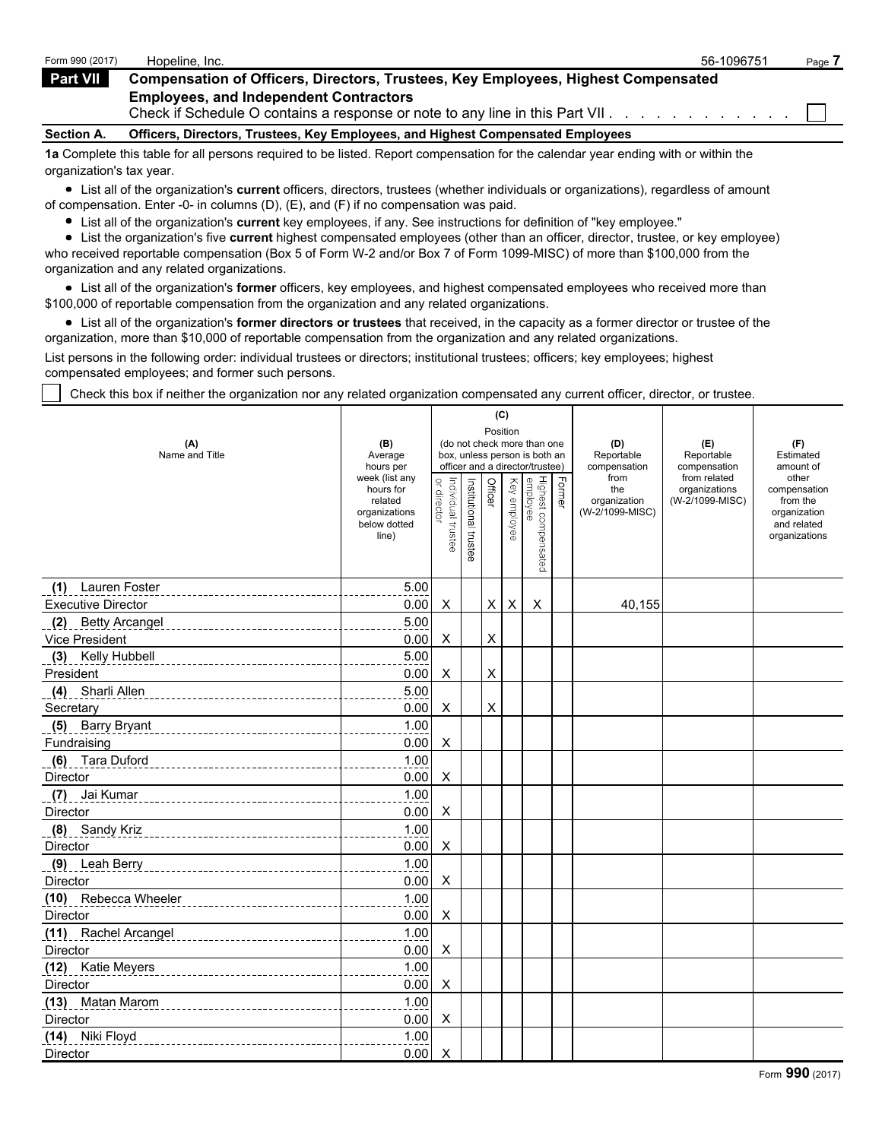| Form 990 (2017)   | Hopeline, Inc.                                                                                                                 | 56-1096751 | Page, |
|-------------------|--------------------------------------------------------------------------------------------------------------------------------|------------|-------|
| <b>Part VII</b>   | <b>Compensation of Officers, Directors, Trustees, Key Employees, Highest Compensated</b>                                       |            |       |
|                   | <b>Employees, and Independent Contractors</b><br>Check if Schedule O contains a response or note to any line in this Part VII. |            |       |
| <b>Section A.</b> | Officers, Directors, Trustees, Key Employees, and Highest Compensated Employees                                                |            |       |
|                   |                                                                                                                                |            |       |

**1a** Complete this table for all persons required to be listed. Report compensation for the calendar year ending with or within the organization's tax year.

List all of the organization's **current** officers, directors, trustees (whether individuals or organizations), regardless of amount of compensation. Enter -0- in columns (D), (E), and (F) if no compensation was paid.

List all of the organization's **current** key employees, if any. See instructions for definition of "key employee."

List the organization's five **current** highest compensated employees (other than an officer, director, trustee, or key employee) who received reportable compensation (Box 5 of Form W-2 and/or Box 7 of Form 1099-MISC) of more than \$100,000 from the organization and any related organizations.

List all of the organization's **former** officers, key employees, and highest compensated employees who received more than \$100,000 of reportable compensation from the organization and any related organizations.

List all of the organization's **former directors or trustees** that received, in the capacity as a former director or trustee of the organization, more than \$10,000 of reportable compensation from the organization and any related organizations.

List persons in the following order: individual trustees or directors; institutional trustees; officers; key employees; highest compensated employees; and former such persons.

Check this box if neither the organization nor any related organization compensated any current officer, director, or trustee.

|                           |                               |                    |                       | (C)            |              |                                                                  |        |                            |                                  |                             |
|---------------------------|-------------------------------|--------------------|-----------------------|----------------|--------------|------------------------------------------------------------------|--------|----------------------------|----------------------------------|-----------------------------|
| (A)                       | (B)                           |                    |                       | Position       |              | (do not check more than one                                      |        | (D)                        | (E)                              | (F)                         |
| Name and Title            | Average<br>hours per          |                    |                       |                |              | box, unless person is both an<br>officer and a director/trustee) |        | Reportable<br>compensation | Reportable<br>compensation       | Estimated<br>amount of      |
|                           | week (list any                |                    |                       |                |              |                                                                  |        | from                       | from related                     | other                       |
|                           | hours for<br>related          | or director        |                       | Officer        |              |                                                                  | Former | the<br>organization        | organizations<br>(W-2/1099-MISC) | compensation<br>from the    |
|                           | organizations<br>below dotted |                    |                       |                | Key employee |                                                                  |        | (W-2/1099-MISC)            |                                  | organization<br>and related |
|                           | line)                         | Individual trustee | Institutional trustee |                |              |                                                                  |        |                            |                                  | organizations               |
|                           |                               |                    |                       |                |              | Highest compensated<br>employee                                  |        |                            |                                  |                             |
|                           |                               |                    |                       |                |              |                                                                  |        |                            |                                  |                             |
| (1) Lauren Foster         | 5.00                          |                    |                       |                |              |                                                                  |        |                            |                                  |                             |
| <b>Executive Director</b> | 0.00                          | X                  |                       | X              | X            | X                                                                |        | 40,155                     |                                  |                             |
| (2) Betty Arcangel        | 5.00                          |                    |                       |                |              |                                                                  |        |                            |                                  |                             |
| Vice President            | 0.00                          | X                  |                       | X              |              |                                                                  |        |                            |                                  |                             |
| (3) Kelly Hubbell         | 5.00                          |                    |                       |                |              |                                                                  |        |                            |                                  |                             |
| President                 | 0.00                          | X                  |                       | X              |              |                                                                  |        |                            |                                  |                             |
| Sharli Allen<br>(4)       | 5.00                          |                    |                       |                |              |                                                                  |        |                            |                                  |                             |
| Secretary                 | 0.00                          | X                  |                       | $\pmb{\times}$ |              |                                                                  |        |                            |                                  |                             |
| (5) Barry Bryant          | 1.00                          |                    |                       |                |              |                                                                  |        |                            |                                  |                             |
| Fundraising               | 0.00                          | X                  |                       |                |              |                                                                  |        |                            |                                  |                             |
| (6) Tara Duford           | 1.00                          |                    |                       |                |              |                                                                  |        |                            |                                  |                             |
| Director                  | 0.00                          | X                  |                       |                |              |                                                                  |        |                            |                                  |                             |
| (7)<br>Jai Kumar          | 1.00                          |                    |                       |                |              |                                                                  |        |                            |                                  |                             |
| Director                  | 0.00                          | X                  |                       |                |              |                                                                  |        |                            |                                  |                             |
| (8) Sandy Kriz            | 1.00                          |                    |                       |                |              |                                                                  |        |                            |                                  |                             |
| Director                  | 0.00                          | X                  |                       |                |              |                                                                  |        |                            |                                  |                             |
| (9) Leah Berry            | 1.00                          |                    |                       |                |              |                                                                  |        |                            |                                  |                             |
| Director                  | 0.00                          | X                  |                       |                |              |                                                                  |        |                            |                                  |                             |
| (10) Rebecca Wheeler      | 1.00                          |                    |                       |                |              |                                                                  |        |                            |                                  |                             |
| Director                  | 0.00                          | X                  |                       |                |              |                                                                  |        |                            |                                  |                             |
| (11) Rachel Arcangel      | 1.00                          |                    |                       |                |              |                                                                  |        |                            |                                  |                             |
| <b>Director</b>           | 0.00                          | X                  |                       |                |              |                                                                  |        |                            |                                  |                             |
| (12) Katie Meyers         | 1.00                          |                    |                       |                |              |                                                                  |        |                            |                                  |                             |
| Director                  | 0.00                          | X                  |                       |                |              |                                                                  |        |                            |                                  |                             |
| (13) Matan Marom          | 1.00                          |                    |                       |                |              |                                                                  |        |                            |                                  |                             |
| Director                  | 0.00                          | X                  |                       |                |              |                                                                  |        |                            |                                  |                             |
| (14) Niki Floyd           | 1.00                          |                    |                       |                |              |                                                                  |        |                            |                                  |                             |
| Director                  | 0.00                          | X                  |                       |                |              |                                                                  |        |                            |                                  |                             |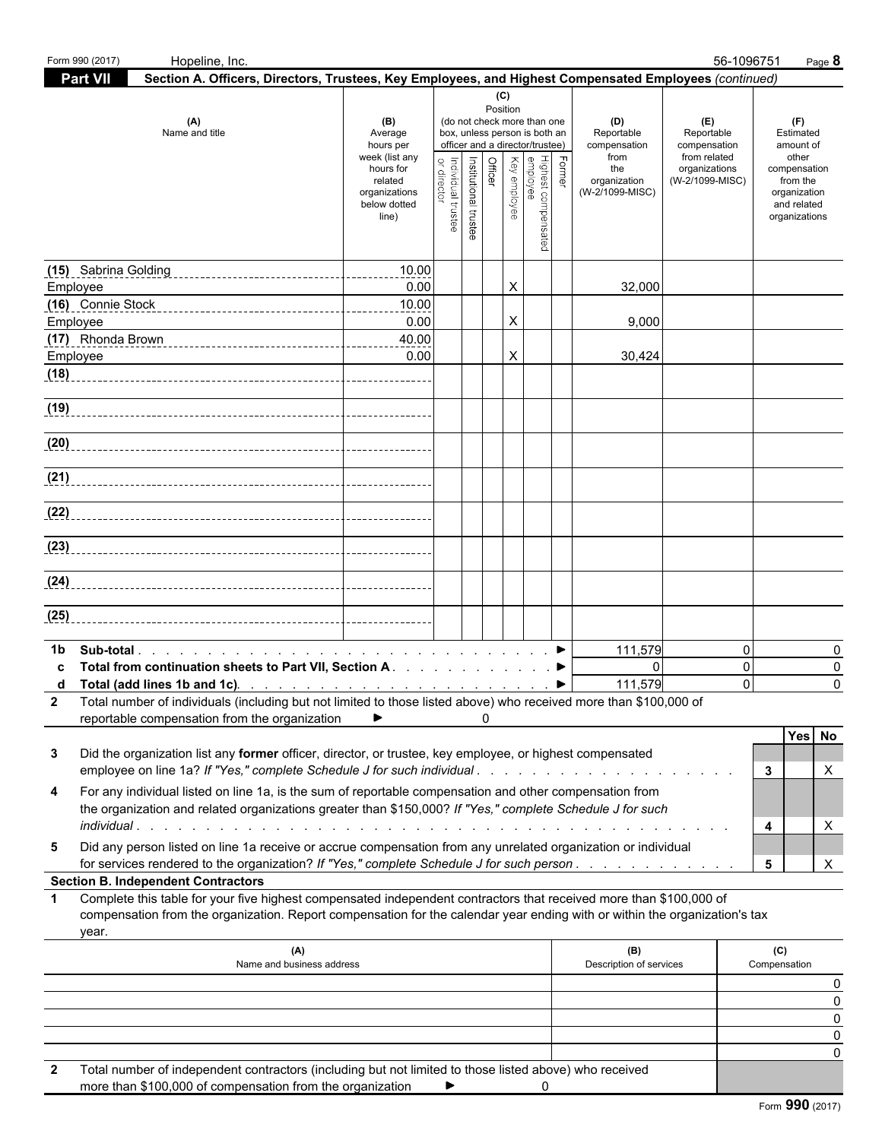| Form 990 (2017) | Hopeline, Inc.                                                                                                                                                                                                                                   |                                                                                                                 |                                 |                                  |                 |                                                                                                                                                             |          |                                                                                     | 56-1096751                                                                            | Page 8                                                                                                             |
|-----------------|--------------------------------------------------------------------------------------------------------------------------------------------------------------------------------------------------------------------------------------------------|-----------------------------------------------------------------------------------------------------------------|---------------------------------|----------------------------------|-----------------|-------------------------------------------------------------------------------------------------------------------------------------------------------------|----------|-------------------------------------------------------------------------------------|---------------------------------------------------------------------------------------|--------------------------------------------------------------------------------------------------------------------|
| <b>Part VII</b> | Section A. Officers, Directors, Trustees, Key Employees, and Highest Compensated Employees (continued)                                                                                                                                           |                                                                                                                 |                                 |                                  |                 |                                                                                                                                                             |          |                                                                                     |                                                                                       |                                                                                                                    |
|                 | (A)<br>Name and title                                                                                                                                                                                                                            | (B)<br>Average<br>hours per<br>week (list any<br>hours for<br>related<br>organizations<br>below dotted<br>line) | or directo<br>ndividual trustee | Officer<br>Institutional trustee | (C)<br>Position | (do not check more than one<br>box, unless person is both an<br>officer and a director/trustee)<br>Highest compensated<br> <br>  employee<br>  Key employee | Former   | (D)<br>Reportable<br>compensation<br>from<br>the<br>organization<br>(W-2/1099-MISC) | (E)<br>Reportable<br>compensation<br>from related<br>organizations<br>(W-2/1099-MISC) | (F)<br>Estimated<br>amount of<br>other<br>compensation<br>from the<br>organization<br>and related<br>organizations |
|                 |                                                                                                                                                                                                                                                  |                                                                                                                 |                                 |                                  |                 |                                                                                                                                                             |          |                                                                                     |                                                                                       |                                                                                                                    |
|                 |                                                                                                                                                                                                                                                  | 10.00                                                                                                           |                                 |                                  |                 |                                                                                                                                                             |          |                                                                                     |                                                                                       |                                                                                                                    |
| Employee        | (16) Connie Stock                                                                                                                                                                                                                                | 0.00<br>10.00                                                                                                   |                                 |                                  | X               |                                                                                                                                                             |          | 32,000                                                                              |                                                                                       |                                                                                                                    |
| Employee        |                                                                                                                                                                                                                                                  | 0.00                                                                                                            |                                 |                                  | X               |                                                                                                                                                             |          | 9,000                                                                               |                                                                                       |                                                                                                                    |
|                 |                                                                                                                                                                                                                                                  | 40.00                                                                                                           |                                 |                                  |                 |                                                                                                                                                             |          |                                                                                     |                                                                                       |                                                                                                                    |
| Employee        |                                                                                                                                                                                                                                                  | 0.00                                                                                                            |                                 |                                  | X               |                                                                                                                                                             |          | 30,424                                                                              |                                                                                       |                                                                                                                    |
| (18)            |                                                                                                                                                                                                                                                  |                                                                                                                 |                                 |                                  |                 |                                                                                                                                                             |          |                                                                                     |                                                                                       |                                                                                                                    |
| (19)            |                                                                                                                                                                                                                                                  |                                                                                                                 |                                 |                                  |                 |                                                                                                                                                             |          |                                                                                     |                                                                                       |                                                                                                                    |
|                 |                                                                                                                                                                                                                                                  |                                                                                                                 |                                 |                                  |                 |                                                                                                                                                             |          |                                                                                     |                                                                                       |                                                                                                                    |
|                 |                                                                                                                                                                                                                                                  |                                                                                                                 |                                 |                                  |                 |                                                                                                                                                             |          |                                                                                     |                                                                                       |                                                                                                                    |
|                 |                                                                                                                                                                                                                                                  |                                                                                                                 |                                 |                                  |                 |                                                                                                                                                             |          |                                                                                     |                                                                                       |                                                                                                                    |
|                 |                                                                                                                                                                                                                                                  |                                                                                                                 |                                 |                                  |                 |                                                                                                                                                             |          |                                                                                     |                                                                                       |                                                                                                                    |
|                 |                                                                                                                                                                                                                                                  |                                                                                                                 |                                 |                                  |                 |                                                                                                                                                             |          |                                                                                     |                                                                                       |                                                                                                                    |
|                 |                                                                                                                                                                                                                                                  |                                                                                                                 |                                 |                                  |                 |                                                                                                                                                             |          |                                                                                     |                                                                                       |                                                                                                                    |
|                 |                                                                                                                                                                                                                                                  |                                                                                                                 |                                 |                                  |                 |                                                                                                                                                             |          |                                                                                     |                                                                                       |                                                                                                                    |
| (24)            |                                                                                                                                                                                                                                                  |                                                                                                                 |                                 |                                  |                 |                                                                                                                                                             |          |                                                                                     |                                                                                       |                                                                                                                    |
| (25)            |                                                                                                                                                                                                                                                  |                                                                                                                 |                                 |                                  |                 |                                                                                                                                                             |          |                                                                                     |                                                                                       |                                                                                                                    |
|                 |                                                                                                                                                                                                                                                  |                                                                                                                 |                                 |                                  |                 |                                                                                                                                                             |          |                                                                                     |                                                                                       |                                                                                                                    |
| 1b              | Total from continuation sheets to Part VII, Section A. ▶                                                                                                                                                                                         |                                                                                                                 |                                 |                                  |                 |                                                                                                                                                             |          | 111,579<br>$\Omega$                                                                 | $\overline{0}$<br>$\overline{0}$                                                      | $\Omega$<br>0                                                                                                      |
|                 |                                                                                                                                                                                                                                                  |                                                                                                                 |                                 |                                  |                 |                                                                                                                                                             |          | 111,579                                                                             | $\Omega$                                                                              | $\Omega$                                                                                                           |
|                 | 2 Total number of individuals (including but not limited to those listed above) who received more than \$100,000 of                                                                                                                              |                                                                                                                 |                                 |                                  |                 |                                                                                                                                                             |          |                                                                                     |                                                                                       |                                                                                                                    |
|                 | reportable compensation from the organization                                                                                                                                                                                                    | ▶                                                                                                               |                                 |                                  |                 |                                                                                                                                                             |          |                                                                                     |                                                                                       | Yes No                                                                                                             |
| 3               | Did the organization list any former officer, director, or trustee, key employee, or highest compensated                                                                                                                                         |                                                                                                                 |                                 |                                  |                 |                                                                                                                                                             |          |                                                                                     |                                                                                       |                                                                                                                    |
|                 |                                                                                                                                                                                                                                                  |                                                                                                                 |                                 |                                  |                 |                                                                                                                                                             |          |                                                                                     |                                                                                       | Х<br>3                                                                                                             |
| 4               | For any individual listed on line 1a, is the sum of reportable compensation and other compensation from                                                                                                                                          |                                                                                                                 |                                 |                                  |                 |                                                                                                                                                             |          |                                                                                     |                                                                                       |                                                                                                                    |
|                 | the organization and related organizations greater than \$150,000? If "Yes," complete Schedule J for such                                                                                                                                        |                                                                                                                 |                                 |                                  |                 |                                                                                                                                                             |          |                                                                                     |                                                                                       |                                                                                                                    |
| 5               | Did any person listed on line 1a receive or accrue compensation from any unrelated organization or individual                                                                                                                                    |                                                                                                                 |                                 |                                  |                 |                                                                                                                                                             |          |                                                                                     |                                                                                       | X<br>4                                                                                                             |
|                 | for services rendered to the organization? If "Yes," complete Schedule J for such person.                                                                                                                                                        |                                                                                                                 |                                 |                                  |                 |                                                                                                                                                             |          |                                                                                     |                                                                                       | X<br>5                                                                                                             |
|                 | <b>Section B. Independent Contractors</b>                                                                                                                                                                                                        |                                                                                                                 |                                 |                                  |                 |                                                                                                                                                             |          |                                                                                     |                                                                                       |                                                                                                                    |
| -1<br>year.     | Complete this table for your five highest compensated independent contractors that received more than \$100,000 of<br>compensation from the organization. Report compensation for the calendar year ending with or within the organization's tax |                                                                                                                 |                                 |                                  |                 |                                                                                                                                                             |          |                                                                                     |                                                                                       |                                                                                                                    |
|                 | (A)                                                                                                                                                                                                                                              |                                                                                                                 |                                 |                                  |                 |                                                                                                                                                             |          | (B)                                                                                 |                                                                                       | (C)                                                                                                                |
|                 | Name and business address                                                                                                                                                                                                                        |                                                                                                                 |                                 |                                  |                 |                                                                                                                                                             |          | Description of services                                                             |                                                                                       | Compensation                                                                                                       |
|                 |                                                                                                                                                                                                                                                  |                                                                                                                 |                                 |                                  |                 |                                                                                                                                                             |          |                                                                                     |                                                                                       | 0<br>0                                                                                                             |
|                 |                                                                                                                                                                                                                                                  |                                                                                                                 |                                 |                                  |                 |                                                                                                                                                             |          |                                                                                     |                                                                                       | 0                                                                                                                  |
|                 |                                                                                                                                                                                                                                                  |                                                                                                                 |                                 |                                  |                 |                                                                                                                                                             |          |                                                                                     |                                                                                       | 0                                                                                                                  |
|                 |                                                                                                                                                                                                                                                  |                                                                                                                 |                                 |                                  |                 |                                                                                                                                                             |          |                                                                                     |                                                                                       | 0                                                                                                                  |
|                 | Total number of independent contractors (including but not limited to those listed above) who received<br>more than \$100,000 of compensation from the organization $\blacktriangleright$                                                        |                                                                                                                 |                                 |                                  |                 |                                                                                                                                                             | $\Omega$ |                                                                                     |                                                                                       |                                                                                                                    |

more than \$100,000 of compensation from the organization  $\bullet$  0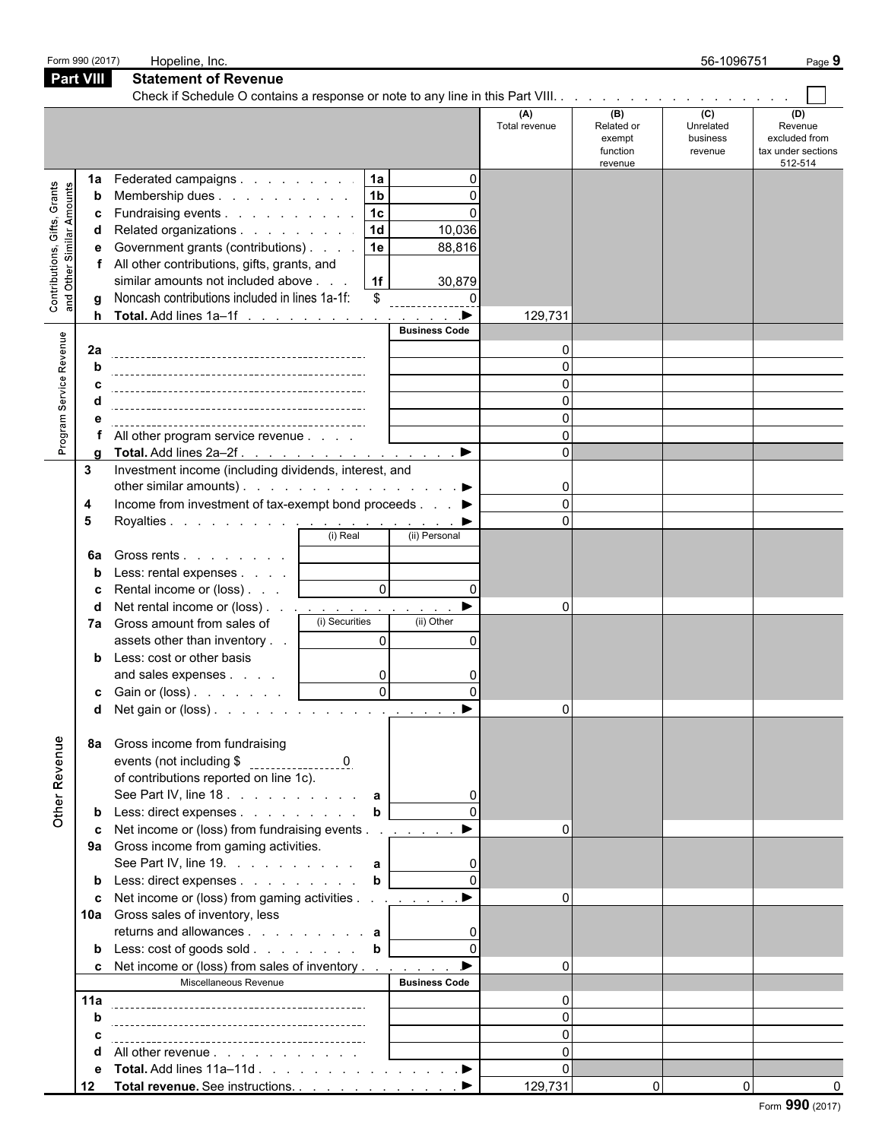|                                                             | Form 990 (2017)                  | Hopeline, Inc.                                                                                                                                                                                                                                                                                                                                                                                                                                                                                  |                                                             |                                                                |                                             |                                                    | 56-1096751                              | Page 9                                                           |  |  |  |  |  |
|-------------------------------------------------------------|----------------------------------|-------------------------------------------------------------------------------------------------------------------------------------------------------------------------------------------------------------------------------------------------------------------------------------------------------------------------------------------------------------------------------------------------------------------------------------------------------------------------------------------------|-------------------------------------------------------------|----------------------------------------------------------------|---------------------------------------------|----------------------------------------------------|-----------------------------------------|------------------------------------------------------------------|--|--|--|--|--|
|                                                             | <b>Part VIII</b>                 | <b>Statement of Revenue</b>                                                                                                                                                                                                                                                                                                                                                                                                                                                                     |                                                             |                                                                |                                             |                                                    |                                         |                                                                  |  |  |  |  |  |
|                                                             |                                  |                                                                                                                                                                                                                                                                                                                                                                                                                                                                                                 |                                                             |                                                                |                                             |                                                    |                                         |                                                                  |  |  |  |  |  |
|                                                             |                                  |                                                                                                                                                                                                                                                                                                                                                                                                                                                                                                 |                                                             |                                                                | (A)<br>Total revenue                        | (B)<br>Related or<br>exempt<br>function<br>revenue | (C)<br>Unrelated<br>business<br>revenue | (D)<br>Revenue<br>excluded from<br>tax under sections<br>512-514 |  |  |  |  |  |
| Contributions, Gifts, Grants<br>Amounts<br>Similar<br>Other | 1a<br>b<br>c<br>d<br>e<br>a<br>h | Federated campaigns<br>Membership dues<br>Fundraising events<br>Related organizations<br>Government grants (contributions)<br>All other contributions, gifts, grants, and<br>similar amounts not included above<br>Noncash contributions included in lines 1a-1f:<br>Total. Add lines 1a–1f ▶                                                                                                                                                                                                   | 1a<br>1 <sub>b</sub><br>$\sqrt{1c}$<br>1d<br>1e<br>1f<br>\$ | $\Omega$<br>$\Omega$<br>10,036<br>88,816<br>30,879<br>$\Omega$ | 129,731                                     |                                                    |                                         |                                                                  |  |  |  |  |  |
| Program Service Revenue                                     | 2a<br>h<br>a                     | All other program service revenue<br>Total. Add lines 2a-2f.                                                                                                                                                                                                                                                                                                                                                                                                                                    |                                                             | <b>Business Code</b><br>$\blacktriangleright$                  | O<br>$\Omega$<br>$\Omega$<br>$\Omega$       |                                                    |                                         |                                                                  |  |  |  |  |  |
|                                                             | 3<br>4<br>5<br>6a                | Investment income (including dividends, interest, and<br>other similar amounts). $\ldots$ $\ldots$ $\ldots$ $\ldots$ $\ldots$ $\ldots$<br>Income from investment of tax-exempt bond proceeds ▶<br>Gross rents                                                                                                                                                                                                                                                                                   | (i) Real                                                    | (ii) Personal                                                  | $\mathbf{0}$<br>$\Omega$<br>$\Omega$        |                                                    |                                         |                                                                  |  |  |  |  |  |
|                                                             | b<br>c<br>d<br>7a                | Less: rental expenses<br>Rental income or (loss)<br>Net rental income or (loss) <u>.</u><br>Gross amount from sales of<br>assets other than inventory<br><b>b</b> Less: cost or other basis<br>and sales expenses<br>c Gain or (loss)                                                                                                                                                                                                                                                           | $\circ$<br>(i) Securities<br>$\Omega$<br>0<br>ΩI            | $\Omega$<br>(ii) Other<br>$\overline{\phantom{a}}$             | $\Omega$<br>$\Omega$                        |                                                    |                                         |                                                                  |  |  |  |  |  |
| Other Revenue                                               | 8а<br>b<br>c<br>10a<br>b         | Gross income from fundraising<br>of contributions reported on line 1c).<br>See Part IV, line 18. a<br>Less: direct expenses<br>Net income or (loss) from fundraising events<br>9a Gross income from gaming activities.<br>See Part IV, line 19. $\ldots$ $\ldots$ $\ldots$ <b>a</b><br>Less: direct expenses<br>Net income or (loss) from gaming activities <u>. ▶</u><br>Gross sales of inventory, less<br>Less: cost of goods sold b<br><b>c</b> Net income or (loss) from sales of inventory | $\mathbf b$<br>$\mathbf b$                                  | $\blacktriangleright$                                          |                                             |                                                    |                                         |                                                                  |  |  |  |  |  |
|                                                             | 11a<br>b<br>С<br>α<br>е<br>12    | Miscellaneous Revenue<br>All other revenue<br>Total. Add lines 11a-11d ▶<br>Total revenue. See instructions. ▶                                                                                                                                                                                                                                                                                                                                                                                  |                                                             | <b>Business Code</b>                                           | $\Omega$<br>$\Omega$<br>$\Omega$<br>129,731 | $\overline{0}$                                     | $\overline{0}$                          |                                                                  |  |  |  |  |  |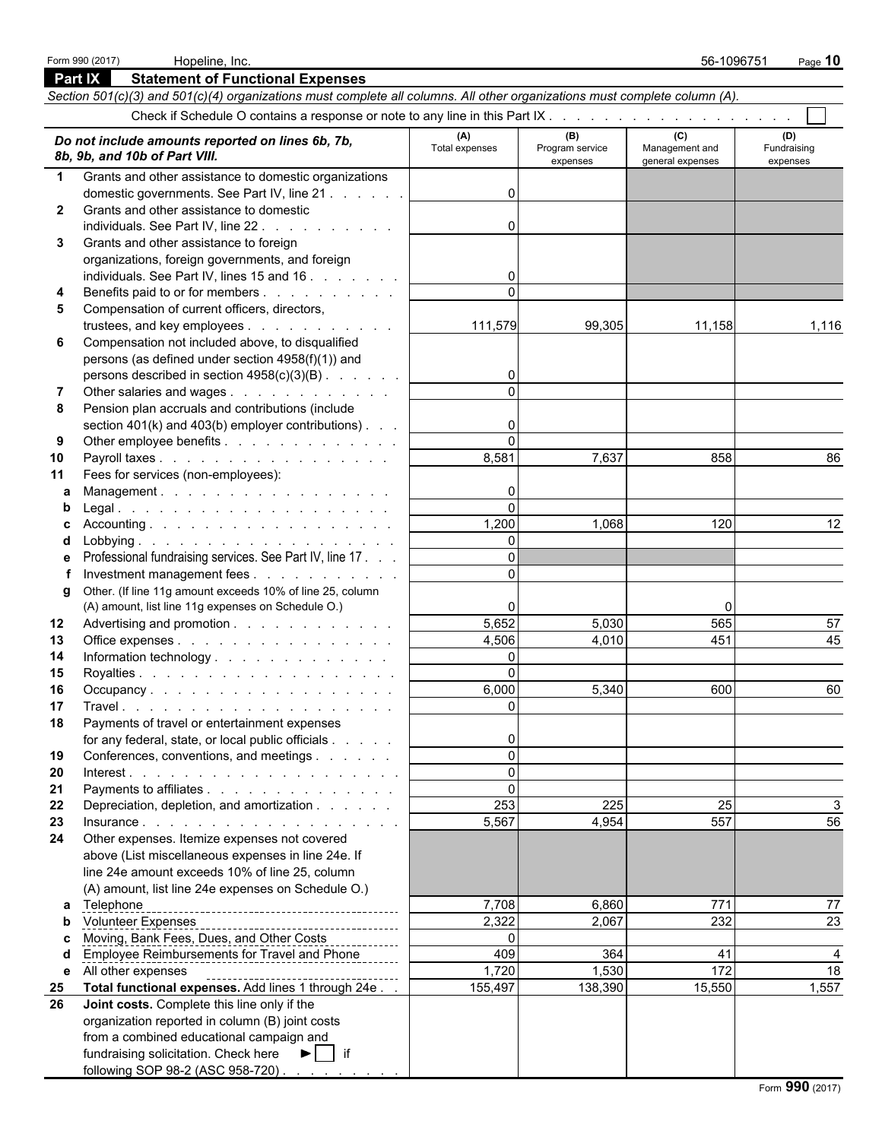|              | <b>Part IX</b><br><b>Statement of Functional Expenses</b>                                                                  |                       |                                    |                                           |                                |
|--------------|----------------------------------------------------------------------------------------------------------------------------|-----------------------|------------------------------------|-------------------------------------------|--------------------------------|
|              | Section 501(c)(3) and 501(c)(4) organizations must complete all columns. All other organizations must complete column (A). |                       |                                    |                                           |                                |
|              |                                                                                                                            |                       |                                    |                                           |                                |
|              | Do not include amounts reported on lines 6b, 7b,<br>8b, 9b, and 10b of Part VIII.                                          | (A)<br>Total expenses | (B)<br>Program service<br>expenses | (C)<br>Management and<br>general expenses | (D)<br>Fundraising<br>expenses |
| $\mathbf 1$  | Grants and other assistance to domestic organizations                                                                      |                       |                                    |                                           |                                |
|              | domestic governments. See Part IV, line 21                                                                                 | $\Omega$              |                                    |                                           |                                |
| $\mathbf{2}$ | Grants and other assistance to domestic                                                                                    |                       |                                    |                                           |                                |
|              | individuals. See Part IV, line 22.                                                                                         | $\Omega$              |                                    |                                           |                                |
| 3            | Grants and other assistance to foreign                                                                                     |                       |                                    |                                           |                                |
|              | organizations, foreign governments, and foreign                                                                            |                       |                                    |                                           |                                |
|              | individuals. See Part IV, lines 15 and 16                                                                                  | 0                     |                                    |                                           |                                |
| 4            | Benefits paid to or for members                                                                                            | $\Omega$              |                                    |                                           |                                |
| 5            | Compensation of current officers, directors,                                                                               |                       |                                    |                                           |                                |
|              | trustees, and key employees                                                                                                | 111,579               | 99,305                             | 11,158                                    | 1,116                          |
| 6            | Compensation not included above, to disqualified                                                                           |                       |                                    |                                           |                                |
|              | persons (as defined under section 4958(f)(1)) and                                                                          |                       |                                    |                                           |                                |
|              | persons described in section 4958(c)(3)(B)                                                                                 | $\overline{0}$        |                                    |                                           |                                |
| 7            | Other salaries and wages                                                                                                   | $\Omega$              |                                    |                                           |                                |
| 8            | Pension plan accruals and contributions (include                                                                           |                       |                                    |                                           |                                |
|              | section 401(k) and 403(b) employer contributions)                                                                          | 0                     |                                    |                                           |                                |
| 9            | Other employee benefits                                                                                                    | $\Omega$              |                                    |                                           |                                |
| 10           | Payroll taxes                                                                                                              | 8,581                 | 7,637                              | 858                                       | 86                             |
| 11           | Fees for services (non-employees):                                                                                         |                       |                                    |                                           |                                |
| a            | Management.                                                                                                                | $\mathbf{0}$          |                                    |                                           |                                |
| b            |                                                                                                                            | $\Omega$              |                                    |                                           |                                |
|              |                                                                                                                            | 1,200                 | 1,068                              | 120                                       | 12                             |
|              |                                                                                                                            | $\Omega$              |                                    |                                           |                                |
|              | Professional fundraising services. See Part IV, line 17.                                                                   | $\Omega$              |                                    |                                           |                                |
|              | Investment management fees                                                                                                 | $\Omega$              |                                    |                                           |                                |
| g            | Other. (If line 11g amount exceeds 10% of line 25, column                                                                  |                       |                                    |                                           |                                |
|              | (A) amount, list line 11g expenses on Schedule O.)                                                                         | 0                     |                                    | O                                         |                                |
| 12           | Advertising and promotion                                                                                                  | 5,652                 | 5,030                              | 565                                       | 57                             |
| 13           | Office expenses                                                                                                            | 4,506                 | 4.010                              | 451                                       | 45                             |
| 14           | Information technology                                                                                                     | $\overline{0}$        |                                    |                                           |                                |
| 15           |                                                                                                                            | $\Omega$              |                                    |                                           |                                |
| 16           | Occupancy                                                                                                                  | 6,000                 | 5,340                              | 600                                       | 60                             |
| 17           |                                                                                                                            | $\Omega$              |                                    |                                           |                                |
| 18           | Payments of travel or entertainment expenses                                                                               |                       |                                    |                                           |                                |
|              | for any federal, state, or local public officials                                                                          | 0                     |                                    |                                           |                                |
| 19           | Conferences, conventions, and meetings                                                                                     | $\Omega$              |                                    |                                           |                                |
| 20           |                                                                                                                            | $\Omega$              |                                    |                                           |                                |
| 21           | Payments to affiliates                                                                                                     | $\Omega$<br>253       |                                    | 25                                        |                                |
| 22           | Depreciation, depletion, and amortization                                                                                  | 5,567                 | 225<br>4,954                       | 557                                       | 56                             |
| 23<br>24     | Insurance.<br>Other expenses. Itemize expenses not covered                                                                 |                       |                                    |                                           |                                |
|              | above (List miscellaneous expenses in line 24e. If                                                                         |                       |                                    |                                           |                                |
|              | line 24e amount exceeds 10% of line 25, column                                                                             |                       |                                    |                                           |                                |
|              | (A) amount, list line 24e expenses on Schedule O.)                                                                         |                       |                                    |                                           |                                |
| a            | Telephone                                                                                                                  | 7,708                 | 6,860                              | 771                                       | 77                             |
| b            |                                                                                                                            | 2,322                 | 2,067                              | 232                                       | 23                             |
|              | Moving, Bank Fees, Dues, and Other Costs                                                                                   | $\Omega$              |                                    |                                           |                                |
|              | <b>Employee Reimbursements for Travel and Phone</b>                                                                        | 409                   | 364                                | 41                                        |                                |
| е            | All other expenses                                                                                                         | 1,720                 | 1,530                              | 172                                       | 18                             |
| 25           | Total functional expenses. Add lines 1 through 24e                                                                         | 155,497               | 138,390                            | 15,550                                    | 1,557                          |
| 26           | Joint costs. Complete this line only if the                                                                                |                       |                                    |                                           |                                |
|              | organization reported in column (B) joint costs                                                                            |                       |                                    |                                           |                                |
|              | from a combined educational campaign and                                                                                   |                       |                                    |                                           |                                |
|              | fundraising solicitation. Check here<br>$\blacktriangleright$   if                                                         |                       |                                    |                                           |                                |
|              | following SOP 98-2 (ASC 958-720)                                                                                           |                       |                                    |                                           |                                |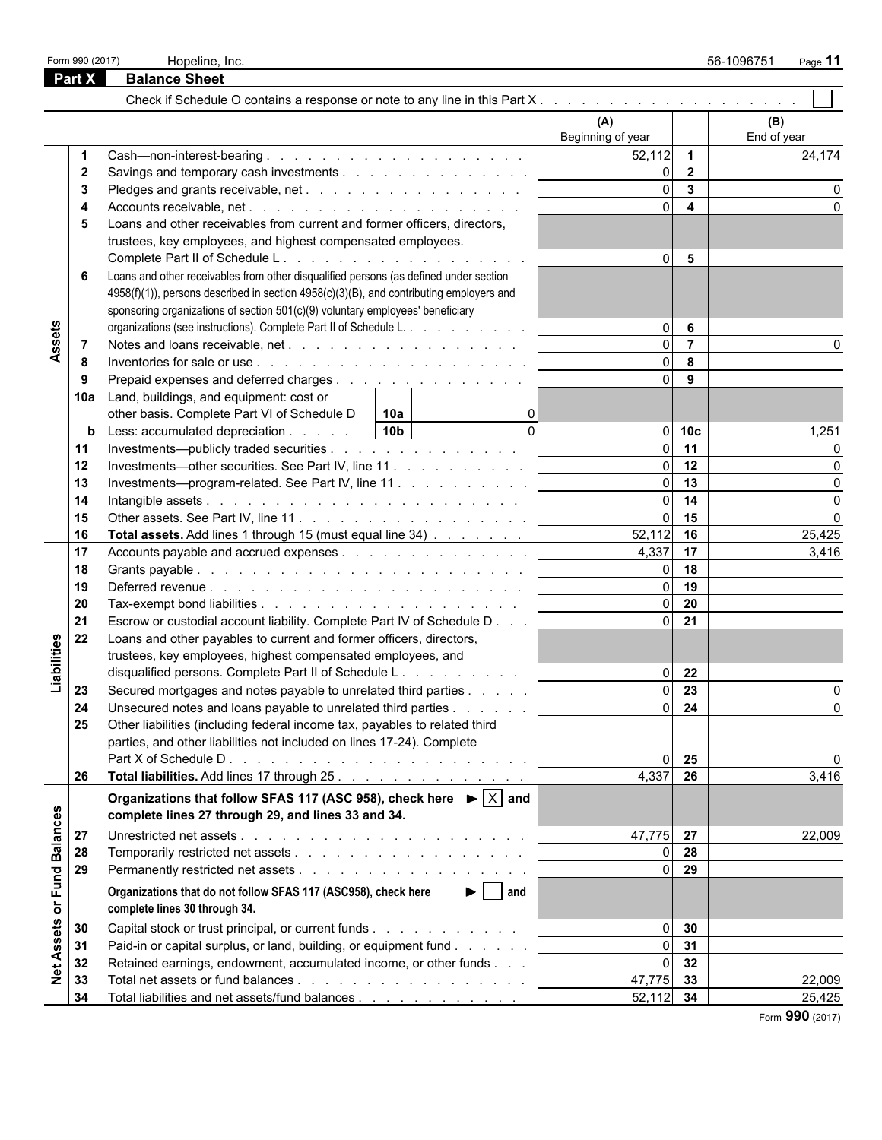|                 | Form 990 (2017) | Hopeline, Inc.                                                                                    |                   |                         | 56-1096751<br>Page 11 |
|-----------------|-----------------|---------------------------------------------------------------------------------------------------|-------------------|-------------------------|-----------------------|
|                 | Part X          | <b>Balance Sheet</b>                                                                              |                   |                         |                       |
|                 |                 |                                                                                                   |                   |                         |                       |
|                 |                 |                                                                                                   | (A)               |                         | (B)                   |
|                 |                 |                                                                                                   | Beginning of year |                         | End of year           |
|                 | -1              |                                                                                                   | $52,112$ 1        |                         | 24,174                |
|                 | $\mathbf{2}$    | Savings and temporary cash investments                                                            | ΩI                | $\overline{2}$          |                       |
|                 | 3               |                                                                                                   | $\Omega$          | $\overline{\mathbf{3}}$ |                       |
|                 |                 |                                                                                                   | $\Omega$          | $\overline{\mathbf{4}}$ |                       |
|                 | 5               | Loans and other receivables from current and former officers, directors,                          |                   |                         |                       |
|                 |                 | trustees, key employees, and highest compensated employees.                                       |                   |                         |                       |
|                 |                 |                                                                                                   | $\overline{0}$    | 5                       |                       |
|                 | 6               | Loans and other receivables from other disqualified persons (as defined under section             |                   |                         |                       |
|                 |                 | 4958(f)(1)), persons described in section 4958(c)(3)(B), and contributing employers and           |                   |                         |                       |
|                 |                 | sponsoring organizations of section 501(c)(9) voluntary employees' beneficiary                    |                   |                         |                       |
|                 |                 | organizations (see instructions). Complete Part II of Schedule L.                                 | $\Omega$          | 6                       |                       |
| Assets          | -7              |                                                                                                   | $\Omega$          | $\overline{7}$          |                       |
|                 | -8              |                                                                                                   | ΩI                | 8                       |                       |
|                 | -9              | Prepaid expenses and deferred charges                                                             | $\Omega$          | 9                       |                       |
|                 | 10a             | Land, buildings, and equipment: cost or                                                           |                   |                         |                       |
|                 |                 | other basis. Complete Part VI of Schedule D<br>10a                                                |                   |                         |                       |
|                 | b               | $\Omega$<br>10 <sub>b</sub><br>Less: accumulated depreciation                                     |                   | $0$ 10 $c$              | 1,251                 |
|                 | 11              | Investments—publicly traded securities                                                            | ΩI                | 11                      |                       |
|                 | 12              | Investments-other securities. See Part IV, line 11.                                               | $\Omega$          | 12                      |                       |
|                 | 13              | Investments—program-related. See Part IV, line 11                                                 | ΩL                | 13                      | O                     |
|                 | 14              |                                                                                                   | $\Omega$          | 14                      | $\Omega$              |
|                 | 15              |                                                                                                   | ΩL                | 15                      | $\Omega$              |
|                 | 16              | Total assets. Add lines 1 through 15 (must equal line 34)                                         | 52,112            | 16                      | 25,425                |
|                 | 17              |                                                                                                   | 4,337             | 17                      | 3,416                 |
|                 | 18              |                                                                                                   | ΩI                | 18                      |                       |
|                 | 19              |                                                                                                   | $\Omega$          | 19                      |                       |
|                 | 20              |                                                                                                   | $\Omega$          | 20                      |                       |
|                 | 21              | Escrow or custodial account liability. Complete Part IV of Schedule D                             | $\Omega$          | 21                      |                       |
|                 | 22              | Loans and other payables to current and former officers, directors,                               |                   |                         |                       |
| Liabilities     |                 | trustees, key employees, highest compensated employees, and                                       |                   |                         |                       |
|                 |                 | disqualified persons. Complete Part II of Schedule L.                                             | $\overline{0}$    | 22                      |                       |
|                 | 23              | Secured mortgages and notes payable to unrelated third parties                                    | $\Omega$          | $\overline{23}$         |                       |
|                 | 24              | Unsecured notes and loans payable to unrelated third parties                                      |                   | $0 \quad 24$            | 0                     |
|                 | 25              | Other liabilities (including federal income tax, payables to related third                        |                   |                         |                       |
|                 |                 | parties, and other liabilities not included on lines 17-24). Complete                             |                   |                         |                       |
|                 |                 |                                                                                                   | $\Omega$          | 25                      | 0                     |
|                 | 26              | Total liabilities. Add lines 17 through 25.                                                       | 4,337             | 26                      | 3,416                 |
|                 |                 | Organizations that follow SFAS 117 (ASC 958), check here $\blacktriangleright  \overline{X} $ and |                   |                         |                       |
|                 |                 | complete lines 27 through 29, and lines 33 and 34.                                                |                   |                         |                       |
|                 | 27              |                                                                                                   | 47,775 27         |                         | 22,009                |
| <b>Balances</b> | 28              |                                                                                                   |                   | $0\quad$ 28             |                       |
|                 | 29              |                                                                                                   |                   | $0$ 29                  |                       |
| or Fund         |                 | $\blacktriangleright$   and<br>Organizations that do not follow SFAS 117 (ASC958), check here     |                   |                         |                       |
|                 |                 | complete lines 30 through 34.                                                                     |                   |                         |                       |
|                 | 30              | Capital stock or trust principal, or current funds                                                | $\overline{0}$    | 30                      |                       |
| Assets          | 31              | Paid-in or capital surplus, or land, building, or equipment fund                                  | $\Omega$          | 31                      |                       |
|                 | 32              | Retained earnings, endowment, accumulated income, or other funds                                  | $\overline{0}$    | 32                      |                       |
| $\frac{1}{2}$   | 33              |                                                                                                   | 47,775 33         |                         | 22,009                |
|                 | 34              | Total liabilities and net assets/fund balances                                                    | 52,112 34         |                         | 25,425                |
|                 |                 |                                                                                                   |                   |                         |                       |

Form **990** (2017)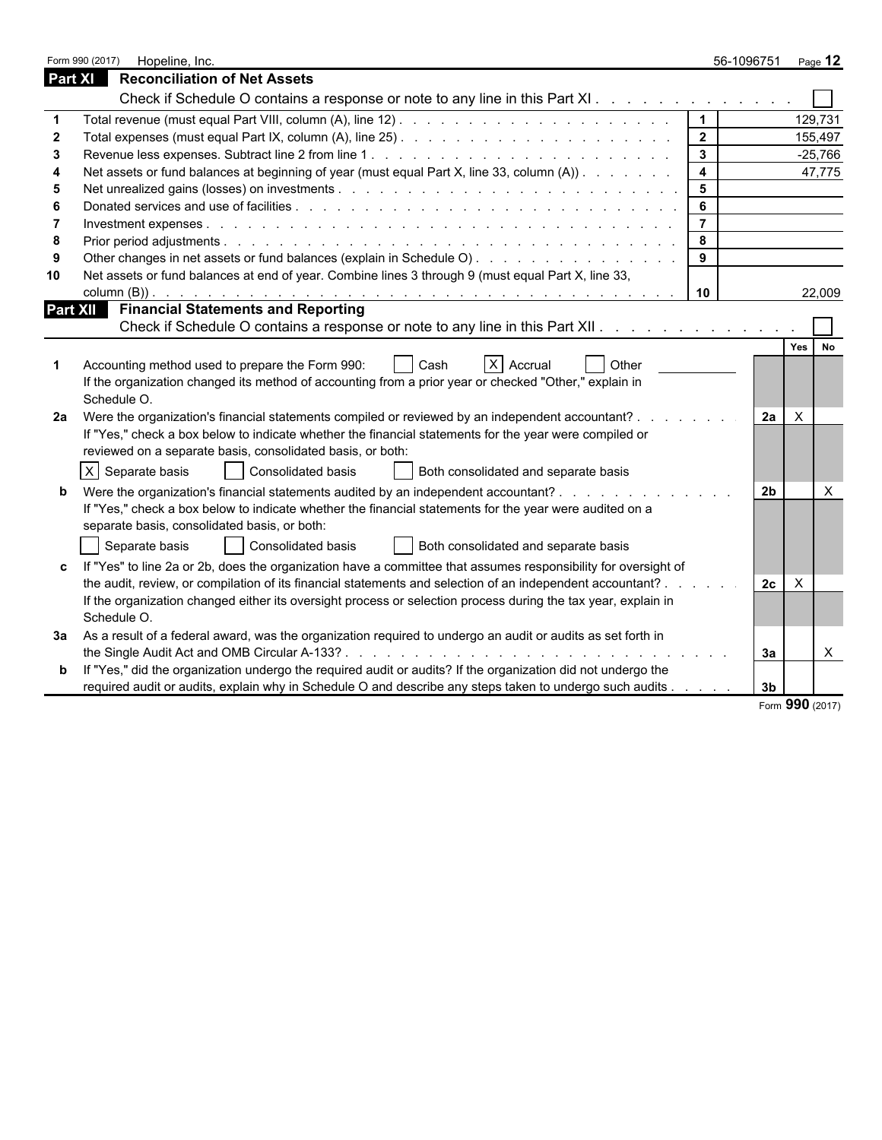|    | Form 990 (2017)<br>Hopeline, Inc.                                                                                                                                                                                                                                         |                | 56-1096751<br>Page $12$    |  |
|----|---------------------------------------------------------------------------------------------------------------------------------------------------------------------------------------------------------------------------------------------------------------------------|----------------|----------------------------|--|
|    | <b>Part XI</b><br><b>Reconciliation of Net Assets</b>                                                                                                                                                                                                                     |                |                            |  |
|    | Check if Schedule O contains a response or note to any line in this Part XI                                                                                                                                                                                               |                |                            |  |
|    |                                                                                                                                                                                                                                                                           | $\vert$ 1      | 129,731                    |  |
|    |                                                                                                                                                                                                                                                                           | $\overline{2}$ | 155,497                    |  |
|    |                                                                                                                                                                                                                                                                           | $\mathbf{3}$   | $-25,766$                  |  |
|    | Net assets or fund balances at beginning of year (must equal Part X, line 33, column (A))                                                                                                                                                                                 | $\overline{4}$ | 47,775                     |  |
|    |                                                                                                                                                                                                                                                                           | $5\phantom{1}$ |                            |  |
|    |                                                                                                                                                                                                                                                                           | $6\phantom{a}$ |                            |  |
|    |                                                                                                                                                                                                                                                                           | $\overline{7}$ |                            |  |
|    |                                                                                                                                                                                                                                                                           | 8              |                            |  |
|    | Other changes in net assets or fund balances (explain in Schedule O).                                                                                                                                                                                                     | 9              |                            |  |
| 10 | Net assets or fund balances at end of year. Combine lines 3 through 9 (must equal Part X, line 33,                                                                                                                                                                        |                |                            |  |
|    |                                                                                                                                                                                                                                                                           | 10             | 22,009                     |  |
|    | <b>Financial Statements and Reporting</b><br><b>Part XII</b>                                                                                                                                                                                                              |                |                            |  |
|    | Check if Schedule O contains a response or note to any line in this Part XII.                                                                                                                                                                                             |                |                            |  |
|    | $X$ Accrual<br><b>Other</b><br>Accounting method used to prepare the Form 990:<br>Cash<br>If the organization changed its method of accounting from a prior year or checked "Other," explain in<br>Schedule O.                                                            |                | Yes I<br><b>No</b>         |  |
| 2а | Were the organization's financial statements compiled or reviewed by an independent accountant? .<br>If "Yes," check a box below to indicate whether the financial statements for the year were compiled or<br>reviewed on a separate basis, consolidated basis, or both: | and a state of | $\times$<br>2а             |  |
|    | X Separate basis<br>Consolidated basis<br>Both consolidated and separate basis                                                                                                                                                                                            |                |                            |  |
| b  | Were the organization's financial statements audited by an independent accountant?<br>If "Yes," check a box below to indicate whether the financial statements for the year were audited on a<br>separate basis, consolidated basis, or both:                             |                | 2 <sub>b</sub><br>$\times$ |  |
|    | Separate basis<br><b>Consolidated basis</b><br>Both consolidated and separate basis                                                                                                                                                                                       |                |                            |  |
| c  | If "Yes" to line 2a or 2b, does the organization have a committee that assumes responsibility for oversight of                                                                                                                                                            |                |                            |  |
|    | the audit, review, or compilation of its financial statements and selection of an independent accountant?.                                                                                                                                                                |                | 2c<br>$\times$             |  |
|    | If the organization changed either its oversight process or selection process during the tax year, explain in<br>Schedule O.                                                                                                                                              |                |                            |  |
| За | As a result of a federal award, was the organization required to undergo an audit or audits as set forth in                                                                                                                                                               |                |                            |  |
|    |                                                                                                                                                                                                                                                                           |                | $\mathsf{X}$<br>За         |  |
| b  | If "Yes," did the organization undergo the required audit or audits? If the organization did not undergo the                                                                                                                                                              |                |                            |  |
|    | required audit or audits, explain why in Schedule O and describe any steps taken to undergo such audits                                                                                                                                                                   |                | 3 <sub>b</sub>             |  |
|    |                                                                                                                                                                                                                                                                           |                | Form 990 (2017)            |  |

|  |  | Form $990$ (2017) |
|--|--|-------------------|
|--|--|-------------------|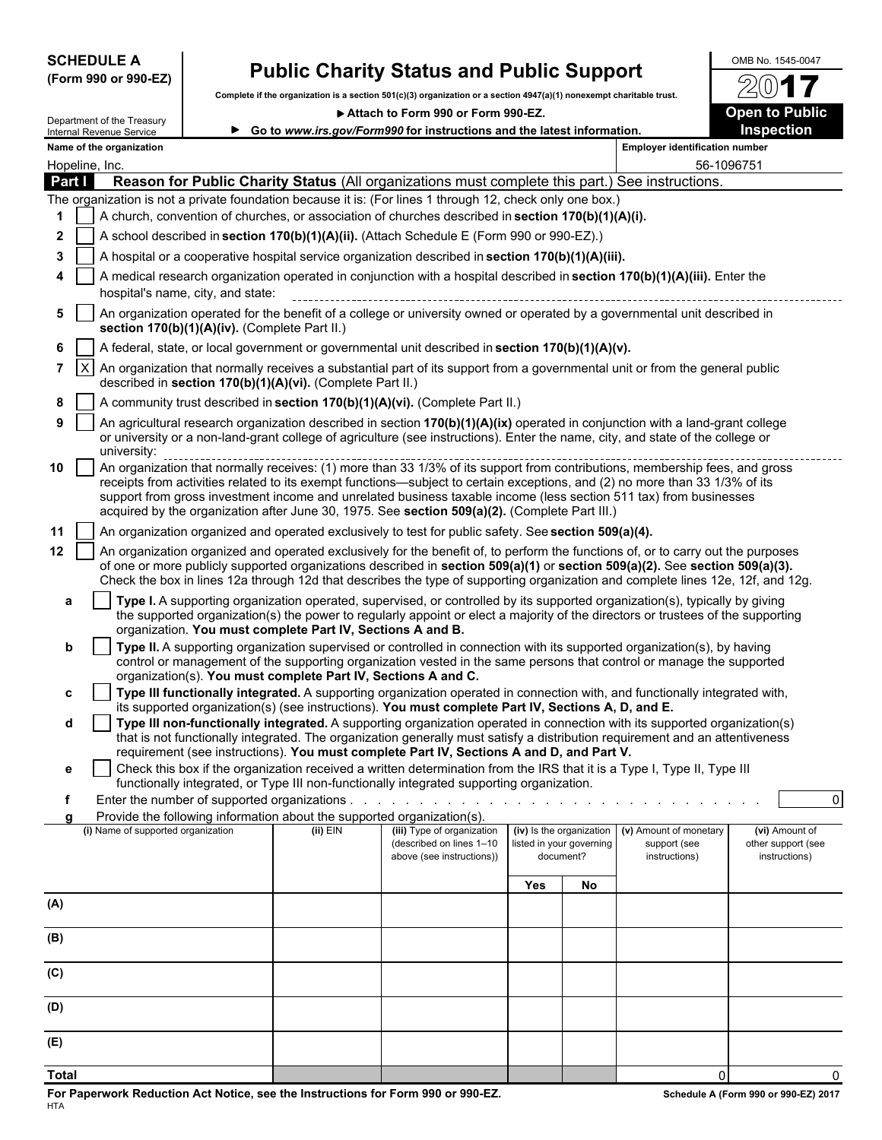| <b>SCHEDULE A</b> |  |                      |
|-------------------|--|----------------------|
|                   |  | (Form 990 or 990-EZ) |

## **Public Charity Status and Public Support**  $\frac{\text{OMB No. 1545-0047}}{20}$

**Complete if the organization is a section 501(c)(3) organization or a section 4947(a)(1) nonexempt charitable trust.**

▶ Attach to Form 990 or Form 990-EZ. **Dem to Public** 

/2

|                |                                                                                                                                                                                                                                                                                                                                                                                                                                                                                                  | Department of the Treasury                                                                                                                                                 |  |                                                               | ALLECTI TO LOLLII ABO OL LOLLII ABO-ET<br>► Go to www.irs.gov/Form990 for instructions and the latest information.                                                                                                                                              |     |                                       |                                                                                  | Open to Fublic<br>Inspection                          |  |  |
|----------------|--------------------------------------------------------------------------------------------------------------------------------------------------------------------------------------------------------------------------------------------------------------------------------------------------------------------------------------------------------------------------------------------------------------------------------------------------------------------------------------------------|----------------------------------------------------------------------------------------------------------------------------------------------------------------------------|--|---------------------------------------------------------------|-----------------------------------------------------------------------------------------------------------------------------------------------------------------------------------------------------------------------------------------------------------------|-----|---------------------------------------|----------------------------------------------------------------------------------|-------------------------------------------------------|--|--|
|                |                                                                                                                                                                                                                                                                                                                                                                                                                                                                                                  | Internal Revenue Service<br>Name of the organization                                                                                                                       |  |                                                               |                                                                                                                                                                                                                                                                 |     |                                       | <b>Employer identification number</b>                                            |                                                       |  |  |
|                |                                                                                                                                                                                                                                                                                                                                                                                                                                                                                                  | Hopeline, Inc.                                                                                                                                                             |  |                                                               |                                                                                                                                                                                                                                                                 |     |                                       |                                                                                  | 56-1096751                                            |  |  |
| Part I         |                                                                                                                                                                                                                                                                                                                                                                                                                                                                                                  |                                                                                                                                                                            |  |                                                               | Reason for Public Charity Status (All organizations must complete this part.) See instructions.                                                                                                                                                                 |     |                                       |                                                                                  |                                                       |  |  |
|                |                                                                                                                                                                                                                                                                                                                                                                                                                                                                                                  |                                                                                                                                                                            |  |                                                               | The organization is not a private foundation because it is: (For lines 1 through 12, check only one box.)                                                                                                                                                       |     |                                       |                                                                                  |                                                       |  |  |
| 1              |                                                                                                                                                                                                                                                                                                                                                                                                                                                                                                  |                                                                                                                                                                            |  |                                                               | A church, convention of churches, or association of churches described in section 170(b)(1)(A)(i).                                                                                                                                                              |     |                                       |                                                                                  |                                                       |  |  |
| $\mathbf{2}$   |                                                                                                                                                                                                                                                                                                                                                                                                                                                                                                  |                                                                                                                                                                            |  |                                                               | A school described in section 170(b)(1)(A)(ii). (Attach Schedule E (Form 990 or 990-EZ).)                                                                                                                                                                       |     |                                       |                                                                                  |                                                       |  |  |
| 3              |                                                                                                                                                                                                                                                                                                                                                                                                                                                                                                  |                                                                                                                                                                            |  |                                                               | A hospital or a cooperative hospital service organization described in section 170(b)(1)(A)(iii).                                                                                                                                                               |     |                                       |                                                                                  |                                                       |  |  |
|                |                                                                                                                                                                                                                                                                                                                                                                                                                                                                                                  | A medical research organization operated in conjunction with a hospital described in section 170(b)(1)(A)(iii). Enter the<br>hospital's name, city, and state:             |  |                                                               |                                                                                                                                                                                                                                                                 |     |                                       |                                                                                  |                                                       |  |  |
| 5              |                                                                                                                                                                                                                                                                                                                                                                                                                                                                                                  | An organization operated for the benefit of a college or university owned or operated by a governmental unit described in<br>section 170(b)(1)(A)(iv). (Complete Part II.) |  |                                                               |                                                                                                                                                                                                                                                                 |     |                                       |                                                                                  |                                                       |  |  |
| 6              |                                                                                                                                                                                                                                                                                                                                                                                                                                                                                                  |                                                                                                                                                                            |  |                                                               | A federal, state, or local government or governmental unit described in section 170(b)(1)(A)(v).                                                                                                                                                                |     |                                       |                                                                                  |                                                       |  |  |
| $\overline{7}$ | IX.                                                                                                                                                                                                                                                                                                                                                                                                                                                                                              |                                                                                                                                                                            |  | described in section 170(b)(1)(A)(vi). (Complete Part II.)    | An organization that normally receives a substantial part of its support from a governmental unit or from the general public                                                                                                                                    |     |                                       |                                                                                  |                                                       |  |  |
| 8              |                                                                                                                                                                                                                                                                                                                                                                                                                                                                                                  |                                                                                                                                                                            |  |                                                               | A community trust described in section 170(b)(1)(A)(vi). (Complete Part II.)                                                                                                                                                                                    |     |                                       |                                                                                  |                                                       |  |  |
| 9              |                                                                                                                                                                                                                                                                                                                                                                                                                                                                                                  | university:                                                                                                                                                                |  |                                                               | An agricultural research organization described in section 170(b)(1)(A)(ix) operated in conjunction with a land-grant college<br>or university or a non-land-grant college of agriculture (see instructions). Enter the name, city, and state of the college or |     |                                       |                                                                                  |                                                       |  |  |
| 10             | diliversity.<br>An organization that normally receives: (1) more than 33 1/3% of its support from contributions, membership fees, and gross<br>receipts from activities related to its exempt functions—subject to certain exceptions, and (2) no more than 33 1/3% of its<br>support from gross investment income and unrelated business taxable income (less section 511 tax) from businesses<br>acquired by the organization after June 30, 1975. See section 509(a)(2). (Complete Part III.) |                                                                                                                                                                            |  |                                                               |                                                                                                                                                                                                                                                                 |     |                                       |                                                                                  |                                                       |  |  |
| 11             |                                                                                                                                                                                                                                                                                                                                                                                                                                                                                                  |                                                                                                                                                                            |  |                                                               | An organization organized and operated exclusively to test for public safety. See section 509(a)(4).                                                                                                                                                            |     |                                       |                                                                                  |                                                       |  |  |
| $12 \,$        |                                                                                                                                                                                                                                                                                                                                                                                                                                                                                                  |                                                                                                                                                                            |  |                                                               | An organization organized and operated exclusively for the benefit of, to perform the functions of, or to carry out the purposes                                                                                                                                |     |                                       |                                                                                  |                                                       |  |  |
|                |                                                                                                                                                                                                                                                                                                                                                                                                                                                                                                  |                                                                                                                                                                            |  |                                                               | of one or more publicly supported organizations described in section 509(a)(1) or section 509(a)(2). See section 509(a)(3).<br>Check the box in lines 12a through 12d that describes the type of supporting organization and complete lines 12e, 12f, and 12g.  |     |                                       |                                                                                  |                                                       |  |  |
| a              |                                                                                                                                                                                                                                                                                                                                                                                                                                                                                                  |                                                                                                                                                                            |  |                                                               | Type I. A supporting organization operated, supervised, or controlled by its supported organization(s), typically by giving<br>the supported organization(s) the power to regularly appoint or elect a majority of the directors or trustees of the supporting  |     |                                       |                                                                                  |                                                       |  |  |
| b              |                                                                                                                                                                                                                                                                                                                                                                                                                                                                                                  |                                                                                                                                                                            |  | organization. You must complete Part IV, Sections A and B.    | Type II. A supporting organization supervised or controlled in connection with its supported organization(s), by having<br>control or management of the supporting organization vested in the same persons that control or manage the supported                 |     |                                       |                                                                                  |                                                       |  |  |
|                |                                                                                                                                                                                                                                                                                                                                                                                                                                                                                                  |                                                                                                                                                                            |  | organization(s). You must complete Part IV, Sections A and C. |                                                                                                                                                                                                                                                                 |     |                                       |                                                                                  |                                                       |  |  |
| c              |                                                                                                                                                                                                                                                                                                                                                                                                                                                                                                  |                                                                                                                                                                            |  |                                                               | Type III functionally integrated. A supporting organization operated in connection with, and functionally integrated with,                                                                                                                                      |     |                                       |                                                                                  |                                                       |  |  |
| d              |                                                                                                                                                                                                                                                                                                                                                                                                                                                                                                  |                                                                                                                                                                            |  |                                                               | its supported organization(s) (see instructions). You must complete Part IV, Sections A, D, and E.<br>Type III non-functionally integrated. A supporting organization operated in connection with its supported organization(s)                                 |     |                                       |                                                                                  |                                                       |  |  |
|                |                                                                                                                                                                                                                                                                                                                                                                                                                                                                                                  |                                                                                                                                                                            |  |                                                               | that is not functionally integrated. The organization generally must satisfy a distribution requirement and an attentiveness                                                                                                                                    |     |                                       |                                                                                  |                                                       |  |  |
|                |                                                                                                                                                                                                                                                                                                                                                                                                                                                                                                  |                                                                                                                                                                            |  |                                                               | requirement (see instructions). You must complete Part IV, Sections A and D, and Part V.                                                                                                                                                                        |     |                                       |                                                                                  |                                                       |  |  |
| е              |                                                                                                                                                                                                                                                                                                                                                                                                                                                                                                  |                                                                                                                                                                            |  |                                                               | Check this box if the organization received a written determination from the IRS that it is a Type I, Type II, Type III<br>functionally integrated, or Type III non-functionally integrated supporting organization.                                            |     |                                       |                                                                                  |                                                       |  |  |
|                |                                                                                                                                                                                                                                                                                                                                                                                                                                                                                                  |                                                                                                                                                                            |  |                                                               |                                                                                                                                                                                                                                                                 |     |                                       |                                                                                  | $\overline{0}$                                        |  |  |
| a              |                                                                                                                                                                                                                                                                                                                                                                                                                                                                                                  |                                                                                                                                                                            |  |                                                               | Provide the following information about the supported organization(s).                                                                                                                                                                                          |     |                                       |                                                                                  |                                                       |  |  |
|                |                                                                                                                                                                                                                                                                                                                                                                                                                                                                                                  | (i) Name of supported organization                                                                                                                                         |  | $(ii)$ EIN                                                    | (iii) Type of organization<br>(described on lines 1-10<br>above (see instructions))                                                                                                                                                                             |     | listed in your governing<br>document? | (iv) Is the organization (v) Amount of monetary<br>support (see<br>instructions) | (vi) Amount of<br>other support (see<br>instructions) |  |  |
|                |                                                                                                                                                                                                                                                                                                                                                                                                                                                                                                  |                                                                                                                                                                            |  |                                                               |                                                                                                                                                                                                                                                                 |     |                                       |                                                                                  |                                                       |  |  |
|                |                                                                                                                                                                                                                                                                                                                                                                                                                                                                                                  |                                                                                                                                                                            |  |                                                               |                                                                                                                                                                                                                                                                 | Yes | No                                    |                                                                                  |                                                       |  |  |
| (A)            |                                                                                                                                                                                                                                                                                                                                                                                                                                                                                                  |                                                                                                                                                                            |  |                                                               |                                                                                                                                                                                                                                                                 |     |                                       |                                                                                  |                                                       |  |  |
| (B)            |                                                                                                                                                                                                                                                                                                                                                                                                                                                                                                  |                                                                                                                                                                            |  |                                                               |                                                                                                                                                                                                                                                                 |     |                                       |                                                                                  |                                                       |  |  |
| (C)            |                                                                                                                                                                                                                                                                                                                                                                                                                                                                                                  |                                                                                                                                                                            |  |                                                               |                                                                                                                                                                                                                                                                 |     |                                       |                                                                                  |                                                       |  |  |
| (D)            |                                                                                                                                                                                                                                                                                                                                                                                                                                                                                                  |                                                                                                                                                                            |  |                                                               |                                                                                                                                                                                                                                                                 |     |                                       |                                                                                  |                                                       |  |  |
| (E)            |                                                                                                                                                                                                                                                                                                                                                                                                                                                                                                  |                                                                                                                                                                            |  |                                                               |                                                                                                                                                                                                                                                                 |     |                                       |                                                                                  |                                                       |  |  |
| <b>Total</b>   |                                                                                                                                                                                                                                                                                                                                                                                                                                                                                                  |                                                                                                                                                                            |  |                                                               |                                                                                                                                                                                                                                                                 |     |                                       | $\mathbf 0$                                                                      | $\Omega$                                              |  |  |
|                |                                                                                                                                                                                                                                                                                                                                                                                                                                                                                                  |                                                                                                                                                                            |  |                                                               |                                                                                                                                                                                                                                                                 |     |                                       |                                                                                  |                                                       |  |  |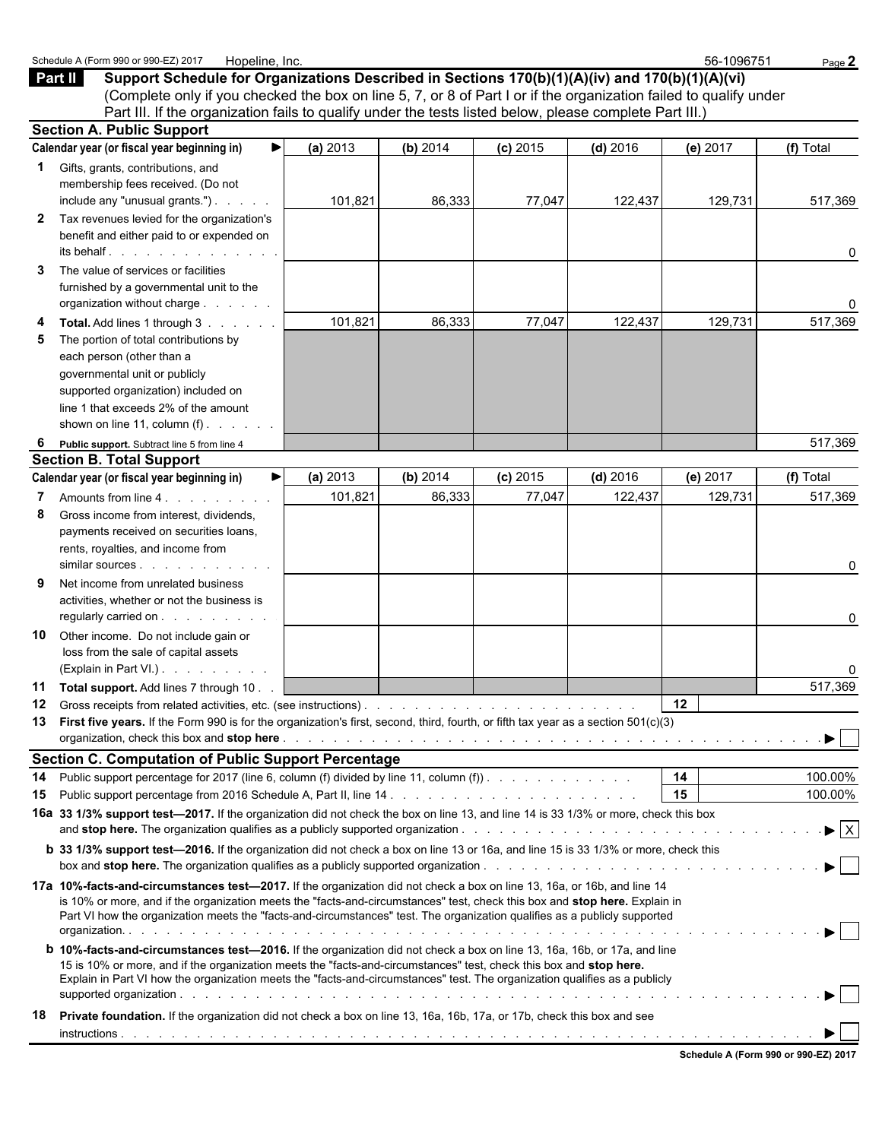|              | Schedule A (Form 990 or 990-EZ) 2017<br>Hopeline, Inc.                                                                                                                                                                                                |          |          |            |            | 56-1096751      | Page 2                         |
|--------------|-------------------------------------------------------------------------------------------------------------------------------------------------------------------------------------------------------------------------------------------------------|----------|----------|------------|------------|-----------------|--------------------------------|
| Part II      | Support Schedule for Organizations Described in Sections 170(b)(1)(A)(iv) and 170(b)(1)(A)(vi)                                                                                                                                                        |          |          |            |            |                 |                                |
|              | (Complete only if you checked the box on line 5, 7, or 8 of Part I or if the organization failed to qualify under                                                                                                                                     |          |          |            |            |                 |                                |
|              | Part III. If the organization fails to qualify under the tests listed below, please complete Part III.                                                                                                                                                |          |          |            |            |                 |                                |
|              | <b>Section A. Public Support</b>                                                                                                                                                                                                                      |          |          |            |            |                 |                                |
|              | Calendar year (or fiscal year beginning in)                                                                                                                                                                                                           | (a) 2013 | (b) 2014 | $(c)$ 2015 | $(d)$ 2016 | (e) $2017$      | (f) Total                      |
|              | Gifts, grants, contributions, and                                                                                                                                                                                                                     |          |          |            |            |                 |                                |
|              | membership fees received. (Do not                                                                                                                                                                                                                     |          |          |            |            |                 |                                |
|              | include any "unusual grants.")                                                                                                                                                                                                                        | 101,821  | 86,333   | 77,047     | 122,437    | 129,731         | 517,369                        |
| $\mathbf{2}$ | Tax revenues levied for the organization's                                                                                                                                                                                                            |          |          |            |            |                 |                                |
|              | benefit and either paid to or expended on                                                                                                                                                                                                             |          |          |            |            |                 |                                |
|              | $its$ behalf $\ldots$ $\ldots$ $\ldots$ $\ldots$ $\ldots$                                                                                                                                                                                             |          |          |            |            |                 | 0                              |
| 3            | The value of services or facilities                                                                                                                                                                                                                   |          |          |            |            |                 |                                |
|              | furnished by a governmental unit to the                                                                                                                                                                                                               |          |          |            |            |                 |                                |
|              | organization without charge                                                                                                                                                                                                                           |          |          |            |            |                 | 0                              |
|              | Total. Add lines 1 through 3                                                                                                                                                                                                                          | 101,821  | 86,333   | 77,047     | 122,437    | 129,731         | 517,369                        |
|              | The portion of total contributions by                                                                                                                                                                                                                 |          |          |            |            |                 |                                |
|              | each person (other than a                                                                                                                                                                                                                             |          |          |            |            |                 |                                |
|              | governmental unit or publicly                                                                                                                                                                                                                         |          |          |            |            |                 |                                |
|              | supported organization) included on                                                                                                                                                                                                                   |          |          |            |            |                 |                                |
|              | line 1 that exceeds 2% of the amount                                                                                                                                                                                                                  |          |          |            |            |                 |                                |
|              | shown on line 11, column $(f)$ .                                                                                                                                                                                                                      |          |          |            |            |                 |                                |
| 6            | Public support. Subtract line 5 from line 4                                                                                                                                                                                                           |          |          |            |            |                 | 517,369                        |
|              | <b>Section B. Total Support</b>                                                                                                                                                                                                                       |          |          |            |            |                 |                                |
|              | Calendar year (or fiscal year beginning in)                                                                                                                                                                                                           | (a) 2013 | (b) 2014 | $(c)$ 2015 | $(d)$ 2016 | (e) 2017        | (f) Total                      |
| 7            | Amounts from line 4.                                                                                                                                                                                                                                  | 101,821  | 86,333   | 77,047     | 122,437    | 129,731         | 517,369                        |
| 8            | Gross income from interest, dividends,                                                                                                                                                                                                                |          |          |            |            |                 |                                |
|              | payments received on securities loans,                                                                                                                                                                                                                |          |          |            |            |                 |                                |
|              | rents, royalties, and income from                                                                                                                                                                                                                     |          |          |            |            |                 |                                |
|              | similar sources                                                                                                                                                                                                                                       |          |          |            |            |                 | 0                              |
| 9            | Net income from unrelated business                                                                                                                                                                                                                    |          |          |            |            |                 |                                |
|              | activities, whether or not the business is                                                                                                                                                                                                            |          |          |            |            |                 |                                |
|              | regularly carried on                                                                                                                                                                                                                                  |          |          |            |            |                 | 0                              |
| 10           | Other income. Do not include gain or                                                                                                                                                                                                                  |          |          |            |            |                 |                                |
|              | loss from the sale of capital assets                                                                                                                                                                                                                  |          |          |            |            |                 |                                |
|              | (Explain in Part VI.)                                                                                                                                                                                                                                 |          |          |            |            |                 | 0                              |
|              | 11 Total support. Add lines 7 through 10                                                                                                                                                                                                              |          |          |            |            |                 | 517,369                        |
| 12           |                                                                                                                                                                                                                                                       |          |          |            |            | 12 <sub>2</sub> |                                |
|              | 13 First five years. If the Form 990 is for the organization's first, second, third, fourth, or fifth tax year as a section 501(c)(3)                                                                                                                 |          |          |            |            |                 |                                |
|              | organization, check this box and stop here <b>expansion on the controller on the controller</b> of the controller or controller to the controller or controller to the controller to the controller to the controller or controller                   |          |          |            |            |                 | ▶                              |
|              | <b>Section C. Computation of Public Support Percentage</b>                                                                                                                                                                                            |          |          |            |            |                 |                                |
| 14           | Public support percentage for 2017 (line 6, column (f) divided by line 11, column (f)). $\ldots$                                                                                                                                                      |          |          |            |            | 14              | 100.00%                        |
| 15           |                                                                                                                                                                                                                                                       |          |          |            |            | 15              | 100.00%                        |
|              | 16a 33 1/3% support test-2017. If the organization did not check the box on line 13, and line 14 is 33 1/3% or more, check this box                                                                                                                   |          |          |            |            |                 | $\blacktriangleright$ $\mid$ X |
|              |                                                                                                                                                                                                                                                       |          |          |            |            |                 |                                |
|              | <b>b</b> 33 1/3% support test-2016. If the organization did not check a box on line 13 or 16a, and line 15 is 33 1/3% or more, check this                                                                                                             |          |          |            |            |                 |                                |
|              |                                                                                                                                                                                                                                                       |          |          |            |            |                 |                                |
|              | 17a 10%-facts-and-circumstances test-2017. If the organization did not check a box on line 13, 16a, or 16b, and line 14<br>is 10% or more, and if the organization meets the "facts-and-circumstances" test, check this box and stop here. Explain in |          |          |            |            |                 |                                |
|              | Part VI how the organization meets the "facts-and-circumstances" test. The organization qualifies as a publicly supported                                                                                                                             |          |          |            |            |                 |                                |
|              |                                                                                                                                                                                                                                                       |          |          |            |            |                 |                                |
|              | <b>b</b> 10%-facts-and-circumstances test-2016. If the organization did not check a box on line 13, 16a, 16b, or 17a, and line                                                                                                                        |          |          |            |            |                 |                                |
|              | 15 is 10% or more, and if the organization meets the "facts-and-circumstances" test, check this box and stop here.                                                                                                                                    |          |          |            |            |                 |                                |
|              | Explain in Part VI how the organization meets the "facts-and-circumstances" test. The organization qualifies as a publicly                                                                                                                            |          |          |            |            |                 |                                |
|              |                                                                                                                                                                                                                                                       |          |          |            |            |                 | $\blacktriangleright$ 1        |
| 18           | Private foundation. If the organization did not check a box on line 13, 16a, 16b, 17a, or 17b, check this box and see                                                                                                                                 |          |          |            |            |                 |                                |
|              |                                                                                                                                                                                                                                                       |          |          |            |            |                 |                                |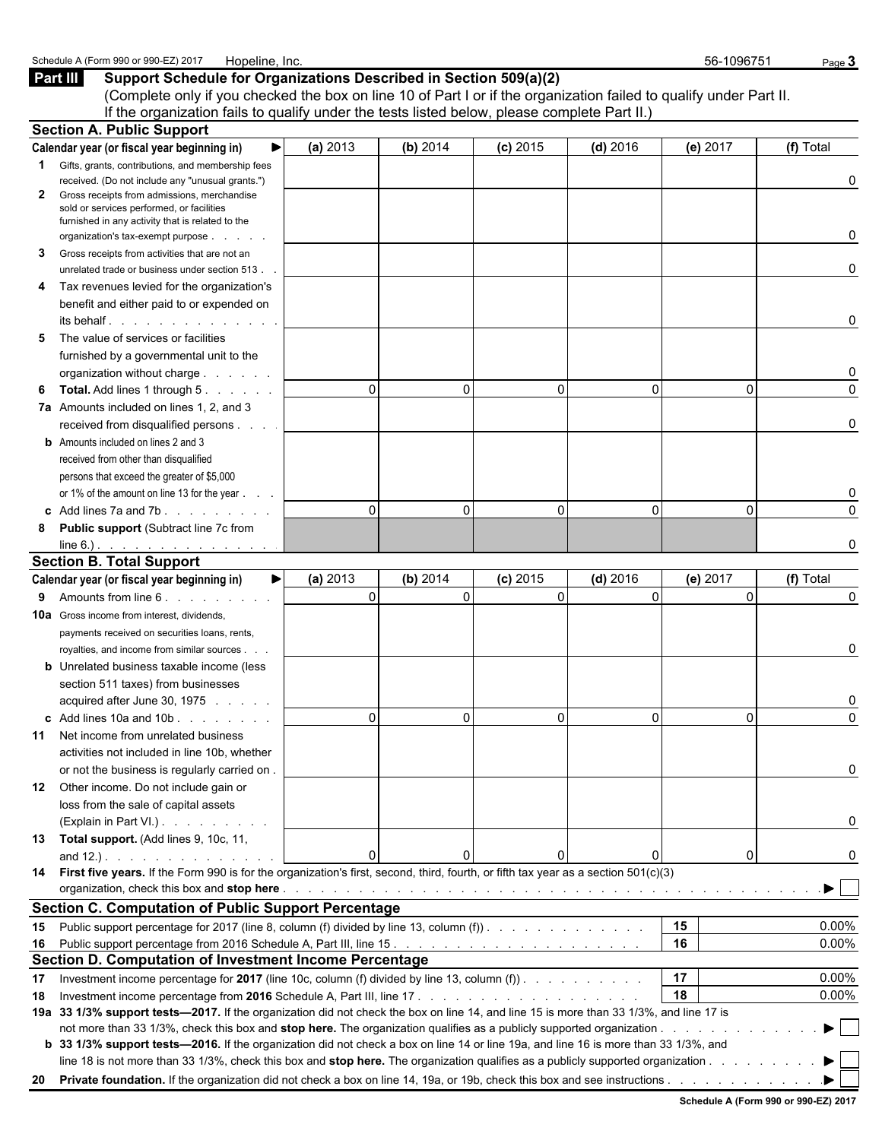| Part III                                                                                                                               | Support Schedule for Organizations Described in Section 509(a)(2)                            |          |          |            | (Complete only if you checked the box on line 10 of Part I or if the organization failed to qualify under Part II. |          |                         |
|----------------------------------------------------------------------------------------------------------------------------------------|----------------------------------------------------------------------------------------------|----------|----------|------------|--------------------------------------------------------------------------------------------------------------------|----------|-------------------------|
|                                                                                                                                        | If the organization fails to qualify under the tests listed below, please complete Part II.) |          |          |            |                                                                                                                    |          |                         |
| <b>Section A. Public Support</b>                                                                                                       |                                                                                              |          |          |            |                                                                                                                    |          |                         |
| Calendar year (or fiscal year beginning in)                                                                                            |                                                                                              | (a) 2013 | (b) 2014 | $(c)$ 2015 | $(d)$ 2016                                                                                                         | (e) 2017 | (f) Total               |
| Gifts, grants, contributions, and membership fees<br>1.                                                                                |                                                                                              |          |          |            |                                                                                                                    |          |                         |
| received. (Do not include any "unusual grants.")<br>Gross receipts from admissions, merchandise<br>2                                   |                                                                                              |          |          |            |                                                                                                                    |          | 0                       |
| sold or services performed, or facilities                                                                                              |                                                                                              |          |          |            |                                                                                                                    |          |                         |
| furnished in any activity that is related to the                                                                                       |                                                                                              |          |          |            |                                                                                                                    |          |                         |
| organization's tax-exempt purpose                                                                                                      |                                                                                              |          |          |            |                                                                                                                    |          | 0                       |
| Gross receipts from activities that are not an<br>3                                                                                    |                                                                                              |          |          |            |                                                                                                                    |          |                         |
| unrelated trade or business under section 513.                                                                                         |                                                                                              |          |          |            |                                                                                                                    |          | 0                       |
| Tax revenues levied for the organization's<br>4                                                                                        |                                                                                              |          |          |            |                                                                                                                    |          |                         |
| benefit and either paid to or expended on                                                                                              |                                                                                              |          |          |            |                                                                                                                    |          |                         |
| its behalf in the set of the set of the set of the set of the set of the set of the set of the set of the set o                        |                                                                                              |          |          |            |                                                                                                                    |          | 0                       |
| The value of services or facilities<br>5                                                                                               |                                                                                              |          |          |            |                                                                                                                    |          |                         |
| furnished by a governmental unit to the                                                                                                |                                                                                              |          |          |            |                                                                                                                    |          |                         |
| organization without charge                                                                                                            |                                                                                              |          |          |            |                                                                                                                    |          | 0                       |
| <b>Total.</b> Add lines 1 through 5.<br>6                                                                                              |                                                                                              | $\Omega$ | $\Omega$ | $\Omega$   | $\Omega$                                                                                                           | $\Omega$ | $\Omega$                |
| 7a Amounts included on lines 1, 2, and 3                                                                                               |                                                                                              |          |          |            |                                                                                                                    |          |                         |
| received from disqualified persons                                                                                                     |                                                                                              |          |          |            |                                                                                                                    |          | 0                       |
| <b>b</b> Amounts included on lines 2 and 3                                                                                             |                                                                                              |          |          |            |                                                                                                                    |          |                         |
| received from other than disqualified                                                                                                  |                                                                                              |          |          |            |                                                                                                                    |          |                         |
| persons that exceed the greater of \$5,000                                                                                             |                                                                                              |          |          |            |                                                                                                                    |          |                         |
| or 1% of the amount on line 13 for the year                                                                                            |                                                                                              |          |          |            |                                                                                                                    |          |                         |
| c Add lines $7a$ and $7b$ .                                                                                                            |                                                                                              | $\Omega$ | 0        | $\Omega$   | $\Omega$                                                                                                           | $\Omega$ | $\Omega$                |
| <b>Public support (Subtract line 7c from</b><br>8                                                                                      |                                                                                              |          |          |            |                                                                                                                    |          |                         |
| $line 6$ .).                                                                                                                           |                                                                                              |          |          |            |                                                                                                                    |          | O                       |
| <b>Section B. Total Support</b>                                                                                                        |                                                                                              |          |          |            |                                                                                                                    |          |                         |
| Calendar year (or fiscal year beginning in)                                                                                            | ▶                                                                                            | (a) 2013 | (b) 2014 | $(c)$ 2015 | $(d)$ 2016                                                                                                         | (e) 2017 | (f) Total               |
| Amounts from line 6.<br>9                                                                                                              |                                                                                              | $\Omega$ | $\Omega$ | $\Omega$   | $\Omega$                                                                                                           | $\Omega$ | 0                       |
| <b>10a</b> Gross income from interest, dividends,                                                                                      |                                                                                              |          |          |            |                                                                                                                    |          |                         |
| payments received on securities loans, rents,                                                                                          |                                                                                              |          |          |            |                                                                                                                    |          |                         |
| royalties, and income from similar sources.                                                                                            |                                                                                              |          |          |            |                                                                                                                    |          | 0                       |
| <b>b</b> Unrelated business taxable income (less                                                                                       |                                                                                              |          |          |            |                                                                                                                    |          |                         |
| section 511 taxes) from businesses                                                                                                     |                                                                                              |          |          |            |                                                                                                                    |          |                         |
| acquired after June 30, 1975                                                                                                           |                                                                                              |          |          |            |                                                                                                                    |          |                         |
| c Add lines $10a$ and $10b$ .                                                                                                          |                                                                                              |          | 0        |            | 0                                                                                                                  | 0        |                         |
| Net income from unrelated business<br>11                                                                                               |                                                                                              |          |          |            |                                                                                                                    |          |                         |
| activities not included in line 10b, whether                                                                                           |                                                                                              |          |          |            |                                                                                                                    |          |                         |
| or not the business is regularly carried on.                                                                                           |                                                                                              |          |          |            |                                                                                                                    |          | 0                       |
| 12 Other income. Do not include gain or                                                                                                |                                                                                              |          |          |            |                                                                                                                    |          |                         |
| loss from the sale of capital assets                                                                                                   |                                                                                              |          |          |            |                                                                                                                    |          |                         |
| (Explain in Part VI.)                                                                                                                  |                                                                                              |          |          |            |                                                                                                                    |          | 0                       |
| 13 Total support. (Add lines 9, 10c, 11,                                                                                               |                                                                                              |          |          |            |                                                                                                                    |          |                         |
|                                                                                                                                        |                                                                                              | $\Omega$ | 0        |            | 0                                                                                                                  | 0        | 0                       |
| 14 First five years. If the Form 990 is for the organization's first, second, third, fourth, or fifth tax year as a section 501(c)(3)  |                                                                                              |          |          |            |                                                                                                                    |          |                         |
|                                                                                                                                        |                                                                                              |          |          |            |                                                                                                                    |          | $\blacktriangleright$   |
| <b>Section C. Computation of Public Support Percentage</b>                                                                             |                                                                                              |          |          |            |                                                                                                                    |          |                         |
| Public support percentage for 2017 (line 8, column (f) divided by line 13, column (f)<br>15                                            |                                                                                              |          |          |            |                                                                                                                    | 15       | 0.00%                   |
|                                                                                                                                        |                                                                                              |          |          |            |                                                                                                                    | 16       | 0.00%                   |
| Section D. Computation of Investment Income Percentage                                                                                 |                                                                                              |          |          |            |                                                                                                                    |          |                         |
| Investment income percentage for 2017 (line 10c, column (f) divided by line 13, column (f) $\ldots$<br>17                              |                                                                                              |          |          |            |                                                                                                                    | 17       | 0.00%                   |
| 18                                                                                                                                     |                                                                                              |          |          |            |                                                                                                                    | 18       | 0.00%                   |
| 19a 33 1/3% support tests-2017. If the organization did not check the box on line 14, and line 15 is more than 33 1/3%, and line 17 is |                                                                                              |          |          |            |                                                                                                                    |          |                         |
|                                                                                                                                        |                                                                                              |          |          |            |                                                                                                                    |          | $\blacktriangleright$ 1 |
| b 33 1/3% support tests—2016. If the organization did not check a box on line 14 or line 19a, and line 16 is more than 33 1/3%, and    |                                                                                              |          |          |            |                                                                                                                    |          |                         |
| line 18 is not more than 33 1/3%, check this box and stop here. The organization qualifies as a publicly supported organization        |                                                                                              |          |          |            |                                                                                                                    |          |                         |
| 20                                                                                                                                     |                                                                                              |          |          |            |                                                                                                                    |          |                         |

Schedule A (Form 990 or 990-EZ) 2017 Hopeline, Inc. 56-1096751 Page 3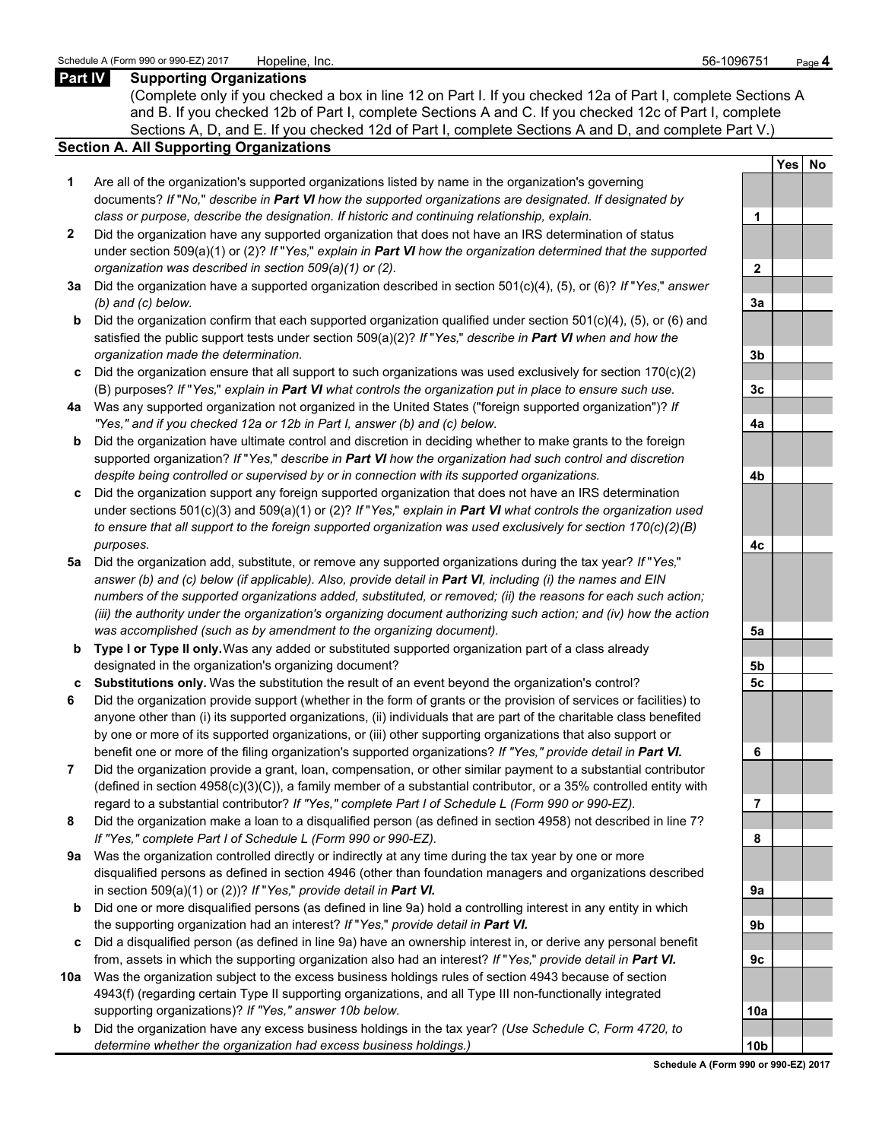#### **Part IV Supporting Organizations**

(Complete only if you checked a box in line 12 on Part I. If you checked 12a of Part I, complete Sections A and B. If you checked 12b of Part I, complete Sections A and C. If you checked 12c of Part I, complete Sections A, D, and E. If you checked 12d of Part I, complete Sections A and D, and complete Part V.)

#### **Section A. All Supporting Organizations**

- **1** Are all of the organization's supported organizations listed by name in the organization's governing documents? *If* "*No,*" *describe in Part VI how the supported organizations are designated. If designated by class or purpose, describe the designation. If historic and continuing relationship, explain.* **1**
- **2** Did the organization have any supported organization that does not have an IRS determination of status under section 509(a)(1) or (2)? *If* "*Yes,*" *explain in Part VI how the organization determined that the supported organization was described in section 509(a)(1) or (2).*
- **3a** Did the organization have a supported organization described in section 501(c)(4), (5), or (6)? *If* "*Yes,*" *answer (b) and (c) below.* **3a**
- **b** Did the organization confirm that each supported organization qualified under section 501(c)(4), (5), or (6) and satisfied the public support tests under section 509(a)(2)? *If* "*Yes,*" *describe in Part VI when and how the organization made the determination.* **3b**
- **c** Did the organization ensure that all support to such organizations was used exclusively for section 170(c)(2) (B) purposes? *If* "*Yes,*" *explain in Part VI what controls the organization put in place to ensure such use.* **3c**
- **4a** Was any supported organization not organized in the United States ("foreign supported organization")? *If "Yes," and if you checked 12a or 12b in Part I, answer (b) and (c) below.* **4a**
- **b** Did the organization have ultimate control and discretion in deciding whether to make grants to the foreign supported organization? *If* "*Yes,*" *describe in Part VI how the organization had such control and discretion despite being controlled or supervised by or in connection with its supported organizations.* **4b**
- **c** Did the organization support any foreign supported organization that does not have an IRS determination under sections 501(c)(3) and 509(a)(1) or (2)? *If* "*Yes,*" *explain in Part VI what controls the organization used to ensure that all support to the foreign supported organization was used exclusively for section 170(c)(2)(B) purposes.* **4c**
- **5a** Did the organization add, substitute, or remove any supported organizations during the tax year? *If* "*Yes,*" *answer (b) and (c) below (if applicable). Also, provide detail in Part VI, including (i) the names and EIN numbers of the supported organizations added, substituted, or removed; (ii) the reasons for each such action; (iii) the authority under the organization's organizing document authorizing such action; and (iv) how the action was accomplished (such as by amendment to the organizing document).* **5a**
- **b Type I or Type II only.** Was any added or substituted supported organization part of a class already designated in the organization's organizing document? **5b**
- **c Substitutions only.** Was the substitution the result of an event beyond the organization's control? **5c**
- **6** Did the organization provide support (whether in the form of grants or the provision of services or facilities) to anyone other than (i) its supported organizations, (ii) individuals that are part of the charitable class benefited by one or more of its supported organizations, or (iii) other supporting organizations that also support or benefit one or more of the filing organization's supported organizations? *If "Yes," provide detail in Part VI.* **6**
- **7** Did the organization provide a grant, loan, compensation, or other similar payment to a substantial contributor (defined in section 4958(c)(3)(C)), a family member of a substantial contributor, or a 35% controlled entity with regard to a substantial contributor? *If "Yes," complete Part I of Schedule L (Form 990 or 990-EZ).* **7**
- **8** Did the organization make a loan to a disqualified person (as defined in section 4958) not described in line 7? *If "Yes," complete Part I of Schedule L (Form 990 or 990-EZ).* **8**
- **9a** Was the organization controlled directly or indirectly at any time during the tax year by one or more disqualified persons as defined in section 4946 (other than foundation managers and organizations described in section 509(a)(1) or (2))? *If* "*Yes*," *provide detail in Part VI.*
- **b** Did one or more disqualified persons (as defined in line 9a) hold a controlling interest in any entity in which the supporting organization had an interest? *If* "*Yes,*" *provide detail in Part VI.* **9b**
- **c** Did a disqualified person (as defined in line 9a) have an ownership interest in, or derive any personal benefit from, assets in which the supporting organization also had an interest? *If* "*Yes,*" *provide detail in Part VI.* **9c**
- **10a** Was the organization subject to the excess business holdings rules of section 4943 because of section 4943(f) (regarding certain Type II supporting organizations, and all Type III non-functionally integrated supporting organizations)? If "Yes," answer 10b below.
	- **b** Did the organization have any excess business holdings in the tax year? *(Use Schedule C, Form 4720, to determine whether the organization had excess business holdings.)* **10b**

|                | Yes<br>$\overline{\phantom{a}}$ | <u>No</u> |
|----------------|---------------------------------|-----------|
|                |                                 |           |
| 1              |                                 |           |
|                |                                 |           |
| $\overline{2}$ |                                 |           |
|                |                                 |           |
| 3a             |                                 |           |
|                |                                 |           |
| 3 <sub>b</sub> |                                 |           |
|                |                                 |           |
| 3c             |                                 |           |
| 4a             |                                 |           |
|                |                                 |           |
|                |                                 |           |
| 4b             |                                 |           |
|                |                                 |           |
| 4c             |                                 |           |
|                |                                 |           |
| $\frac{5a}{2}$ |                                 |           |
|                |                                 |           |
| 5 <sub>b</sub> |                                 |           |
| 5 <u>c</u>     |                                 |           |
|                |                                 |           |
| 6              |                                 |           |
|                |                                 |           |
| j<br>7         |                                 |           |
| 8              |                                 |           |
|                |                                 |           |
| 9a             |                                 |           |
|                |                                 |           |
| 9b             |                                 |           |
|                |                                 |           |
| 9с             |                                 |           |
|                |                                 |           |
| 10a            |                                 |           |
| 0b<br>1        |                                 |           |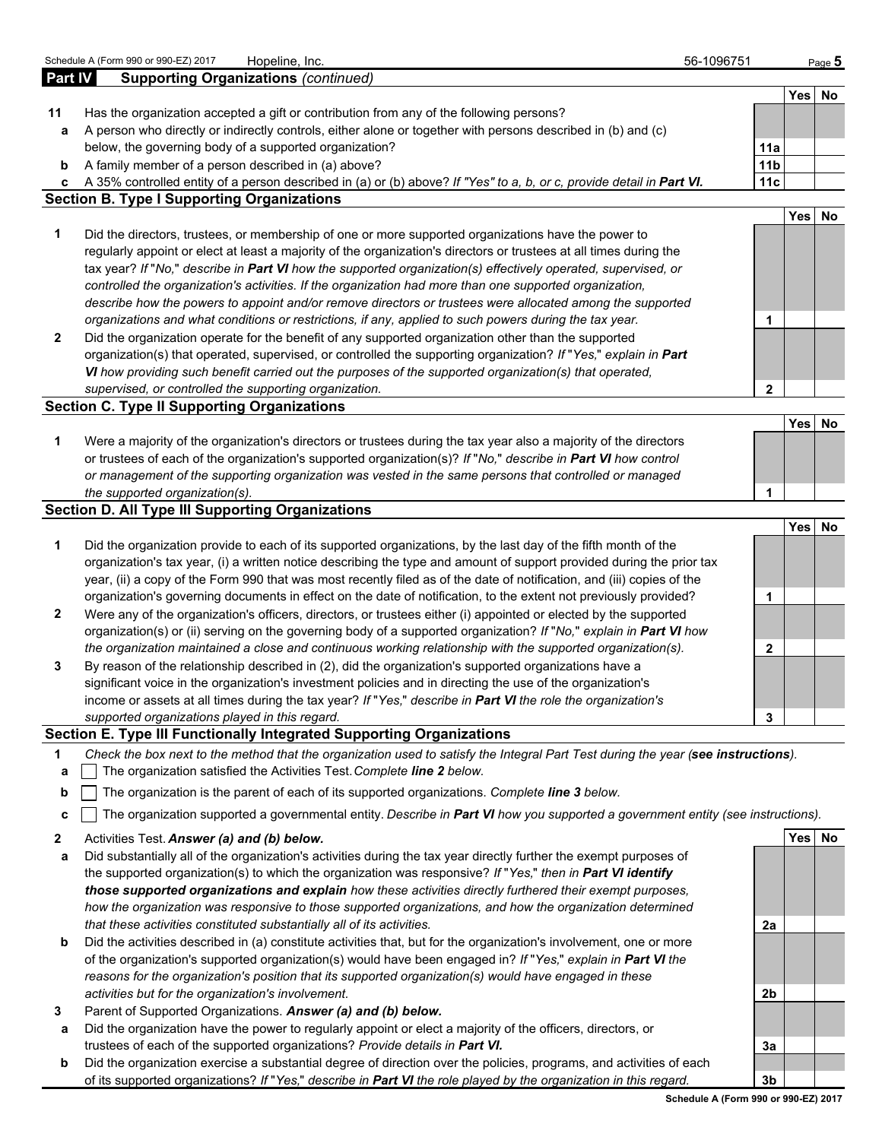|                | Schedule A (Form 990 or 990-EZ) 2017<br>Hopeline, Inc.                                                                                                                 | 56-1096751 |                        |            | Page $5$ |
|----------------|------------------------------------------------------------------------------------------------------------------------------------------------------------------------|------------|------------------------|------------|----------|
| <b>Part IV</b> | <b>Supporting Organizations (continued)</b>                                                                                                                            |            |                        |            |          |
|                |                                                                                                                                                                        |            |                        |            | Yes No   |
| 11             | Has the organization accepted a gift or contribution from any of the following persons?                                                                                |            |                        |            |          |
| а              | A person who directly or indirectly controls, either alone or together with persons described in (b) and (c)<br>below, the governing body of a supported organization? |            |                        |            |          |
|                | A family member of a person described in (a) above?                                                                                                                    |            | 11a<br>11 <sub>b</sub> |            |          |
| b<br>c         | A 35% controlled entity of a person described in (a) or (b) above? If "Yes" to a, b, or c, provide detail in Part VI.                                                  |            | 11c                    |            |          |
|                | <b>Section B. Type I Supporting Organizations</b>                                                                                                                      |            |                        |            |          |
|                |                                                                                                                                                                        |            |                        | Yes        | No       |
| 1              | Did the directors, trustees, or membership of one or more supported organizations have the power to                                                                    |            |                        |            |          |
|                | regularly appoint or elect at least a majority of the organization's directors or trustees at all times during the                                                     |            |                        |            |          |
|                | tax year? If "No," describe in Part VI how the supported organization(s) effectively operated, supervised, or                                                          |            |                        |            |          |
|                | controlled the organization's activities. If the organization had more than one supported organization,                                                                |            |                        |            |          |
|                | describe how the powers to appoint and/or remove directors or trustees were allocated among the supported                                                              |            |                        |            |          |
|                | organizations and what conditions or restrictions, if any, applied to such powers during the tax year.                                                                 |            | 1                      |            |          |
| 2              | Did the organization operate for the benefit of any supported organization other than the supported                                                                    |            |                        |            |          |
|                | organization(s) that operated, supervised, or controlled the supporting organization? If "Yes," explain in Part                                                        |            |                        |            |          |
|                | VI how providing such benefit carried out the purposes of the supported organization(s) that operated,                                                                 |            |                        |            |          |
|                | supervised, or controlled the supporting organization.                                                                                                                 |            | $\mathbf{2}$           |            |          |
|                | <b>Section C. Type II Supporting Organizations</b>                                                                                                                     |            |                        |            |          |
|                |                                                                                                                                                                        |            |                        | <b>Yes</b> | No       |
| 1              | Were a majority of the organization's directors or trustees during the tax year also a majority of the directors                                                       |            |                        |            |          |
|                | or trustees of each of the organization's supported organization(s)? If "No," describe in Part VI how control                                                          |            |                        |            |          |
|                | or management of the supporting organization was vested in the same persons that controlled or managed                                                                 |            |                        |            |          |
|                | the supported organization(s).<br><b>Section D. All Type III Supporting Organizations</b>                                                                              |            | 1                      |            |          |
|                |                                                                                                                                                                        |            |                        | <b>Yes</b> | No       |
| 1              | Did the organization provide to each of its supported organizations, by the last day of the fifth month of the                                                         |            |                        |            |          |
|                | organization's tax year, (i) a written notice describing the type and amount of support provided during the prior tax                                                  |            |                        |            |          |
|                | year, (ii) a copy of the Form 990 that was most recently filed as of the date of notification, and (iii) copies of the                                                 |            |                        |            |          |
|                | organization's governing documents in effect on the date of notification, to the extent not previously provided?                                                       |            | 1                      |            |          |
| 2              | Were any of the organization's officers, directors, or trustees either (i) appointed or elected by the supported                                                       |            |                        |            |          |
|                | organization(s) or (ii) serving on the governing body of a supported organization? If "No," explain in Part VI how                                                     |            |                        |            |          |
|                | the organization maintained a close and continuous working relationship with the supported organization(s).                                                            |            | $\mathbf{2}$           |            |          |
| 3              | By reason of the relationship described in (2), did the organization's supported organizations have a                                                                  |            |                        |            |          |
|                | significant voice in the organization's investment policies and in directing the use of the organization's                                                             |            |                        |            |          |
|                | income or assets at all times during the tax year? If "Yes," describe in Part VI the role the organization's                                                           |            |                        |            |          |
|                | supported organizations played in this regard.                                                                                                                         |            | 3                      |            |          |
|                | Section E. Type III Functionally Integrated Supporting Organizations                                                                                                   |            |                        |            |          |
| 1              | Check the box next to the method that the organization used to satisfy the Integral Part Test during the year (see instructions).                                      |            |                        |            |          |
| a              | The organization satisfied the Activities Test. Complete line 2 below.                                                                                                 |            |                        |            |          |
| b              | The organization is the parent of each of its supported organizations. Complete line 3 below.                                                                          |            |                        |            |          |
| c              | The organization supported a governmental entity. Describe in Part VI how you supported a government entity (see instructions).                                        |            |                        |            |          |
| 2              | Activities Test. Answer (a) and (b) below.                                                                                                                             |            |                        |            | Yes No   |
| а              | Did substantially all of the organization's activities during the tax year directly further the exempt purposes of                                                     |            |                        |            |          |
|                | the supported organization(s) to which the organization was responsive? If "Yes," then in Part VI identify                                                             |            |                        |            |          |
|                | those supported organizations and explain how these activities directly furthered their exempt purposes,                                                               |            |                        |            |          |
|                | how the organization was responsive to those supported organizations, and how the organization determined                                                              |            |                        |            |          |
|                | that these activities constituted substantially all of its activities.                                                                                                 |            | 2a                     |            |          |
| b              | Did the activities described in (a) constitute activities that, but for the organization's involvement, one or more                                                    |            |                        |            |          |
|                | of the organization's supported organization(s) would have been engaged in? If "Yes," explain in Part VI the                                                           |            |                        |            |          |
|                | reasons for the organization's position that its supported organization(s) would have engaged in these                                                                 |            |                        |            |          |
|                | activities but for the organization's involvement.                                                                                                                     |            | 2b                     |            |          |
| 3              | Parent of Supported Organizations. Answer (a) and (b) below.                                                                                                           |            |                        |            |          |
| а              | Did the organization have the power to regularly appoint or elect a majority of the officers, directors, or                                                            |            |                        |            |          |
|                | trustees of each of the supported organizations? Provide details in Part VI.                                                                                           |            | 3a                     |            |          |
| b              | Did the organization exercise a substantial degree of direction over the policies, programs, and activities of each                                                    |            |                        |            |          |
|                | of its supported organizations? If "Yes," describe in Part VI the role played by the organization in this regard.                                                      |            | 3b                     |            |          |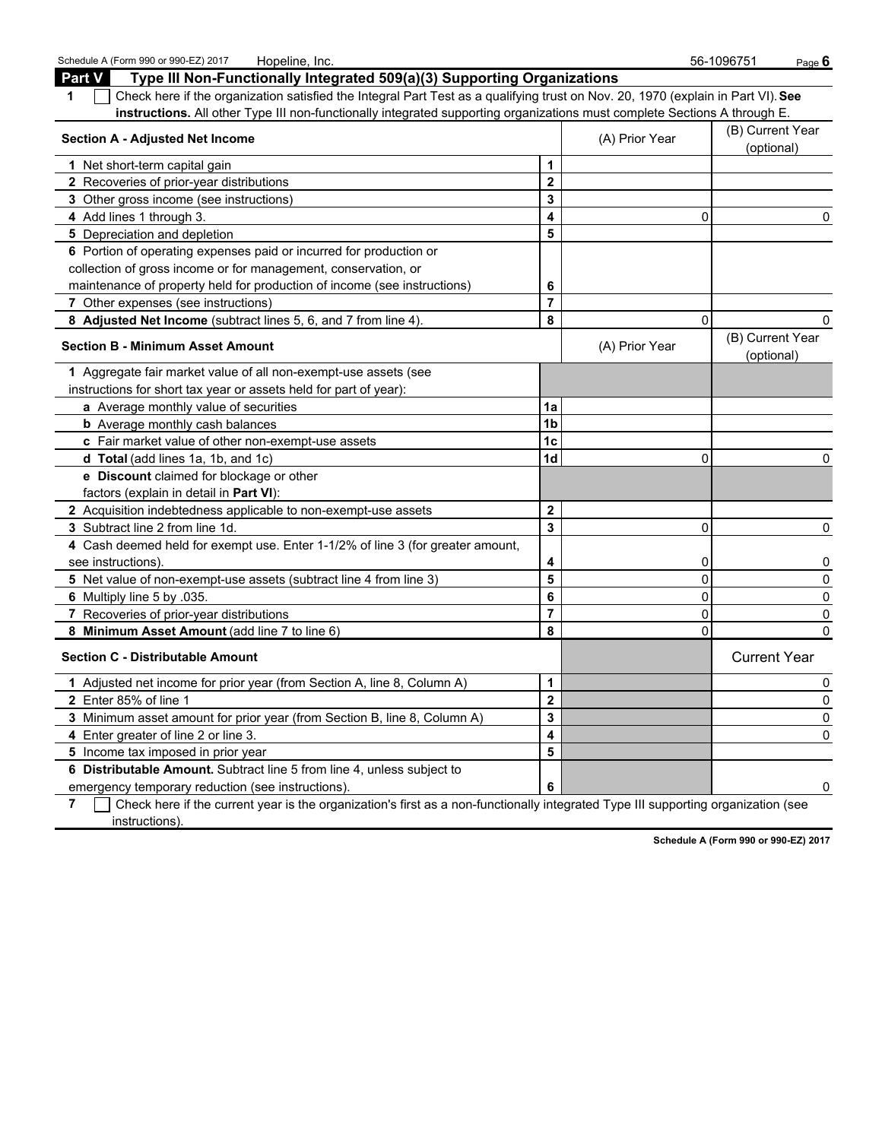| Schedule A (Form 990 or 990-EZ) 2017<br>Hopeline, Inc.                                                                                          |                         |                | 56-1096751<br>Page 6           |
|-------------------------------------------------------------------------------------------------------------------------------------------------|-------------------------|----------------|--------------------------------|
| Type III Non-Functionally Integrated 509(a)(3) Supporting Organizations<br><b>Part V</b>                                                        |                         |                |                                |
| Check here if the organization satisfied the Integral Part Test as a qualifying trust on Nov. 20, 1970 (explain in Part VI). See<br>$\mathbf 1$ |                         |                |                                |
| instructions. All other Type III non-functionally integrated supporting organizations must complete Sections A through E.                       |                         |                |                                |
| <b>Section A - Adjusted Net Income</b>                                                                                                          |                         | (A) Prior Year | (B) Current Year<br>(optional) |
| 1 Net short-term capital gain                                                                                                                   | $\mathbf{1}$            |                |                                |
| 2 Recoveries of prior-year distributions                                                                                                        | $\overline{2}$          |                |                                |
| 3 Other gross income (see instructions)                                                                                                         | 3                       |                |                                |
| 4 Add lines 1 through 3.                                                                                                                        | 4                       | 0              | 0                              |
| 5 Depreciation and depletion                                                                                                                    | 5                       |                |                                |
| 6 Portion of operating expenses paid or incurred for production or                                                                              |                         |                |                                |
| collection of gross income or for management, conservation, or                                                                                  |                         |                |                                |
| maintenance of property held for production of income (see instructions)                                                                        | 6                       |                |                                |
| 7 Other expenses (see instructions)                                                                                                             | $\overline{7}$          |                |                                |
| 8 Adjusted Net Income (subtract lines 5, 6, and 7 from line 4).                                                                                 | 8                       | $\Omega$       | 0                              |
| <b>Section B - Minimum Asset Amount</b>                                                                                                         |                         | (A) Prior Year | (B) Current Year<br>(optional) |
| 1 Aggregate fair market value of all non-exempt-use assets (see                                                                                 |                         |                |                                |
| instructions for short tax year or assets held for part of year):                                                                               |                         |                |                                |
| a Average monthly value of securities                                                                                                           | 1a                      |                |                                |
| <b>b</b> Average monthly cash balances                                                                                                          | 1 <sub>b</sub>          |                |                                |
| c Fair market value of other non-exempt-use assets                                                                                              | 1 <sub>c</sub>          |                |                                |
| d Total (add lines 1a, 1b, and 1c)                                                                                                              | 1 <sub>d</sub>          | 0              | 0                              |
| e Discount claimed for blockage or other                                                                                                        |                         |                |                                |
| factors (explain in detail in Part VI):                                                                                                         |                         |                |                                |
| 2 Acquisition indebtedness applicable to non-exempt-use assets                                                                                  | $\overline{\mathbf{2}}$ |                |                                |
| 3 Subtract line 2 from line 1d.                                                                                                                 | 3                       | 0              | 0                              |
| 4 Cash deemed held for exempt use. Enter 1-1/2% of line 3 (for greater amount,                                                                  |                         |                |                                |
| see instructions).                                                                                                                              | 4                       | 0              | 0                              |
| 5 Net value of non-exempt-use assets (subtract line 4 from line 3)                                                                              | 5                       | 0              | 0                              |
| 6 Multiply line 5 by .035.                                                                                                                      | 6                       | 0              | 0                              |
| 7 Recoveries of prior-year distributions                                                                                                        | $\overline{7}$          | $\mathbf 0$    | 0                              |
| 8 Minimum Asset Amount (add line 7 to line 6)                                                                                                   | 8                       | 0              | 0                              |
| <b>Section C - Distributable Amount</b><br>1 Adjusted net income for prior year (from Section A, line 8, Column A)                              |                         |                | <b>Current Year</b>            |
|                                                                                                                                                 | $\mathbf{1}$            |                | 0                              |
| 2 Enter 85% of line 1                                                                                                                           | $\overline{2}$          |                | 0                              |
| 3 Minimum asset amount for prior year (from Section B, line 8, Column A)                                                                        | 3                       |                | 0                              |
| 4 Enter greater of line 2 or line 3.                                                                                                            | 4                       |                | 0                              |
| 5 Income tax imposed in prior year                                                                                                              | 5                       |                |                                |
| 6 Distributable Amount. Subtract line 5 from line 4, unless subject to                                                                          |                         |                |                                |
| emergency temporary reduction (see instructions).                                                                                               | 6                       |                |                                |
| فمرزا والرابط والمستحقق والمستحدث والمستري والمستحدث والمراجع والمستحدث<br>Charles have if the composition and the                              |                         |                | - استفاد است                   |

**7** Check here if the current year is the organization's first as a non-functionally integrated Type III supporting organization (see instructions).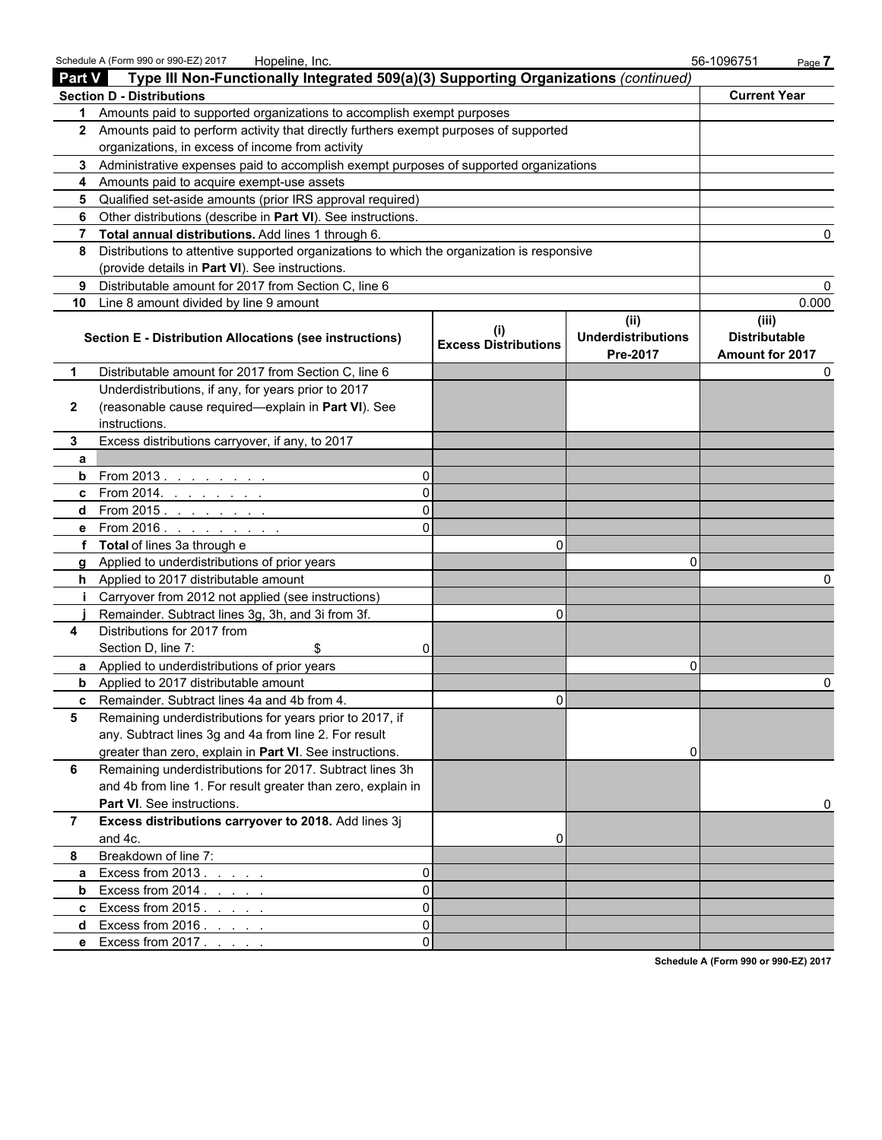|                | Schedule A (Form 990 or 990-EZ) 2017<br>Hopeline, Inc.                                     |                             |                                                      | 56-1096751<br>Page 7                                    |  |
|----------------|--------------------------------------------------------------------------------------------|-----------------------------|------------------------------------------------------|---------------------------------------------------------|--|
| <b>Part V</b>  | Type III Non-Functionally Integrated 509(a)(3) Supporting Organizations (continued)        |                             |                                                      |                                                         |  |
|                | <b>Section D - Distributions</b>                                                           |                             |                                                      | <b>Current Year</b>                                     |  |
| 1.             | Amounts paid to supported organizations to accomplish exempt purposes                      |                             |                                                      |                                                         |  |
|                | 2 Amounts paid to perform activity that directly furthers exempt purposes of supported     |                             |                                                      |                                                         |  |
|                | organizations, in excess of income from activity                                           |                             |                                                      |                                                         |  |
|                | 3 Administrative expenses paid to accomplish exempt purposes of supported organizations    |                             |                                                      |                                                         |  |
| 4              | Amounts paid to acquire exempt-use assets                                                  |                             |                                                      |                                                         |  |
| 5              | Qualified set-aside amounts (prior IRS approval required)                                  |                             |                                                      |                                                         |  |
| 6              | Other distributions (describe in Part VI). See instructions.                               |                             |                                                      |                                                         |  |
| 7              | Total annual distributions. Add lines 1 through 6.                                         |                             |                                                      |                                                         |  |
| 8              | Distributions to attentive supported organizations to which the organization is responsive |                             |                                                      |                                                         |  |
|                | (provide details in Part VI). See instructions.                                            |                             |                                                      |                                                         |  |
| 9              | Distributable amount for 2017 from Section C, line 6                                       |                             |                                                      |                                                         |  |
| 10             | Line 8 amount divided by line 9 amount                                                     |                             |                                                      | 0.000                                                   |  |
|                | <b>Section E - Distribution Allocations (see instructions)</b>                             | <b>Excess Distributions</b> | (ii)<br><b>Underdistributions</b><br><b>Pre-2017</b> | (iii)<br><b>Distributable</b><br><b>Amount for 2017</b> |  |
| 1              | Distributable amount for 2017 from Section C, line 6                                       |                             |                                                      |                                                         |  |
|                | Underdistributions, if any, for years prior to 2017                                        |                             |                                                      |                                                         |  |
| $\mathbf{2}$   | (reasonable cause required-explain in Part VI). See                                        |                             |                                                      |                                                         |  |
|                | instructions.                                                                              |                             |                                                      |                                                         |  |
| 3              | Excess distributions carryover, if any, to 2017                                            |                             |                                                      |                                                         |  |
| a              |                                                                                            |                             |                                                      |                                                         |  |
| b              | From 2013. $\ldots$<br>$\Omega$                                                            |                             |                                                      |                                                         |  |
| c              | From 2014. $\ldots$ $\ldots$ .                                                             |                             |                                                      |                                                         |  |
| d              | From 2015.                                                                                 |                             |                                                      |                                                         |  |
| е              | From 2016. $\ldots$                                                                        |                             |                                                      |                                                         |  |
| f              | Total of lines 3a through e                                                                | $\Omega$                    |                                                      |                                                         |  |
| a              | Applied to underdistributions of prior years                                               |                             | O                                                    |                                                         |  |
| h.             | Applied to 2017 distributable amount                                                       |                             |                                                      |                                                         |  |
| j.             | Carryover from 2012 not applied (see instructions)                                         |                             |                                                      |                                                         |  |
|                | Remainder. Subtract lines 3g, 3h, and 3i from 3f.                                          | 0                           |                                                      |                                                         |  |
| 4              | Distributions for 2017 from                                                                |                             |                                                      |                                                         |  |
|                | Section D, line 7:<br>\$                                                                   |                             |                                                      |                                                         |  |
| a              | Applied to underdistributions of prior years                                               |                             | O                                                    |                                                         |  |
| b              | Applied to 2017 distributable amount                                                       |                             |                                                      | 0                                                       |  |
|                | Remainder. Subtract lines 4a and 4b from 4.                                                | υ                           |                                                      |                                                         |  |
| 5              | Remaining underdistributions for years prior to 2017, if                                   |                             |                                                      |                                                         |  |
|                | any. Subtract lines 3g and 4a from line 2. For result                                      |                             |                                                      |                                                         |  |
|                | greater than zero, explain in Part VI. See instructions.                                   |                             |                                                      |                                                         |  |
| 6              | Remaining underdistributions for 2017. Subtract lines 3h                                   |                             |                                                      |                                                         |  |
|                | and 4b from line 1. For result greater than zero, explain in                               |                             |                                                      |                                                         |  |
|                | <b>Part VI.</b> See instructions.                                                          |                             |                                                      |                                                         |  |
| $\overline{7}$ | Excess distributions carryover to 2018. Add lines 3j                                       |                             |                                                      |                                                         |  |
|                | and 4c.                                                                                    | 0                           |                                                      |                                                         |  |
| 8              | Breakdown of line 7:                                                                       |                             |                                                      |                                                         |  |
| a              | Excess from 2013.<br>0<br>and the contract of                                              |                             |                                                      |                                                         |  |
| b              | Excess from 2014<br>0                                                                      |                             |                                                      |                                                         |  |
| c              | Excess from $2015$ .<br>$\Omega$                                                           |                             |                                                      |                                                         |  |
| d              | Excess from 2016.<br>0                                                                     |                             |                                                      |                                                         |  |
|                | e Excess from 2017                                                                         |                             |                                                      |                                                         |  |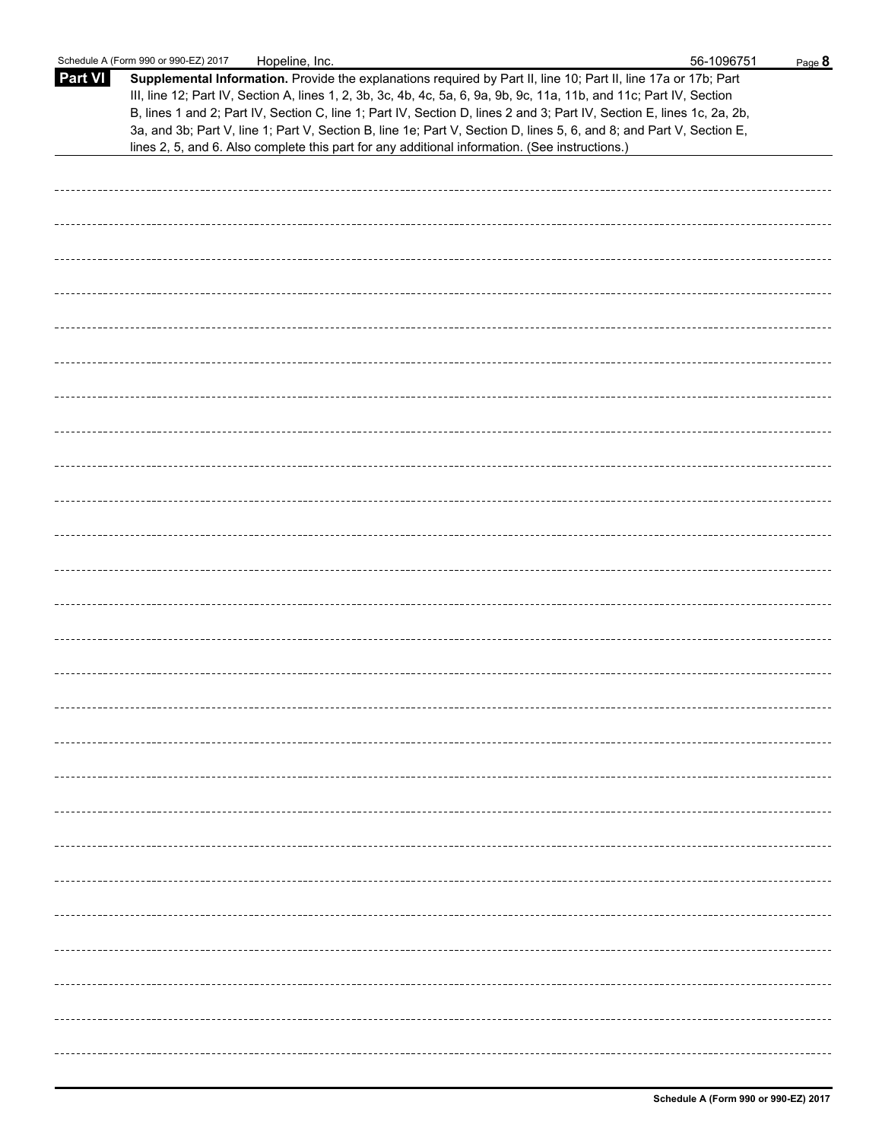|                | Schedule A (Form 990 or 990-EZ) 2017<br>Hopeline, Inc.                                                                                                                                                                                                                                                                                                                                                                                                                                                                                                                                      | 56-1096751 | Page 8 |
|----------------|---------------------------------------------------------------------------------------------------------------------------------------------------------------------------------------------------------------------------------------------------------------------------------------------------------------------------------------------------------------------------------------------------------------------------------------------------------------------------------------------------------------------------------------------------------------------------------------------|------------|--------|
| <b>Part VI</b> | Supplemental Information. Provide the explanations required by Part II, line 10; Part II, line 17a or 17b; Part<br>III, line 12; Part IV, Section A, lines 1, 2, 3b, 3c, 4b, 4c, 5a, 6, 9a, 9b, 9c, 11a, 11b, and 11c; Part IV, Section<br>B, lines 1 and 2; Part IV, Section C, line 1; Part IV, Section D, lines 2 and 3; Part IV, Section E, lines 1c, 2a, 2b,<br>3a, and 3b; Part V, line 1; Part V, Section B, line 1e; Part V, Section D, lines 5, 6, and 8; and Part V, Section E,<br>lines 2, 5, and 6. Also complete this part for any additional information. (See instructions.) |            |        |
|                |                                                                                                                                                                                                                                                                                                                                                                                                                                                                                                                                                                                             |            |        |
|                |                                                                                                                                                                                                                                                                                                                                                                                                                                                                                                                                                                                             |            |        |
|                |                                                                                                                                                                                                                                                                                                                                                                                                                                                                                                                                                                                             |            |        |
|                |                                                                                                                                                                                                                                                                                                                                                                                                                                                                                                                                                                                             |            |        |
|                |                                                                                                                                                                                                                                                                                                                                                                                                                                                                                                                                                                                             |            |        |
|                |                                                                                                                                                                                                                                                                                                                                                                                                                                                                                                                                                                                             |            |        |
|                |                                                                                                                                                                                                                                                                                                                                                                                                                                                                                                                                                                                             |            |        |
|                |                                                                                                                                                                                                                                                                                                                                                                                                                                                                                                                                                                                             |            |        |
|                |                                                                                                                                                                                                                                                                                                                                                                                                                                                                                                                                                                                             |            |        |
|                |                                                                                                                                                                                                                                                                                                                                                                                                                                                                                                                                                                                             |            |        |
|                |                                                                                                                                                                                                                                                                                                                                                                                                                                                                                                                                                                                             |            |        |
|                |                                                                                                                                                                                                                                                                                                                                                                                                                                                                                                                                                                                             |            |        |
|                |                                                                                                                                                                                                                                                                                                                                                                                                                                                                                                                                                                                             |            |        |
|                |                                                                                                                                                                                                                                                                                                                                                                                                                                                                                                                                                                                             |            |        |
|                |                                                                                                                                                                                                                                                                                                                                                                                                                                                                                                                                                                                             |            |        |
|                |                                                                                                                                                                                                                                                                                                                                                                                                                                                                                                                                                                                             |            |        |
|                |                                                                                                                                                                                                                                                                                                                                                                                                                                                                                                                                                                                             |            |        |
|                |                                                                                                                                                                                                                                                                                                                                                                                                                                                                                                                                                                                             |            |        |
|                |                                                                                                                                                                                                                                                                                                                                                                                                                                                                                                                                                                                             |            |        |
|                |                                                                                                                                                                                                                                                                                                                                                                                                                                                                                                                                                                                             |            |        |
|                |                                                                                                                                                                                                                                                                                                                                                                                                                                                                                                                                                                                             |            |        |
|                |                                                                                                                                                                                                                                                                                                                                                                                                                                                                                                                                                                                             |            |        |
|                |                                                                                                                                                                                                                                                                                                                                                                                                                                                                                                                                                                                             |            |        |
|                |                                                                                                                                                                                                                                                                                                                                                                                                                                                                                                                                                                                             |            |        |
|                |                                                                                                                                                                                                                                                                                                                                                                                                                                                                                                                                                                                             |            |        |
|                |                                                                                                                                                                                                                                                                                                                                                                                                                                                                                                                                                                                             |            |        |
|                |                                                                                                                                                                                                                                                                                                                                                                                                                                                                                                                                                                                             |            |        |
|                |                                                                                                                                                                                                                                                                                                                                                                                                                                                                                                                                                                                             |            |        |
|                |                                                                                                                                                                                                                                                                                                                                                                                                                                                                                                                                                                                             |            |        |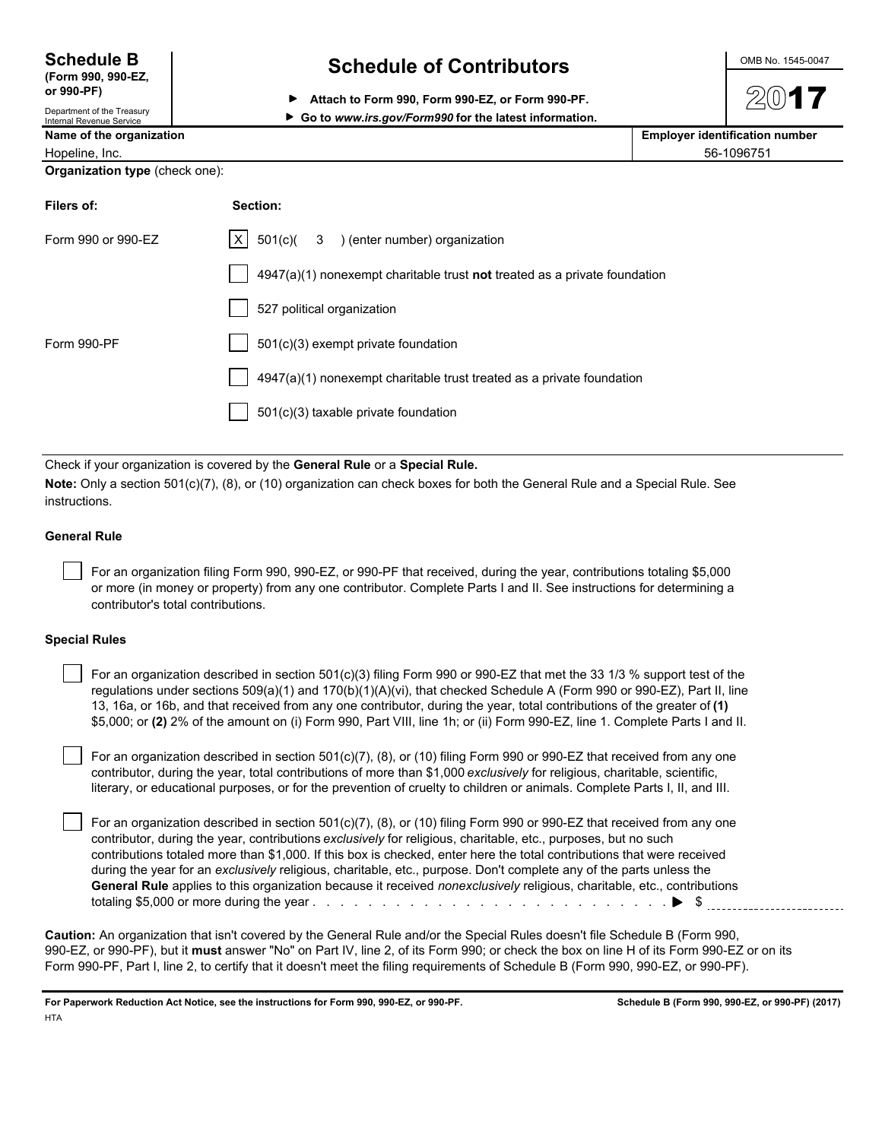**(Form 990, 990-EZ,**

**Internal Revenue Service** 

**or 990-PF)** Department of the Treasury

### **Schedule B Schedule of Contributors CONDING 1545-0047**

**Attach to Form 990, Form 990-EZ, or Form 990-PF.**

| ► Go to www.irs.gov/Form990 for the latest information. |
|---------------------------------------------------------|
|---------------------------------------------------------|

| Name of the organization | <b>Employer identification number</b> |
|--------------------------|---------------------------------------|
| Hopeline, Inc.           | 56-1096751                            |

**Organization type** (check one):

| Filers of:         | Section:                                                                    |
|--------------------|-----------------------------------------------------------------------------|
| Form 990 or 990-EZ | $X \mid 501(c)$ (3) (enter number) organization                             |
|                    | $4947(a)(1)$ nonexempt charitable trust not treated as a private foundation |
|                    | 527 political organization                                                  |
| Form 990-PF        | 501(c)(3) exempt private foundation                                         |
|                    | 4947(a)(1) nonexempt charitable trust treated as a private foundation       |
|                    | 501(c)(3) taxable private foundation                                        |

Check if your organization is covered by the **General Rule** or a **Special Rule.**

**Note:** Only a section 501(c)(7), (8), or (10) organization can check boxes for both the General Rule and a Special Rule. See instructions.

### **General Rule**

 For an organization filing Form 990, 990-EZ, or 990-PF that received, during the year, contributions totaling \$5,000 or more (in money or property) from any one contributor. Complete Parts I and II. See instructions for determining a contributor's total contributions.

### **Special Rules**

 For an organization described in section 501(c)(3) filing Form 990 or 990-EZ that met the 33 1/3 % support test of the regulations under sections 509(a)(1) and 170(b)(1)(A)(vi), that checked Schedule A (Form 990 or 990-EZ), Part II, line 13, 16a, or 16b, and that received from any one contributor, during the year, total contributions of the greater of **(1)** \$5,000; or **(2)** 2% of the amount on (i) Form 990, Part VIII, line 1h; or (ii) Form 990-EZ, line 1. Complete Parts I and II.

 For an organization described in section 501(c)(7), (8), or (10) filing Form 990 or 990-EZ that received from any one contributor, during the year, total contributions of more than \$1,000 *exclusively* for religious, charitable, scientific, literary, or educational purposes, or for the prevention of cruelty to children or animals. Complete Parts I, II, and III.

 For an organization described in section 501(c)(7), (8), or (10) filing Form 990 or 990-EZ that received from any one contributor, during the year, contributions *exclusively* for religious, charitable, etc., purposes, but no such contributions totaled more than \$1,000. If this box is checked, enter here the total contributions that were received during the year for an *exclusively* religious, charitable, etc., purpose. Don't complete any of the parts unless the **General Rule** applies to this organization because it received *nonexclusively* religious, charitable, etc., contributions totaling \$5,000 or more during the year . . . . . . . . . . . . . . . . . . . . . . . . . . . . . . . . . . . . . . . . . . . . . . . . . . . \$

**Caution:** An organization that isn't covered by the General Rule and/or the Special Rules doesn't file Schedule B (Form 990, 990-EZ, or 990-PF), but it **must** answer "No" on Part IV, line 2, of its Form 990; or check the box on line H of its Form 990-EZ or on its Form 990-PF, Part I, line 2, to certify that it doesn't meet the filing requirements of Schedule B (Form 990, 990-EZ, or 990-PF).

**For Paperwork Reduction Act Notice, see the instructions for Form 990, 990-EZ, or 990-PF. Schedule B (Form 990, 990-EZ, or 990-PF) (2017) HTA**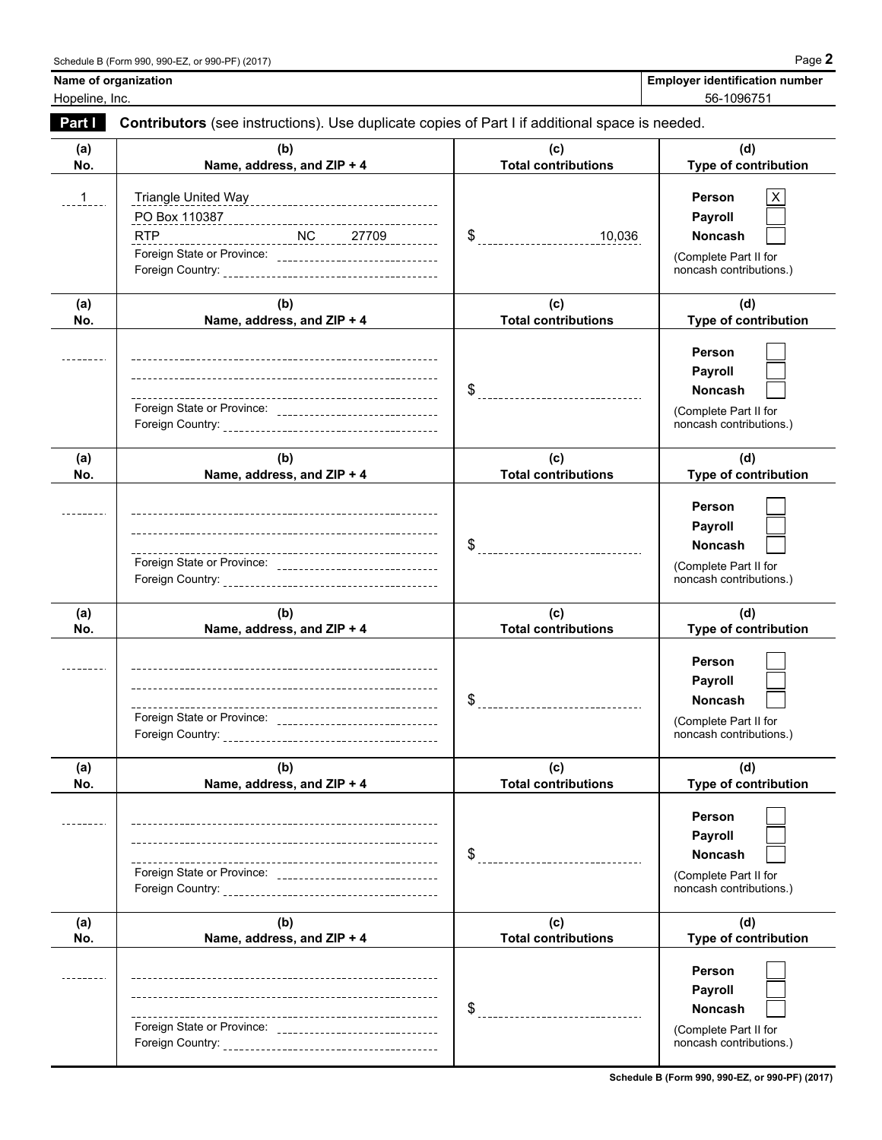| <b>Employer identification number</b> |  |
|---------------------------------------|--|
| $F^{\wedge}$ Annotation               |  |

# **Name of organization**

Hopeline, Inc. 56-1096751

| Part I         | Contributors (see instructions). Use duplicate copies of Part I if additional space is needed.                                        |                                        |                                                                                                |
|----------------|---------------------------------------------------------------------------------------------------------------------------------------|----------------------------------------|------------------------------------------------------------------------------------------------|
| (a)<br>No.     | (b)<br>Name, address, and ZIP + 4                                                                                                     | (c)<br><b>Total contributions</b>      | (d)<br>Type of contribution                                                                    |
| $\overline{1}$ | PO Box 110387<br>RTP___________________________NC______27709__________<br>Foreign State or Province: ________________________________ | $$$ $10,036$                           | Person<br>X<br>Payroll<br>Noncash<br>(Complete Part II for<br>noncash contributions.)          |
| (a)<br>No.     | (b)<br>Name, address, and ZIP + 4                                                                                                     | (c)<br><b>Total contributions</b>      | (d)<br>Type of contribution                                                                    |
|                |                                                                                                                                       | -------------------------------        | Person<br>Payroll<br><b>Noncash</b><br>(Complete Part II for<br>noncash contributions.)        |
| (a)<br>No.     | (b)<br>Name, address, and ZIP + 4                                                                                                     | (c)<br><b>Total contributions</b>      | (d)<br>Type of contribution                                                                    |
|                |                                                                                                                                       |                                        | Person<br>Payroll<br>Noncash<br>(Complete Part II for<br>noncash contributions.)               |
| (a)<br>No.     | (b)<br>Name, address, and ZIP + 4                                                                                                     | (c)<br><b>Total contributions</b>      | (d)<br>Type of contribution                                                                    |
|                | Foreign State or Province: _________________________________                                                                          | \$<br>-------------------------------- | Person<br>Payroll<br><b>Noncash</b><br>(Complete Part II for<br>noncash contributions.)        |
| (a)<br>No.     | (b)<br>Name, address, and ZIP + 4                                                                                                     | (c)<br><b>Total contributions</b>      | (d)<br>Type of contribution                                                                    |
|                | ---<br>Foreign State or Province: _______________________________                                                                     | -----------------------------          | Person<br><b>Payroll</b><br><b>Noncash</b><br>(Complete Part II for<br>noncash contributions.) |
| (a)<br>No.     | (b)<br>Name, address, and ZIP + 4                                                                                                     | (c)<br><b>Total contributions</b>      | (d)<br>Type of contribution                                                                    |
|                | Foreign State or Province: ________________________________                                                                           | ____________________________           | Person<br>Payroll<br>Noncash<br>(Complete Part II for<br>noncash contributions.)               |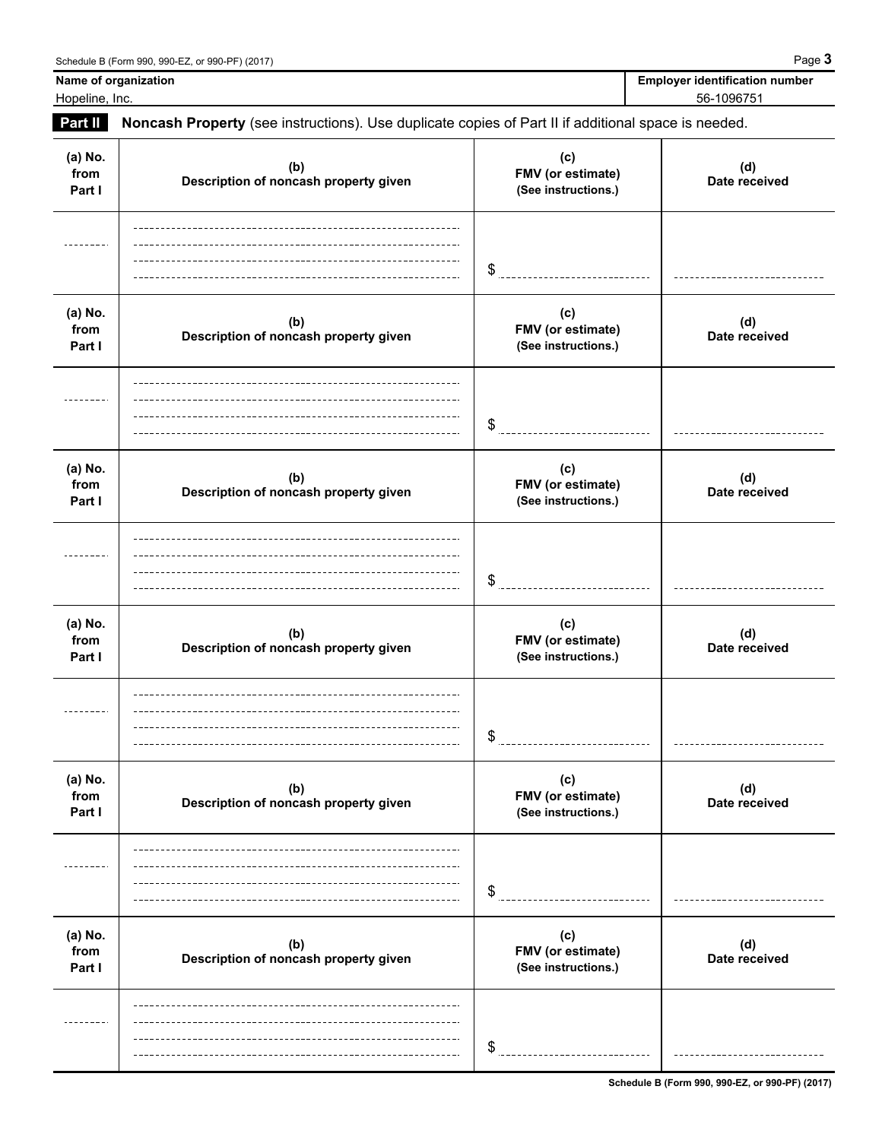**Name of organization** Hopeline, Inc.

| <b>Employer identification number</b> |
|---------------------------------------|
| 56-1096751                            |
|                                       |

| Part II                   | Noncash Property (see instructions). Use duplicate copies of Part II if additional space is needed. |                                                 |                      |
|---------------------------|-----------------------------------------------------------------------------------------------------|-------------------------------------------------|----------------------|
| (a) No.<br>from<br>Part I | (b)<br>Description of noncash property given                                                        | (c)<br>FMV (or estimate)<br>(See instructions.) | (d)<br>Date received |
|                           |                                                                                                     | \$                                              |                      |
| (a) No.<br>from<br>Part I | (b)<br>Description of noncash property given                                                        | (c)<br>FMV (or estimate)<br>(See instructions.) | (d)<br>Date received |
|                           |                                                                                                     | \$                                              |                      |
| (a) No.<br>from<br>Part I | (b)<br>Description of noncash property given                                                        | (c)<br>FMV (or estimate)<br>(See instructions.) | (d)<br>Date received |
|                           |                                                                                                     | \$                                              |                      |
| (a) No.<br>from<br>Part I | (b)<br>Description of noncash property given                                                        | (c)<br>FMV (or estimate)<br>(See instructions.) | (d)<br>Date received |
|                           |                                                                                                     | \$                                              |                      |
| (a) No.<br>from<br>Part I | (b)<br>Description of noncash property given                                                        | (c)<br>FMV (or estimate)<br>(See instructions.) | (d)<br>Date received |
|                           |                                                                                                     | \$                                              |                      |
| (a) No.<br>from<br>Part I | (b)<br>Description of noncash property given                                                        | (c)<br>FMV (or estimate)<br>(See instructions.) | (d)<br>Date received |
|                           |                                                                                                     |                                                 |                      |

**Schedule B (Form 990, 990-EZ, or 990-PF) (2017)**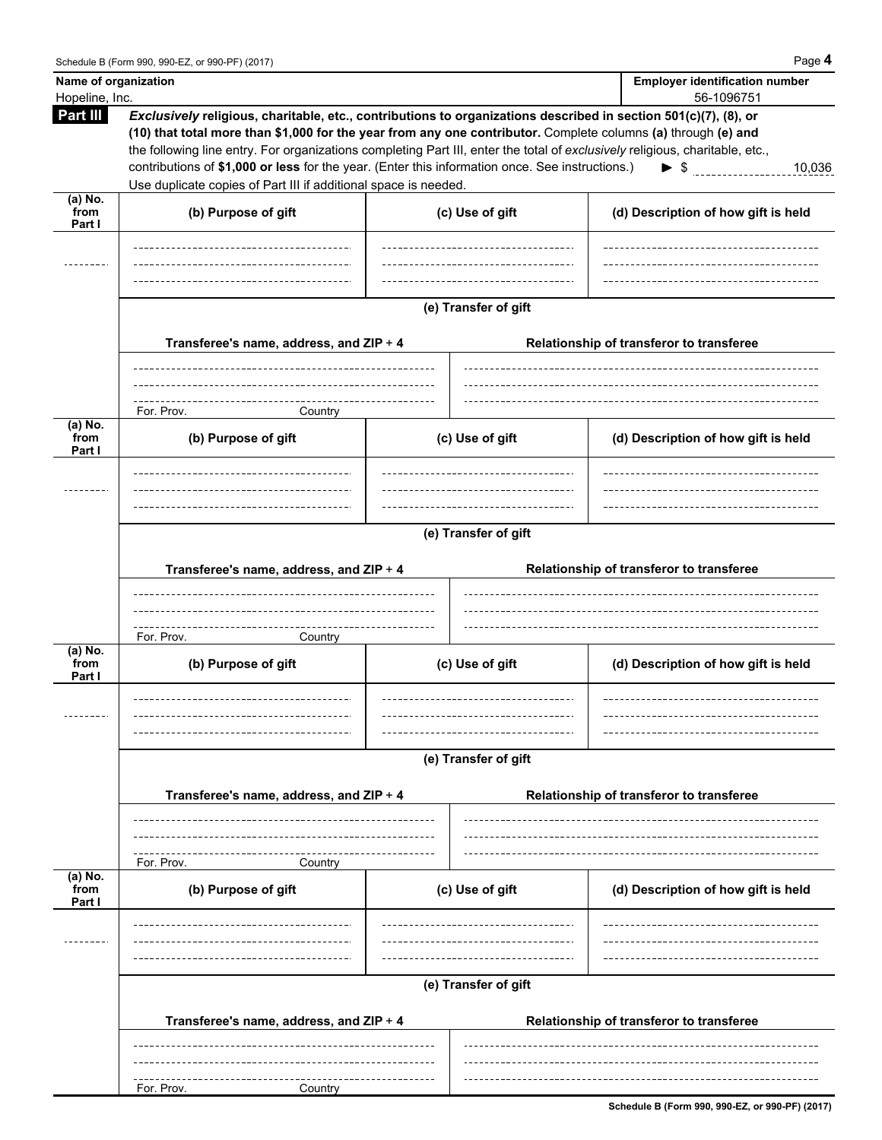| Name of organization<br>Hopeline, Inc. |                                                                                                                                                                                                                                                                                                                                                                                                                                                                                                                                        |                      | <b>Employer identification number</b><br>56-1096751 |
|----------------------------------------|----------------------------------------------------------------------------------------------------------------------------------------------------------------------------------------------------------------------------------------------------------------------------------------------------------------------------------------------------------------------------------------------------------------------------------------------------------------------------------------------------------------------------------------|----------------------|-----------------------------------------------------|
| Part III                               | Exclusively religious, charitable, etc., contributions to organizations described in section 501(c)(7), (8), or<br>(10) that total more than \$1,000 for the year from any one contributor. Complete columns (a) through (e) and<br>the following line entry. For organizations completing Part III, enter the total of exclusively religious, charitable, etc.,<br>contributions of \$1,000 or less for the year. (Enter this information once. See instructions.)<br>Use duplicate copies of Part III if additional space is needed. |                      | $\triangleright$ \$<br>10,036                       |
| $(a)$ No.<br>from                      | (b) Purpose of gift                                                                                                                                                                                                                                                                                                                                                                                                                                                                                                                    | (c) Use of gift      | (d) Description of how gift is held                 |
| Part I                                 |                                                                                                                                                                                                                                                                                                                                                                                                                                                                                                                                        |                      |                                                     |
|                                        |                                                                                                                                                                                                                                                                                                                                                                                                                                                                                                                                        |                      |                                                     |
|                                        |                                                                                                                                                                                                                                                                                                                                                                                                                                                                                                                                        | (e) Transfer of gift |                                                     |
|                                        | Transferee's name, address, and ZIP + 4                                                                                                                                                                                                                                                                                                                                                                                                                                                                                                |                      | Relationship of transferor to transferee            |
|                                        | For. Prov.<br>Country                                                                                                                                                                                                                                                                                                                                                                                                                                                                                                                  |                      |                                                     |
| (a) No.<br>from<br>Part I              | (b) Purpose of gift                                                                                                                                                                                                                                                                                                                                                                                                                                                                                                                    | (c) Use of gift      | (d) Description of how gift is held                 |
|                                        |                                                                                                                                                                                                                                                                                                                                                                                                                                                                                                                                        | (e) Transfer of gift |                                                     |
|                                        | Transferee's name, address, and ZIP + 4                                                                                                                                                                                                                                                                                                                                                                                                                                                                                                |                      | Relationship of transferor to transferee            |
|                                        |                                                                                                                                                                                                                                                                                                                                                                                                                                                                                                                                        |                      |                                                     |
| (a) No.<br>from<br>Part I              | For. Prov.<br>Country<br>(b) Purpose of gift                                                                                                                                                                                                                                                                                                                                                                                                                                                                                           | (c) Use of gift      | (d) Description of how gift is held                 |
|                                        |                                                                                                                                                                                                                                                                                                                                                                                                                                                                                                                                        |                      |                                                     |
|                                        | Transferee's name, address, and ZIP + 4                                                                                                                                                                                                                                                                                                                                                                                                                                                                                                | (e) Transfer of gift | Relationship of transferor to transferee            |
|                                        | For. Prov.<br>Country                                                                                                                                                                                                                                                                                                                                                                                                                                                                                                                  |                      |                                                     |
| $(a)$ No.<br>from<br>Part I            | (b) Purpose of gift                                                                                                                                                                                                                                                                                                                                                                                                                                                                                                                    | (c) Use of gift      | (d) Description of how gift is held                 |
|                                        |                                                                                                                                                                                                                                                                                                                                                                                                                                                                                                                                        |                      |                                                     |
|                                        |                                                                                                                                                                                                                                                                                                                                                                                                                                                                                                                                        | (e) Transfer of gift |                                                     |
|                                        | Transferee's name, address, and ZIP + 4                                                                                                                                                                                                                                                                                                                                                                                                                                                                                                |                      | Relationship of transferor to transferee            |
|                                        | For. Prov.<br>Country                                                                                                                                                                                                                                                                                                                                                                                                                                                                                                                  |                      |                                                     |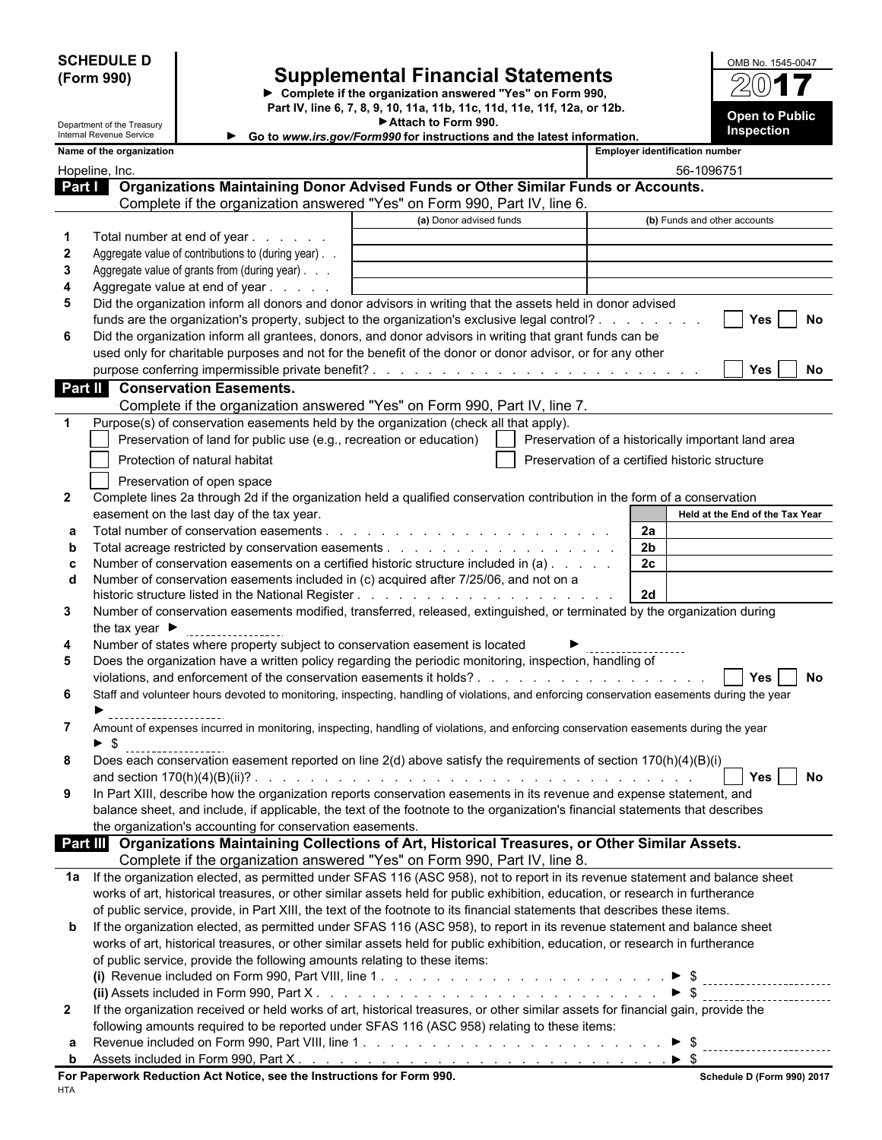**SCHEDULE D (Form 990)**

### **Supplemental Financial Statements**

**Complete if the organization answered "Yes" on Form 990, Part IV, line 6, 7, 8, 9, 10, 11a, 11b, 11c, 11d, 11e, 11f, 12a, or 12b. Open to Public Attach to Form 990.**

| OMB No. 1545-0047     |
|-----------------------|
| $2(0)$ 1              |
| <b>Open to Public</b> |
| Inspection            |

|                  | Department of the Treasury<br>Internal Revenue Service                                                                                                                    | ► Attach to Form 990.                                                  |                                                    | Inspection                      |
|------------------|---------------------------------------------------------------------------------------------------------------------------------------------------------------------------|------------------------------------------------------------------------|----------------------------------------------------|---------------------------------|
|                  | Name of the organization                                                                                                                                                  | Go to www.irs.gov/Form990 for instructions and the latest information. | <b>Employer identification number</b>              |                                 |
|                  | Hopeline, Inc.                                                                                                                                                            |                                                                        |                                                    | 56-1096751                      |
|                  | Organizations Maintaining Donor Advised Funds or Other Similar Funds or Accounts.<br>Part I                                                                               |                                                                        |                                                    |                                 |
|                  | Complete if the organization answered "Yes" on Form 990, Part IV, line 6.                                                                                                 |                                                                        |                                                    |                                 |
|                  |                                                                                                                                                                           | (a) Donor advised funds                                                |                                                    | (b) Funds and other accounts    |
| 1                | Total number at end of year                                                                                                                                               |                                                                        |                                                    |                                 |
| $\boldsymbol{2}$ | Aggregate value of contributions to (during year).                                                                                                                        |                                                                        |                                                    |                                 |
| 3                | Aggregate value of grants from (during year)                                                                                                                              |                                                                        |                                                    |                                 |
| 4                | Aggregate value at end of year                                                                                                                                            |                                                                        |                                                    |                                 |
| 5                | Did the organization inform all donors and donor advisors in writing that the assets held in donor advised                                                                |                                                                        |                                                    |                                 |
|                  | funds are the organization's property, subject to the organization's exclusive legal control?                                                                             |                                                                        |                                                    | <b>Yes</b><br>No                |
| 6                | Did the organization inform all grantees, donors, and donor advisors in writing that grant funds can be                                                                   |                                                                        |                                                    |                                 |
|                  | used only for charitable purposes and not for the benefit of the donor or donor advisor, or for any other                                                                 |                                                                        |                                                    | <b>Yes</b><br>No.               |
|                  |                                                                                                                                                                           |                                                                        |                                                    |                                 |
|                  | <b>Part II</b> Conservation Easements.                                                                                                                                    |                                                                        |                                                    |                                 |
|                  | Complete if the organization answered "Yes" on Form 990, Part IV, line 7.<br>Purpose(s) of conservation easements held by the organization (check all that apply).        |                                                                        |                                                    |                                 |
| $\mathbf 1$      | Preservation of land for public use (e.g., recreation or education)                                                                                                       |                                                                        | Preservation of a historically important land area |                                 |
|                  |                                                                                                                                                                           |                                                                        |                                                    |                                 |
|                  | Protection of natural habitat                                                                                                                                             |                                                                        | Preservation of a certified historic structure     |                                 |
|                  | Preservation of open space                                                                                                                                                |                                                                        |                                                    |                                 |
| $\mathbf{2}$     | Complete lines 2a through 2d if the organization held a qualified conservation contribution in the form of a conservation                                                 |                                                                        |                                                    |                                 |
|                  | easement on the last day of the tax year.                                                                                                                                 |                                                                        |                                                    | Held at the End of the Tax Year |
| a                |                                                                                                                                                                           |                                                                        | 2a<br>2 <sub>b</sub>                               |                                 |
| b<br>C           | Number of conservation easements on a certified historic structure included in (a)                                                                                        |                                                                        | 2c                                                 |                                 |
| d                | Number of conservation easements included in (c) acquired after 7/25/06, and not on a                                                                                     |                                                                        |                                                    |                                 |
|                  |                                                                                                                                                                           |                                                                        | 2d                                                 |                                 |
| 3                | Number of conservation easements modified, transferred, released, extinguished, or terminated by the organization during                                                  |                                                                        |                                                    |                                 |
|                  | the tax year $\blacktriangleright$                                                                                                                                        |                                                                        |                                                    |                                 |
| 4                | Number of states where property subject to conservation easement is located                                                                                               |                                                                        |                                                    |                                 |
| 5                | Does the organization have a written policy regarding the periodic monitoring, inspection, handling of                                                                    |                                                                        |                                                    |                                 |
|                  |                                                                                                                                                                           |                                                                        |                                                    | No<br>Yes                       |
| 6                | Staff and volunteer hours devoted to monitoring, inspecting, handling of violations, and enforcing conservation easements during the year                                 |                                                                        |                                                    |                                 |
|                  |                                                                                                                                                                           |                                                                        |                                                    |                                 |
| $\overline{7}$   | Amount of expenses incurred in monitoring, inspecting, handling of violations, and enforcing conservation easements during the year                                       |                                                                        |                                                    |                                 |
|                  |                                                                                                                                                                           |                                                                        |                                                    |                                 |
| 8                | Does each conservation easement reported on line 2(d) above satisfy the requirements of section 170(h)(4)(B)(i)                                                           |                                                                        |                                                    |                                 |
|                  |                                                                                                                                                                           |                                                                        |                                                    | Yes<br>No                       |
| 9                | In Part XIII, describe how the organization reports conservation easements in its revenue and expense statement, and                                                      |                                                                        |                                                    |                                 |
|                  | balance sheet, and include, if applicable, the text of the footnote to the organization's financial statements that describes                                             |                                                                        |                                                    |                                 |
|                  | the organization's accounting for conservation easements.<br><b>Part III</b> Organizations Maintaining Collections of Art, Historical Treasures, or Other Similar Assets. |                                                                        |                                                    |                                 |
|                  | Complete if the organization answered "Yes" on Form 990, Part IV, line 8.                                                                                                 |                                                                        |                                                    |                                 |
|                  | 1a If the organization elected, as permitted under SFAS 116 (ASC 958), not to report in its revenue statement and balance sheet                                           |                                                                        |                                                    |                                 |
|                  | works of art, historical treasures, or other similar assets held for public exhibition, education, or research in furtherance                                             |                                                                        |                                                    |                                 |
|                  | of public service, provide, in Part XIII, the text of the footnote to its financial statements that describes these items.                                                |                                                                        |                                                    |                                 |
| b                | If the organization elected, as permitted under SFAS 116 (ASC 958), to report in its revenue statement and balance sheet                                                  |                                                                        |                                                    |                                 |
|                  | works of art, historical treasures, or other similar assets held for public exhibition, education, or research in furtherance                                             |                                                                        |                                                    |                                 |
|                  | of public service, provide the following amounts relating to these items:                                                                                                 |                                                                        |                                                    |                                 |
|                  |                                                                                                                                                                           |                                                                        |                                                    |                                 |
|                  |                                                                                                                                                                           |                                                                        | $\triangleright$ s                                 |                                 |
| $\mathbf{2}$     | If the organization received or held works of art, historical treasures, or other similar assets for financial gain, provide the                                          |                                                                        |                                                    |                                 |
|                  | following amounts required to be reported under SFAS 116 (ASC 958) relating to these items:                                                                               |                                                                        |                                                    |                                 |
| а                |                                                                                                                                                                           |                                                                        |                                                    |                                 |
| b                |                                                                                                                                                                           |                                                                        |                                                    |                                 |

HTA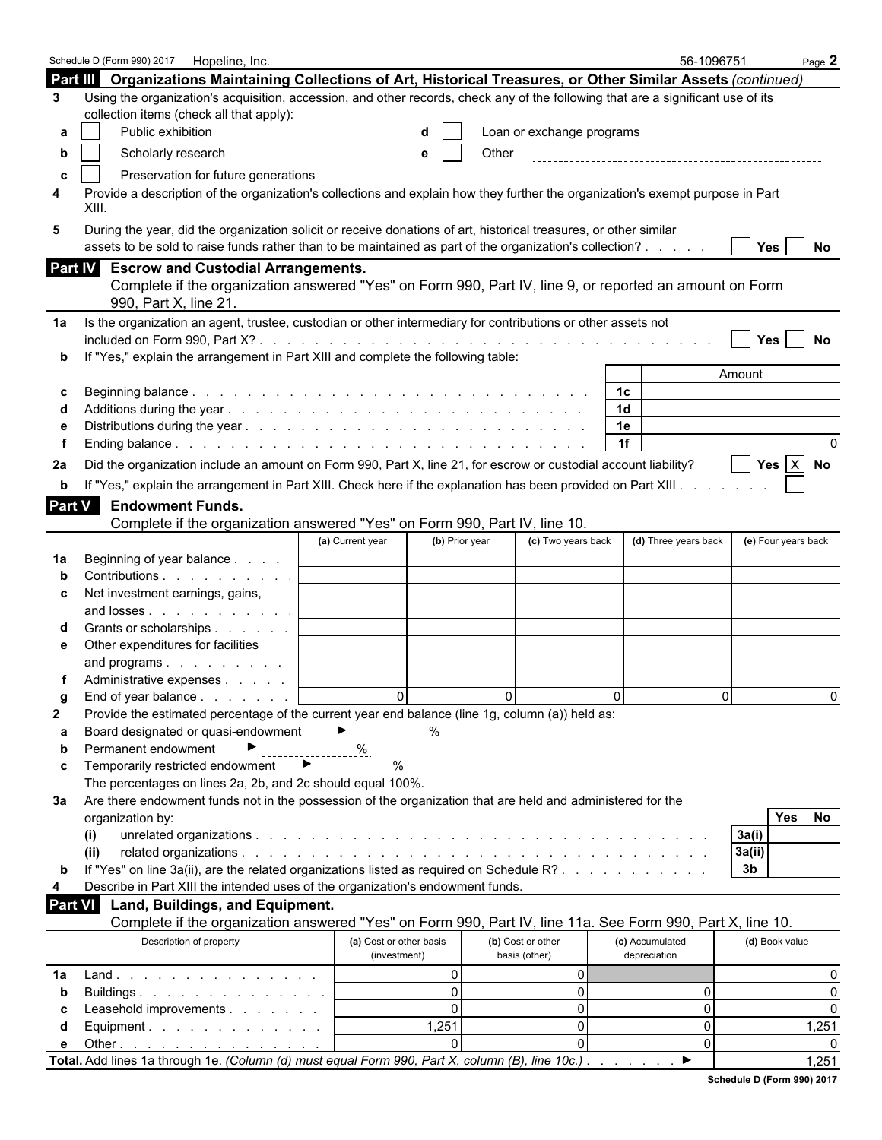|                | Schedule D (Form 990) 2017   Hopeline, Inc.                                                                                                                                                                                  |               |                         |                |          |                           |          |                | 56-1096751           |                |                     | Page $2$     |
|----------------|------------------------------------------------------------------------------------------------------------------------------------------------------------------------------------------------------------------------------|---------------|-------------------------|----------------|----------|---------------------------|----------|----------------|----------------------|----------------|---------------------|--------------|
|                | Part III Organizations Maintaining Collections of Art, Historical Treasures, or Other Similar Assets (continued)                                                                                                             |               |                         |                |          |                           |          |                |                      |                |                     |              |
| 3              | Using the organization's acquisition, accession, and other records, check any of the following that are a significant use of its                                                                                             |               |                         |                |          |                           |          |                |                      |                |                     |              |
|                | collection items (check all that apply):                                                                                                                                                                                     |               |                         |                |          |                           |          |                |                      |                |                     |              |
| а              | Public exhibition                                                                                                                                                                                                            |               |                         |                |          | Loan or exchange programs |          |                |                      |                |                     |              |
| b              | Scholarly research                                                                                                                                                                                                           |               |                         |                | Other    |                           |          |                |                      |                |                     |              |
|                | Preservation for future generations                                                                                                                                                                                          |               |                         |                |          |                           |          |                |                      |                |                     |              |
| c<br>4         | Provide a description of the organization's collections and explain how they further the organization's exempt purpose in Part                                                                                               |               |                         |                |          |                           |          |                |                      |                |                     |              |
|                | XIII.                                                                                                                                                                                                                        |               |                         |                |          |                           |          |                |                      |                |                     |              |
| 5              | During the year, did the organization solicit or receive donations of art, historical treasures, or other similar<br>assets to be sold to raise funds rather than to be maintained as part of the organization's collection? |               |                         |                |          |                           |          |                |                      |                | Yes $ $             | No           |
|                | Part IV Escrow and Custodial Arrangements.                                                                                                                                                                                   |               |                         |                |          |                           |          |                |                      |                |                     |              |
|                | Complete if the organization answered "Yes" on Form 990, Part IV, line 9, or reported an amount on Form                                                                                                                      |               |                         |                |          |                           |          |                |                      |                |                     |              |
|                | 990, Part X, line 21                                                                                                                                                                                                         |               |                         |                |          |                           |          |                |                      |                |                     |              |
| 1a             | Is the organization an agent, trustee, custodian or other intermediary for contributions or other assets not                                                                                                                 |               |                         |                |          |                           |          |                |                      |                |                     |              |
|                |                                                                                                                                                                                                                              |               |                         |                |          |                           |          |                |                      |                | <b>Yes</b>          | No           |
|                | If "Yes," explain the arrangement in Part XIII and complete the following table:                                                                                                                                             |               |                         |                |          |                           |          |                |                      |                |                     |              |
|                |                                                                                                                                                                                                                              |               |                         |                |          |                           |          |                |                      | Amount         |                     |              |
| c              |                                                                                                                                                                                                                              |               |                         |                |          |                           |          | 1c             |                      |                |                     |              |
|                |                                                                                                                                                                                                                              |               |                         |                |          |                           |          | 1 <sub>d</sub> |                      |                |                     |              |
|                |                                                                                                                                                                                                                              |               |                         |                |          |                           |          | 1e             |                      |                |                     |              |
|                |                                                                                                                                                                                                                              |               |                         |                |          |                           |          | 1f             |                      |                |                     |              |
| 2a             | Did the organization include an amount on Form 990, Part X, line 21, for escrow or custodial account liability?                                                                                                              |               |                         |                |          |                           |          |                |                      |                | Yes $ X $           | No           |
| b              | If "Yes," explain the arrangement in Part XIII. Check here if the explanation has been provided on Part XIII.                                                                                                                |               |                         |                |          |                           |          |                |                      |                |                     |              |
| Part V         | <b>Endowment Funds.</b>                                                                                                                                                                                                      |               |                         |                |          |                           |          |                |                      |                |                     |              |
|                | Complete if the organization answered "Yes" on Form 990, Part IV, line 10.                                                                                                                                                   |               |                         |                |          |                           |          |                |                      |                |                     |              |
|                |                                                                                                                                                                                                                              |               | (a) Current year        | (b) Prior year |          | (c) Two years back        |          |                | (d) Three years back |                | (e) Four years back |              |
| 1a             | Beginning of year balance                                                                                                                                                                                                    |               |                         |                |          |                           |          |                |                      |                |                     |              |
|                | Contributions                                                                                                                                                                                                                |               |                         |                |          |                           |          |                |                      |                |                     |              |
| c              | Net investment earnings, gains,                                                                                                                                                                                              |               |                         |                |          |                           |          |                |                      |                |                     |              |
|                | and losses                                                                                                                                                                                                                   |               |                         |                |          |                           |          |                |                      |                |                     |              |
|                | Grants or scholarships                                                                                                                                                                                                       |               |                         |                |          |                           |          |                |                      |                |                     |              |
| е              | Other expenditures for facilities                                                                                                                                                                                            |               |                         |                |          |                           |          |                |                      |                |                     |              |
|                | and programs                                                                                                                                                                                                                 |               |                         |                |          |                           |          |                |                      |                |                     |              |
|                | Administrative expenses                                                                                                                                                                                                      |               |                         |                |          |                           |          |                |                      |                |                     |              |
| g              | End of year balance                                                                                                                                                                                                          |               | $\Omega$                |                | $\Omega$ |                           | $\Omega$ |                |                      | $\Omega$       |                     | <sup>n</sup> |
| $\mathbf{2}$   | Provide the estimated percentage of the current year end balance (line 1g, column (a)) held as:                                                                                                                              |               |                         |                |          |                           |          |                |                      |                |                     |              |
| а              | Board designated or quasi-endowment                                                                                                                                                                                          |               | ▶.                      |                |          |                           |          |                |                      |                |                     |              |
| b              | Permanent endowment                                                                                                                                                                                                          |               | ℅                       |                |          |                           |          |                |                      |                |                     |              |
| C              | Temporarily restricted endowment                                                                                                                                                                                             | $\rightarrow$ | %                       |                |          |                           |          |                |                      |                |                     |              |
|                | The percentages on lines 2a, 2b, and 2c should equal 100%.                                                                                                                                                                   |               |                         |                |          |                           |          |                |                      |                |                     |              |
| За             | Are there endowment funds not in the possession of the organization that are held and administered for the                                                                                                                   |               |                         |                |          |                           |          |                |                      |                |                     |              |
|                | organization by:                                                                                                                                                                                                             |               |                         |                |          |                           |          |                |                      |                | Yes                 | No           |
|                | (i)                                                                                                                                                                                                                          |               |                         |                |          |                           |          |                |                      | 3a(i)          |                     |              |
|                | (ii)                                                                                                                                                                                                                         |               |                         |                |          |                           |          |                |                      | 3a(ii)         |                     |              |
| $\mathbf b$    | If "Yes" on line 3a(ii), are the related organizations listed as required on Schedule R?                                                                                                                                     |               |                         |                |          |                           |          |                |                      | 3 <sub>b</sub> |                     |              |
| 4              | Describe in Part XIII the intended uses of the organization's endowment funds.                                                                                                                                               |               |                         |                |          |                           |          |                |                      |                |                     |              |
| <b>Part VI</b> | Land, Buildings, and Equipment.                                                                                                                                                                                              |               |                         |                |          |                           |          |                |                      |                |                     |              |
|                | Complete if the organization answered "Yes" on Form 990, Part IV, line 11a. See Form 990, Part X, line 10.                                                                                                                   |               |                         |                |          |                           |          |                |                      |                |                     |              |
|                | Description of property                                                                                                                                                                                                      |               | (a) Cost or other basis |                |          | (b) Cost or other         |          |                | (c) Accumulated      |                | (d) Book value      |              |
|                |                                                                                                                                                                                                                              |               | (investment)            |                |          | basis (other)             |          | depreciation   |                      |                |                     |              |
| 1a             | $Land.$                                                                                                                                                                                                                      |               |                         | $\mathbf{0}$   |          | $\overline{0}$            |          |                |                      |                |                     | 0            |
| b              | Buildings                                                                                                                                                                                                                    |               |                         | $\Omega$       |          | $\mathbf 0$               |          |                | 0                    |                |                     | $\Omega$     |
| С              | Leasehold improvements                                                                                                                                                                                                       |               |                         | $\mathbf{0}$   |          | $\mathbf 0$               |          |                | 0                    |                |                     | $\Omega$     |
| d              | Equipment.                                                                                                                                                                                                                   |               |                         | 1,251          |          | $\mathbf 0$               |          |                | 0                    |                |                     | 1,251        |
| е              | Other $\ldots$ $\ldots$ $\ldots$ $\ldots$ $\ldots$ $\ldots$                                                                                                                                                                  |               |                         | $\Omega$       |          | $\Omega$                  |          |                | 0                    |                |                     |              |
|                | Total. Add lines 1a through 1e. (Column (d) must equal Form 990, Part X, column (B), line 10c.).                                                                                                                             |               |                         |                |          |                           |          |                | ▶                    |                |                     | 1,251        |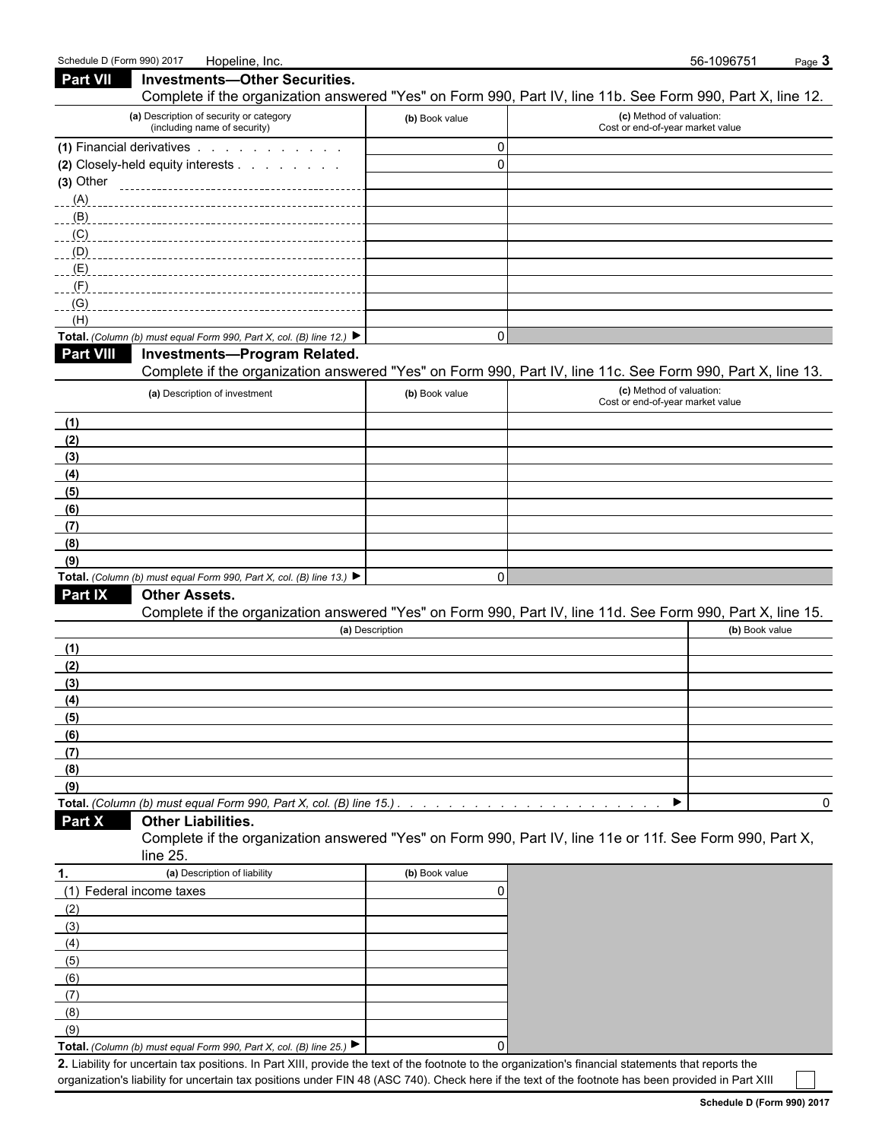(8) (9)

| <b>Part VII</b><br><b>Investments-Other Securities.</b><br>Complete if the organization answered "Yes" on Form 990, Part IV, line 11b. See Form 990, Part X, line 12. |                 |                                                              |                |
|-----------------------------------------------------------------------------------------------------------------------------------------------------------------------|-----------------|--------------------------------------------------------------|----------------|
| (a) Description of security or category<br>(including name of security)                                                                                               | (b) Book value  | (c) Method of valuation:<br>Cost or end-of-year market value |                |
| (1) Financial derivatives                                                                                                                                             | 0               |                                                              |                |
| (2) Closely-held equity interests                                                                                                                                     | $\mathbf 0$     |                                                              |                |
| $(3)$ Other                                                                                                                                                           |                 |                                                              |                |
| (A)                                                                                                                                                                   |                 |                                                              |                |
| (L)                                                                                                                                                                   |                 |                                                              |                |
| (C)                                                                                                                                                                   |                 |                                                              |                |
| (D)                                                                                                                                                                   |                 |                                                              |                |
| (E)                                                                                                                                                                   |                 |                                                              |                |
| $(-1)^{F}$                                                                                                                                                            |                 |                                                              |                |
| (G)                                                                                                                                                                   |                 |                                                              |                |
| (H)<br>Total. (Column (b) must equal Form 990, Part X, col. (B) line 12.)                                                                                             | $\mathbf 0$     |                                                              |                |
| <b>Part VIII</b><br>Investments-Program Related.                                                                                                                      |                 |                                                              |                |
| Complete if the organization answered "Yes" on Form 990, Part IV, line 11c. See Form 990, Part X, line 13.                                                            |                 |                                                              |                |
| (a) Description of investment                                                                                                                                         | (b) Book value  | (c) Method of valuation:<br>Cost or end-of-year market value |                |
| (1)                                                                                                                                                                   |                 |                                                              |                |
| (2)                                                                                                                                                                   |                 |                                                              |                |
| (3)                                                                                                                                                                   |                 |                                                              |                |
| (4)                                                                                                                                                                   |                 |                                                              |                |
| (5)                                                                                                                                                                   |                 |                                                              |                |
| (6)                                                                                                                                                                   |                 |                                                              |                |
| (7)                                                                                                                                                                   |                 |                                                              |                |
| (8)                                                                                                                                                                   |                 |                                                              |                |
| (9)                                                                                                                                                                   |                 |                                                              |                |
| Total. (Column (b) must equal Form 990, Part X, col. (B) line 13.) $\blacktriangleright$                                                                              | $\Omega$        |                                                              |                |
| Part IX<br><b>Other Assets.</b>                                                                                                                                       |                 |                                                              |                |
| Complete if the organization answered "Yes" on Form 990, Part IV, line 11d. See Form 990, Part X, line 15.                                                            |                 |                                                              |                |
|                                                                                                                                                                       | (a) Description |                                                              | (b) Book value |
| (1)                                                                                                                                                                   |                 |                                                              |                |
| (2)<br>(3)                                                                                                                                                            |                 |                                                              |                |
| (4)                                                                                                                                                                   |                 |                                                              |                |
| (5)                                                                                                                                                                   |                 |                                                              |                |
| (6)                                                                                                                                                                   |                 |                                                              |                |
| (7)                                                                                                                                                                   |                 |                                                              |                |
| (8)                                                                                                                                                                   |                 |                                                              |                |
| (9)                                                                                                                                                                   |                 |                                                              |                |
| Total. (Column (b) must equal Form 990, Part X, col. (B) line 15.).                                                                                                   |                 |                                                              | 0              |
| Part X<br><b>Other Liabilities.</b>                                                                                                                                   |                 |                                                              |                |
| Complete if the organization answered "Yes" on Form 990, Part IV, line 11e or 11f. See Form 990, Part X,                                                              |                 |                                                              |                |
| line 25.                                                                                                                                                              |                 |                                                              |                |
| (a) Description of liability<br>1.                                                                                                                                    | (b) Book value  |                                                              |                |
| (1) Federal income taxes                                                                                                                                              | 0               |                                                              |                |
| (2)                                                                                                                                                                   |                 |                                                              |                |
| (3)                                                                                                                                                                   |                 |                                                              |                |
| (4)                                                                                                                                                                   |                 |                                                              |                |
| (5)                                                                                                                                                                   |                 |                                                              |                |
| (6)                                                                                                                                                                   |                 |                                                              |                |
| (7)                                                                                                                                                                   |                 |                                                              |                |

**Total.** *(Column (b) must equal Form 990, Part X, col. (B) line 25.)* 0

**2.** Liability for uncertain tax positions. In Part XIII, provide the text of the footnote to the organization's financial statements that reports the organization's liability for uncertain tax positions under FIN 48 (ASC 740). Check here if the text of the footnote has been provided in Part XIII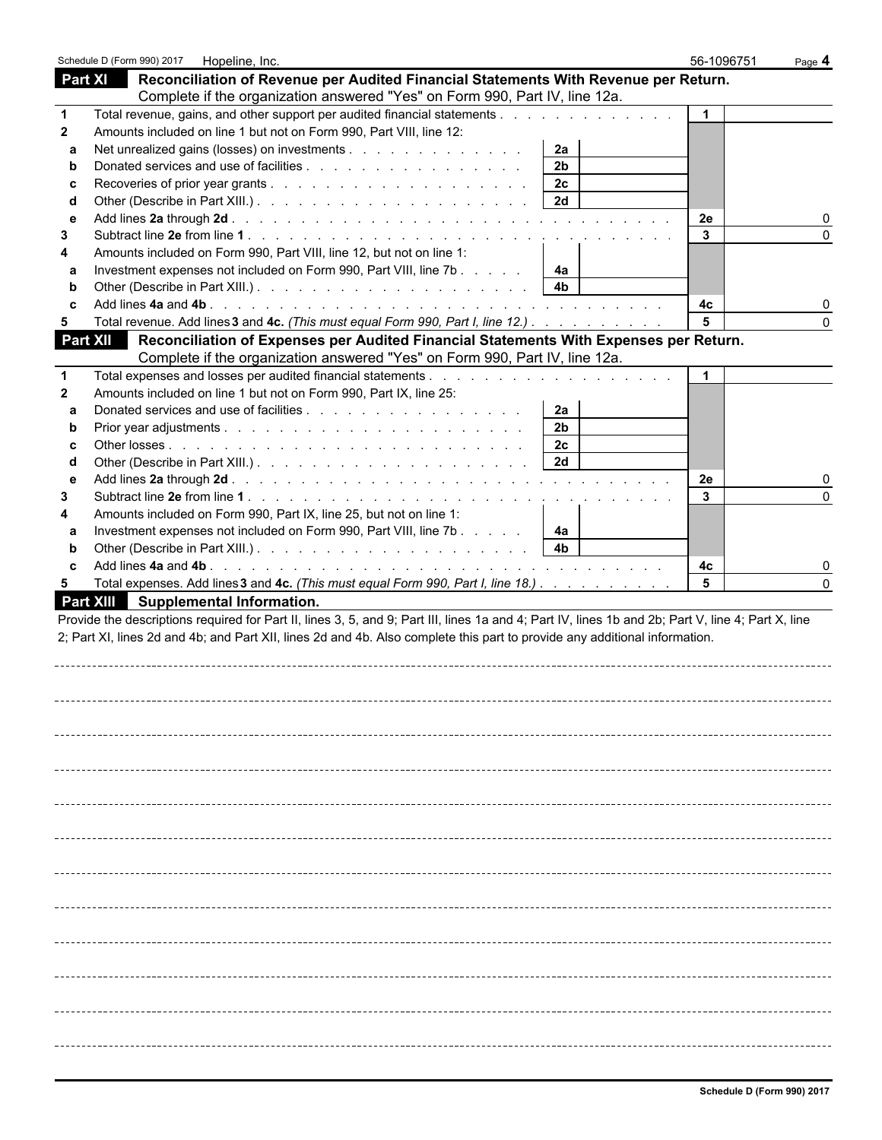|              | Schedule D (Form 990) 2017<br>Hopeline, Inc.                         |                                                                                                                                                    | 56-1096751           | Page 4       |
|--------------|----------------------------------------------------------------------|----------------------------------------------------------------------------------------------------------------------------------------------------|----------------------|--------------|
|              | Part XI                                                              | Reconciliation of Revenue per Audited Financial Statements With Revenue per Return.                                                                |                      |              |
|              |                                                                      | Complete if the organization answered "Yes" on Form 990, Part IV, line 12a.                                                                        |                      |              |
|              |                                                                      | Total revenue, gains, and other support per audited financial statements                                                                           | $\mathbf 1$          |              |
| $\mathbf{2}$ | Amounts included on line 1 but not on Form 990, Part VIII, line 12:  |                                                                                                                                                    |                      |              |
| a            | Net unrealized gains (losses) on investments                         | 2a                                                                                                                                                 |                      |              |
| b            |                                                                      | 2 <sub>b</sub>                                                                                                                                     |                      |              |
| C            |                                                                      | 2c                                                                                                                                                 |                      |              |
| d            |                                                                      | 2d                                                                                                                                                 |                      |              |
| e            |                                                                      |                                                                                                                                                    | 2e                   |              |
| 3            |                                                                      |                                                                                                                                                    | 3                    |              |
|              | Amounts included on Form 990, Part VIII, line 12, but not on line 1: |                                                                                                                                                    |                      |              |
| a            | Investment expenses not included on Form 990, Part VIII, line 7b     | 4a                                                                                                                                                 |                      |              |
| b            |                                                                      | 4 <sub>b</sub>                                                                                                                                     |                      |              |
| C            |                                                                      |                                                                                                                                                    | 4c                   |              |
| 5            |                                                                      | Total revenue. Add lines 3 and 4c. (This must equal Form 990, Part I, line 12.)                                                                    | 5                    |              |
|              | Part XII                                                             | Reconciliation of Expenses per Audited Financial Statements With Expenses per Return.                                                              |                      |              |
|              |                                                                      | Complete if the organization answered "Yes" on Form 990, Part IV, line 12a.                                                                        |                      |              |
|              |                                                                      |                                                                                                                                                    | $\blacktriangleleft$ |              |
| $\mathbf{2}$ | Amounts included on line 1 but not on Form 990, Part IX, line 25:    |                                                                                                                                                    |                      |              |
| a            |                                                                      | 2a                                                                                                                                                 |                      |              |
| b            |                                                                      | 2 <sub>b</sub>                                                                                                                                     |                      |              |
| C            |                                                                      | 2 <sub>c</sub>                                                                                                                                     |                      |              |
| d            |                                                                      | 2d                                                                                                                                                 |                      |              |
| e            |                                                                      |                                                                                                                                                    | 2e                   |              |
| 3            |                                                                      |                                                                                                                                                    | 3                    | <sup>0</sup> |
|              | Amounts included on Form 990, Part IX, line 25, but not on line 1:   |                                                                                                                                                    |                      |              |
| a            | Investment expenses not included on Form 990, Part VIII, line 7b     | 4a                                                                                                                                                 |                      |              |
| b            |                                                                      | 4 <sub>b</sub>                                                                                                                                     |                      |              |
| C            |                                                                      |                                                                                                                                                    | 4c<br>5              |              |
| 5            | <b>Part XIII</b><br>Supplemental Information.                        | Total expenses. Add lines 3 and 4c. (This must equal Form 990, Part I, line 18.)                                                                   |                      |              |
|              |                                                                      | Provide the descriptions required for Part II, lines 3, 5, and 9; Part III, lines 1a and 4; Part IV, lines 1b and 2b; Part V, line 4; Part X, line |                      |              |
|              |                                                                      | 2; Part XI, lines 2d and 4b; and Part XII, lines 2d and 4b. Also complete this part to provide any additional information.                         |                      |              |
|              |                                                                      |                                                                                                                                                    |                      |              |
|              |                                                                      |                                                                                                                                                    |                      |              |
|              |                                                                      |                                                                                                                                                    |                      |              |
|              |                                                                      |                                                                                                                                                    |                      |              |
|              |                                                                      |                                                                                                                                                    |                      |              |
|              |                                                                      |                                                                                                                                                    |                      |              |
|              |                                                                      |                                                                                                                                                    |                      |              |
|              |                                                                      |                                                                                                                                                    |                      |              |
|              |                                                                      |                                                                                                                                                    |                      |              |
|              |                                                                      |                                                                                                                                                    |                      |              |
|              |                                                                      |                                                                                                                                                    |                      |              |
|              |                                                                      |                                                                                                                                                    |                      |              |
|              |                                                                      |                                                                                                                                                    |                      |              |
|              |                                                                      |                                                                                                                                                    |                      |              |
|              |                                                                      |                                                                                                                                                    |                      |              |
|              |                                                                      |                                                                                                                                                    |                      |              |
|              |                                                                      |                                                                                                                                                    |                      |              |
|              |                                                                      |                                                                                                                                                    |                      |              |
|              |                                                                      |                                                                                                                                                    |                      |              |
|              |                                                                      |                                                                                                                                                    |                      |              |
|              |                                                                      |                                                                                                                                                    |                      |              |
|              |                                                                      |                                                                                                                                                    |                      |              |
|              |                                                                      |                                                                                                                                                    |                      |              |
|              |                                                                      |                                                                                                                                                    |                      |              |
|              |                                                                      |                                                                                                                                                    |                      |              |
|              |                                                                      |                                                                                                                                                    |                      |              |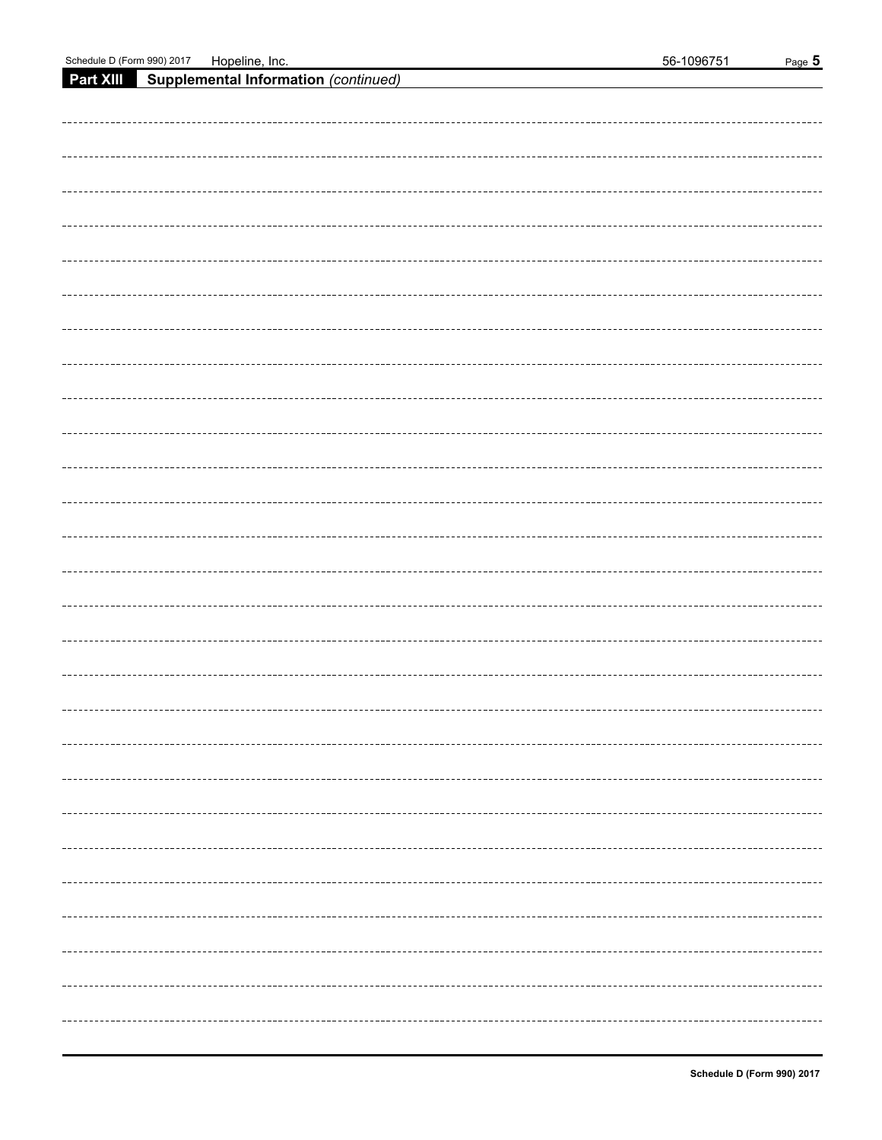**Part XIII Supplemental Information** *(continued)*

|  |  | . - - - - - - - - - - - - - - - - - |
|--|--|-------------------------------------|
|  |  |                                     |
|  |  |                                     |
|  |  |                                     |
|  |  | ---------                           |
|  |  |                                     |
|  |  |                                     |
|  |  | --------                            |
|  |  |                                     |
|  |  | --------                            |
|  |  |                                     |
|  |  | .                                   |
|  |  |                                     |
|  |  |                                     |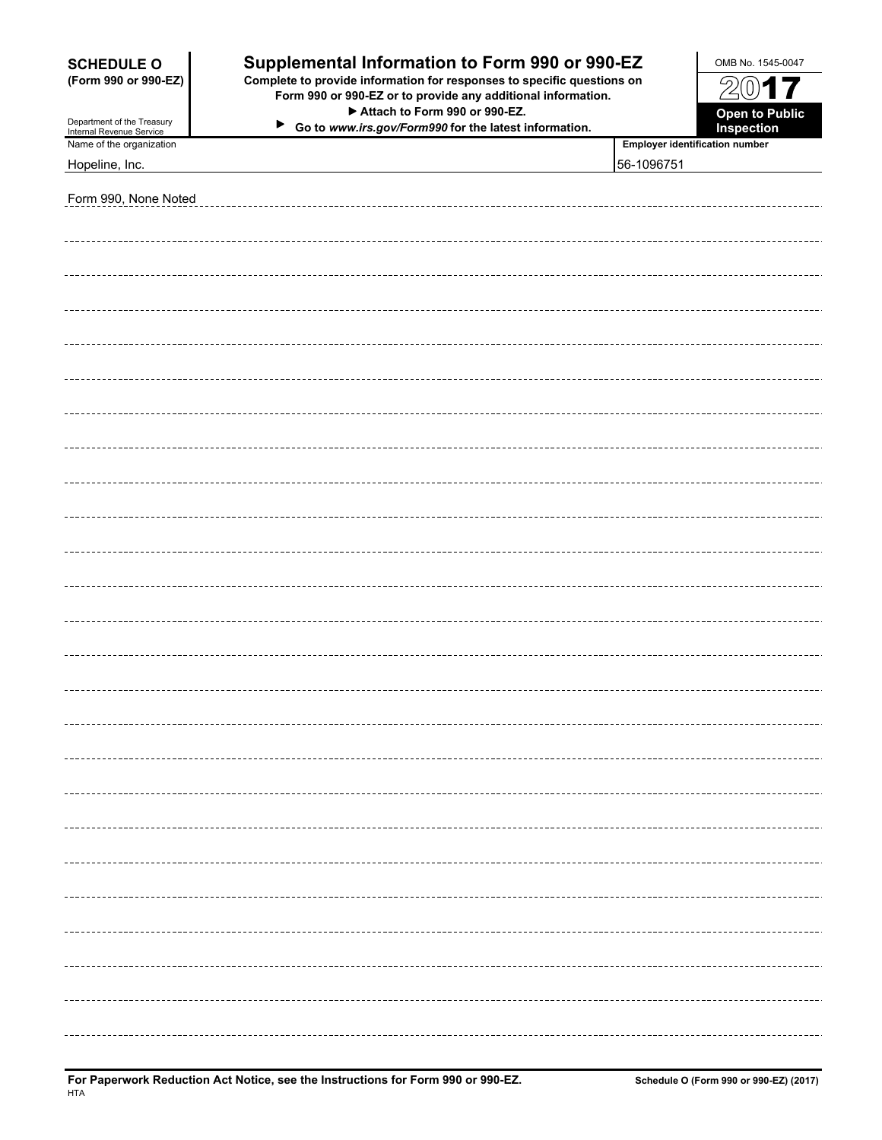| <b>SCHEDULE O</b>                                    | Supplemental Information to Form 990 or 990-EZ                                                                                                                               |            | OMB No. 1545-0047                                   |
|------------------------------------------------------|------------------------------------------------------------------------------------------------------------------------------------------------------------------------------|------------|-----------------------------------------------------|
| (Form 990 or 990-EZ)<br>Department of the Treasury   | Complete to provide information for responses to specific questions on<br>Form 990 or 990-EZ or to provide any additional information.<br>Attach to Form 990 or 990-EZ.<br>▶ |            | $\mathcal{Z}$<br>017<br><b>Open to Public</b>       |
| Internal Revenue Service<br>Name of the organization | Go to www.irs.gov/Form990 for the latest information.                                                                                                                        |            | Inspection<br><b>Employer identification number</b> |
| Hopeline, Inc.                                       |                                                                                                                                                                              | 56-1096751 |                                                     |
|                                                      |                                                                                                                                                                              |            |                                                     |
| Form 990, None Noted                                 |                                                                                                                                                                              |            |                                                     |
|                                                      |                                                                                                                                                                              |            |                                                     |
|                                                      |                                                                                                                                                                              |            |                                                     |
|                                                      |                                                                                                                                                                              |            |                                                     |
|                                                      |                                                                                                                                                                              |            |                                                     |
|                                                      |                                                                                                                                                                              |            |                                                     |
|                                                      |                                                                                                                                                                              |            |                                                     |
|                                                      |                                                                                                                                                                              |            |                                                     |
|                                                      |                                                                                                                                                                              |            |                                                     |
|                                                      |                                                                                                                                                                              |            |                                                     |
|                                                      |                                                                                                                                                                              |            |                                                     |
|                                                      |                                                                                                                                                                              |            |                                                     |
|                                                      |                                                                                                                                                                              |            |                                                     |
|                                                      |                                                                                                                                                                              |            |                                                     |
|                                                      |                                                                                                                                                                              |            |                                                     |
|                                                      |                                                                                                                                                                              |            |                                                     |
|                                                      |                                                                                                                                                                              |            |                                                     |
|                                                      |                                                                                                                                                                              |            |                                                     |
|                                                      |                                                                                                                                                                              |            |                                                     |
|                                                      |                                                                                                                                                                              |            |                                                     |
|                                                      |                                                                                                                                                                              |            |                                                     |
|                                                      |                                                                                                                                                                              |            |                                                     |
|                                                      |                                                                                                                                                                              |            |                                                     |
|                                                      |                                                                                                                                                                              |            |                                                     |
|                                                      |                                                                                                                                                                              |            |                                                     |
|                                                      |                                                                                                                                                                              |            |                                                     |
|                                                      |                                                                                                                                                                              |            |                                                     |
|                                                      |                                                                                                                                                                              |            |                                                     |
|                                                      |                                                                                                                                                                              |            |                                                     |
|                                                      |                                                                                                                                                                              |            |                                                     |
|                                                      |                                                                                                                                                                              |            |                                                     |
|                                                      |                                                                                                                                                                              |            |                                                     |
|                                                      |                                                                                                                                                                              |            |                                                     |
|                                                      |                                                                                                                                                                              |            |                                                     |
|                                                      |                                                                                                                                                                              |            |                                                     |
|                                                      |                                                                                                                                                                              |            |                                                     |
|                                                      |                                                                                                                                                                              |            |                                                     |
|                                                      |                                                                                                                                                                              |            |                                                     |
|                                                      |                                                                                                                                                                              |            |                                                     |
|                                                      |                                                                                                                                                                              |            |                                                     |
|                                                      |                                                                                                                                                                              |            |                                                     |
|                                                      |                                                                                                                                                                              |            |                                                     |